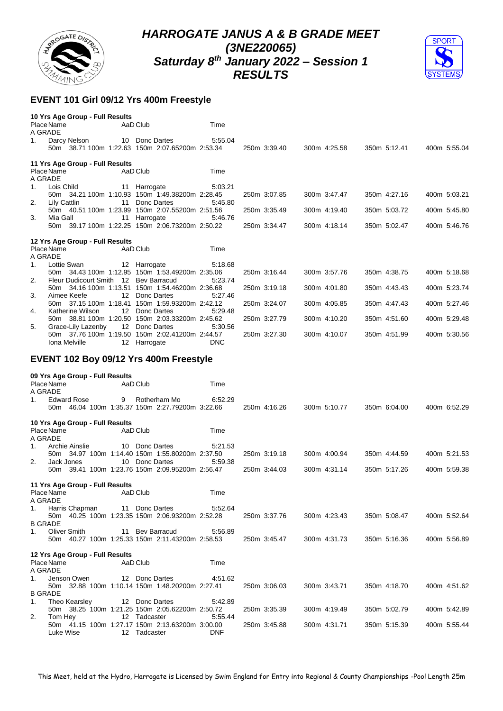



## **EVENT 101 Girl 09/12 Yrs 400m Freestyle**

|    | 10 Yrs Age Group - Full Results       |                  |                                                 |            |              |              |              |              |              |
|----|---------------------------------------|------------------|-------------------------------------------------|------------|--------------|--------------|--------------|--------------|--------------|
|    | Place Name                            |                  | AaD Club                                        | Time       |              |              |              |              |              |
|    | A GRADE                               |                  |                                                 |            |              |              |              |              |              |
| 1. | Darcy Nelson                          |                  | 10 Donc Dartes                                  | 5:55.04    |              |              |              |              |              |
|    |                                       |                  | 50m 38.71 100m 1:22.63 150m 2:07.65200m 2:53.34 |            | 250m 3:39.40 | 300m 4:25.58 | 350m 5:12.41 |              | 400m 5:55.04 |
|    | 11 Yrs Age Group - Full Results       |                  |                                                 |            |              |              |              |              |              |
|    | Place Name                            |                  | AaD Club                                        | Time       |              |              |              |              |              |
|    | A GRADE                               |                  |                                                 |            |              |              |              |              |              |
| 1. | Lois Child                            |                  | 11 Harrogate                                    | 5:03.21    |              |              |              |              |              |
|    |                                       |                  | 50m 34.21 100m 1:10.93 150m 1:49.38200m 2:28.45 |            | 250m 3:07.85 | 300m 3:47.47 |              | 350m 4:27.16 | 400m 5:03.21 |
| 2. | Lily Cattlin                          | 11               | Donc Dartes                                     | 5:45.80    |              |              |              |              |              |
|    |                                       |                  | 50m 40.51 100m 1:23.99 150m 2:07.55200m 2:51.56 |            | 250m 3:35.49 | 300m 4:19.40 |              | 350m 5:03.72 | 400m 5:45.80 |
| 3. | Mia Gall                              | 11               | Harrogate                                       | 5:46.76    |              |              |              |              |              |
|    |                                       |                  | 50m 39.17 100m 1:22.25 150m 2:06.73200m 2:50.22 |            | 250m 3:34.47 | 300m 4:18.14 |              | 350m 5:02.47 | 400m 5:46.76 |
|    | 12 Yrs Age Group - Full Results       |                  |                                                 |            |              |              |              |              |              |
|    | Place Name                            |                  | AaD Club                                        | Time       |              |              |              |              |              |
|    | A GRADE                               |                  |                                                 |            |              |              |              |              |              |
| 1. | Lottie Swan                           |                  | 12 Harrogate                                    | 5:18.68    |              |              |              |              |              |
|    |                                       |                  | 50m 34.43 100m 1:12.95 150m 1:53.49200m 2:35.06 |            | 250m 3:16.44 | 300m 3:57.76 |              | 350m 4:38.75 | 400m 5:18.68 |
| 2. | Fleur Dudicourt Smith 12 Bev Barracud |                  |                                                 | 5:23.74    |              |              |              |              |              |
|    |                                       |                  | 50m 34.16 100m 1:13.51 150m 1:54.46200m 2:36.68 |            | 250m 3:19.18 | 300m 4:01.80 |              | 350m 4:43.43 | 400m 5:23.74 |
| 3. | Aimee Keefe                           | 12               | Donc Dartes                                     | 5:27.46    |              |              |              |              |              |
|    |                                       |                  | 50m 37.15 100m 1:18.41 150m 1:59.93200m 2:42.12 |            | 250m 3:24.07 | 300m 4:05.85 |              | 350m 4:47.43 | 400m 5:27.46 |
| 4. | Katherine Wilson                      | 12 <sup>12</sup> | Donc Dartes                                     | 5:29.48    |              |              |              |              |              |
|    |                                       |                  | 50m 38.81 100m 1:20.50 150m 2:03.33200m 2:45.62 |            | 250m 3:27.79 | 300m 4:10.20 |              | 350m 4:51.60 | 400m 5:29.48 |
| 5. | Grace-Lily Lazenby                    |                  | 12 Donc Dartes                                  | 5:30.56    |              |              |              |              |              |
|    |                                       |                  | 50m 37.76 100m 1:19.50 150m 2:02.41200m 2:44.57 |            | 250m 3:27.30 | 300m 4:10.07 |              | 350m 4:51.99 | 400m 5:30.56 |
|    | Iona Melville                         |                  | 12 Harrogate                                    | <b>DNC</b> |              |              |              |              |              |
|    |                                       |                  | EVENT 102 Boy 09/12 Yrs 400m Freestyle          |            |              |              |              |              |              |
|    | 09 Yrs Age Group - Full Results       |                  |                                                 |            |              |              |              |              |              |
|    | Place Name                            |                  | AaD Club                                        | Time       |              |              |              |              |              |
|    | A GRADE                               |                  |                                                 |            |              |              |              |              |              |
| 1. | <b>Edward Rose</b>                    | 9                | Rotherham Mo                                    | 6:52.29    |              |              |              |              |              |
|    |                                       |                  | 50m 46.04 100m 1:35.37 150m 2:27.79200m 3:22.66 |            | 250m 4:16.26 | 300m 5:10.77 |              | 350m 6:04.00 | 400m 6:52.29 |

**10 Yrs Age Group - Full Results** Place Name AaD Club Time

| A GRADE        |            |                |                                 |              |                                                 |            |              |              |              |              |
|----------------|------------|----------------|---------------------------------|--------------|-------------------------------------------------|------------|--------------|--------------|--------------|--------------|
| 1.             |            | Archie Ainslie |                                 |              | 10 Donc Dartes                                  | 5:21.53    |              |              |              |              |
|                |            |                |                                 |              | 50m 34.97 100m 1:14.40 150m 1:55.80200m 2:37.50 |            | 250m 3:19.18 | 300m 4:00.94 | 350m 4:44.59 | 400m 5:21.53 |
| 2.             |            | Jack Jones     |                                 |              | 10 Donc Dartes                                  | 5:59.38    |              |              |              |              |
|                |            |                |                                 |              | 50m 39.41 100m 1:23.76 150m 2:09.95200m 2:56.47 |            | 250m 3:44.03 | 300m 4:31.14 | 350m 5:17.26 | 400m 5:59.38 |
|                |            |                | 11 Yrs Age Group - Full Results |              |                                                 |            |              |              |              |              |
|                | Place Name |                |                                 | AaD Club     |                                                 | Time       |              |              |              |              |
| A GRADE        |            |                |                                 |              |                                                 |            |              |              |              |              |
| 1.             |            | Harris Chapman |                                 |              | 11 Donc Dartes                                  | 5:52.64    |              |              |              |              |
|                |            |                |                                 |              | 50m 40.25 100m 1:23.35 150m 2:06.93200m 2:52.28 |            | 250m 3:37.76 | 300m 4:23.43 | 350m 5:08.47 | 400m 5:52.64 |
| <b>B GRADE</b> |            |                |                                 |              |                                                 |            |              |              |              |              |
| 1.             |            | Oliver Smith   |                                 |              | 11 Bev Barracud                                 | 5:56.89    |              |              |              |              |
|                |            |                |                                 |              | 50m 40.27 100m 1:25.33 150m 2:11.43200m 2:58.53 |            | 250m 3:45.47 | 300m 4:31.73 | 350m 5:16.36 | 400m 5:56.89 |
|                |            |                | 12 Yrs Age Group - Full Results |              |                                                 |            |              |              |              |              |
|                | Place Name |                |                                 | AaD Club     |                                                 | Time       |              |              |              |              |
| A GRADE        |            |                |                                 |              |                                                 |            |              |              |              |              |
| 1.             |            | Jenson Owen    |                                 |              | 12 Donc Dartes                                  | 4:51.62    |              |              |              |              |
|                |            |                |                                 |              | 50m 32.88 100m 1:10.14 150m 1:48.20200m 2:27.41 |            | 250m 3:06.03 | 300m 3:43.71 | 350m 4:18.70 | 400m 4:51.62 |
| <b>B GRADE</b> |            |                |                                 |              |                                                 |            |              |              |              |              |
| 1.             |            | Theo Kearsley  |                                 |              | 12 Donc Dartes                                  | 5:42.89    |              |              |              |              |
|                |            |                |                                 |              | 50m 38.25 100m 1:21.25 150m 2:05.62200m 2:50.72 |            | 250m 3:35.39 | 300m 4:19.49 | 350m 5:02.79 | 400m 5:42.89 |
| 2.             | Tom Hey    |                |                                 | 12 Tadcaster |                                                 | 5.55.44    |              |              |              |              |
|                |            |                |                                 |              | 50m 41.15 100m 1:27.17 150m 2:13.63200m 3:00.00 |            | 250m 3:45.88 | 300m 4:31.71 | 350m 5:15.39 | 400m 5:55.44 |
|                |            | Luke Wise      |                                 | 12 Tadcaster |                                                 | <b>DNF</b> |              |              |              |              |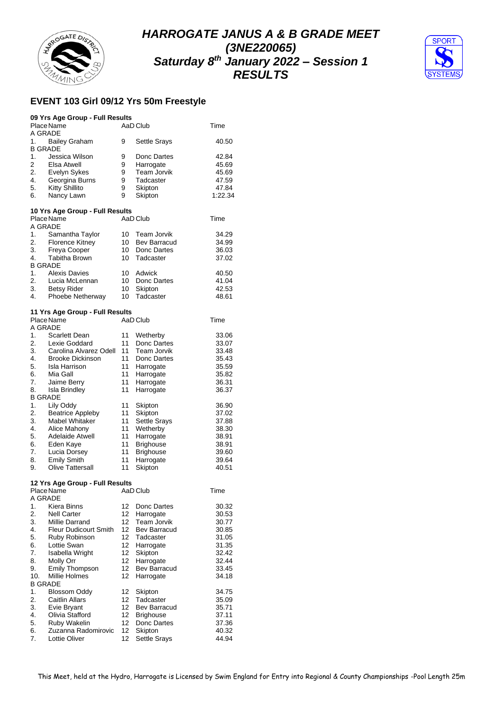



## **EVENT 103 Girl 09/12 Yrs 50m Freestyle**

|                | 09 Yrs Age Group - Full Results               |        |                          |                |
|----------------|-----------------------------------------------|--------|--------------------------|----------------|
|                | Place Name                                    |        | AaD Club                 | Time           |
| A GRADE<br>1.  | <b>Bailey Graham</b>                          | 9      | <b>Settle Srays</b>      | 40.50          |
| <b>B GRADE</b> |                                               |        |                          |                |
| 1.<br>2        | Jessica Wilson<br>Elsa Atwell                 | 9<br>9 | Donc Dartes<br>Harrogate | 42.84<br>45.69 |
| 2.             | Evelyn Sykes                                  | 9      | Team Jorvik              | 45.69          |
| 4.             | Georgina Burns                                | 9      | Tadcaster                | 47.59          |
| 5.             | Kitty Shillito                                | 9      | Skipton                  | 47.84          |
| 6.             | Nancy Lawn                                    | 9      | Skipton                  | 1:22.34        |
|                |                                               |        |                          |                |
|                | 10 Yrs Age Group - Full Results<br>Place Name |        | AaD Club                 | Time           |
| A GRADE        |                                               |        |                          |                |
| 1.             | Samantha Taylor                               | 10     | Team Jorvik              | 34.29          |
| 2.             | <b>Florence Kitney</b>                        | 10     | Bev Barracud             | 34.99          |
| 3.             | Freya Cooper                                  | 10     | Donc Dartes              | 36.03          |
| 4.             | <b>Tabitha Brown</b>                          | 10     | Tadcaster                | 37.02          |
| <b>B GRADE</b> |                                               |        |                          |                |
| 1.             | <b>Alexis Davies</b>                          | 10     | Adwick                   | 40.50          |
| 2.             | Lucia McLennan                                | 10     | Donc Dartes              | 41.04          |
| 3.             | <b>Betsy Rider</b>                            | 10     | Skipton                  | 42.53          |
| 4.             | Phoebe Netherway                              | 10     | Tadcaster                | 48.61          |
|                | 11 Yrs Age Group - Full Results               |        |                          |                |
|                | Place Name                                    |        | AaD Club                 | Time           |
| A GRADE        |                                               |        |                          |                |
| 1.             | Scarlett Dean                                 | 11     | Wetherby                 | 33.06          |
| 2.             | Lexie Goddard                                 | 11     | Donc Dartes              | 33.07          |
| 3.             | Carolina Alvarez Odell                        | 11     | Team Jorvik              | 33.48          |
| 4.             | <b>Brooke Dickinson</b>                       | 11     | Donc Dartes              | 35.43          |
| 5.             | Isla Harrison                                 | 11     | Harrogate                | 35.59          |
| 6.             | Mia Gall                                      | 11     | Harrogate                | 35.82          |
| 7.             | Jaime Berry                                   | 11     | Harrogate                | 36.31          |
| 8.             | <b>Isla Brindley</b>                          | 11     | Harrogate                | 36.37          |
| <b>B GRADE</b> |                                               |        |                          |                |
| 1.             | Lily Oddy                                     | 11     | Skipton                  | 36.90          |
| 2.             | <b>Beatrice Appleby</b>                       | 11     | Skipton                  | 37.02          |
| 3.             | <b>Mabel Whitaker</b>                         | 11     | Settle Srays             | 37.88          |
| 4.             | Alice Mahony                                  | 11     | Wetherby                 | 38.30          |
| 5.             | Adelaide Atwell                               | 11     | Harrogate                | 38.91          |
| 6.             | Eden Kaye                                     | 11     | <b>Brighouse</b>         | 38.91          |
| 7.             | Lucia Dorsey                                  | 11     | <b>Brighouse</b>         | 39.60          |
| 8.             | <b>Emily Smith</b>                            | 11     | Harrogate                | 39.64          |
| 9.             | <b>Olive Tattersall</b>                       | 11     | Skipton                  | 40.51          |
|                | 12 Yrs Age Group - Full Results               |        |                          |                |
|                | Place Name                                    |        | AaD Club                 | Time           |
| A GRADE        |                                               |        |                          |                |
| 1.             | Kiera Binns                                   | 12     | Donc Dartes              | 30.32          |
| 2.             | <b>Nell Carter</b>                            | 12     | Harrogate                | 30.53          |
| 3.             | Millie Darrand                                | 12     | Team Jorvik              | 30.77          |
| 4.             | Fleur Dudicourt Smith                         | 12     | Bev Barracud             | 30.85          |
| 5.             | Ruby Robinson                                 | 12     | Tadcaster                | 31.05          |
| 6.             | Lottie Swan                                   | 12     | Harrogate                | 31.35          |
| 7.             | Isabella Wright                               | 12     | Skipton                  | 32.42          |
| 8.             | Molly Orr                                     | 12     | Harrogate                | 32.44          |
| 9.             | Emily Thompson                                | 12     | Bev Barracud             | 33.45          |
| 10.            | Millie Holmes                                 | 12     | Harrogate                | 34.18          |
| <b>B GRADE</b> |                                               |        |                          |                |
| 1.             | Blossom Oddy                                  | 12     | Skipton                  | 34.75          |
| 2.             | <b>Caitlin Allars</b>                         | 12     | Tadcaster                | 35.09          |
| 3.             | Evie Bryant                                   | 12     | Bev Barracud             | 35.71          |
| 4.             | Olivia Stafford                               | 12     | <b>Brighouse</b>         | 37.11          |
| 5.             | Ruby Wakelin                                  | 12     | Donc Dartes              | 37.36          |
| 6.             | Zuzanna Radomirovic                           | 12     | Skipton                  | 40.32          |
| 7.             | Lottie Oliver                                 | 12     | <b>Settle Srays</b>      | 44.94          |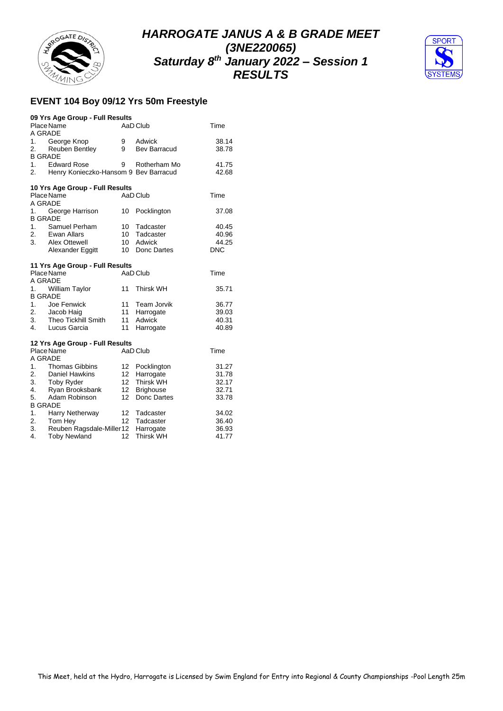



## **EVENT 104 Boy 09/12 Yrs 50m Freestyle**

|                | 09 Yrs Age Group - Full Results       |                 |                  |            |
|----------------|---------------------------------------|-----------------|------------------|------------|
|                | Place Name                            |                 | AaD Club         | Time       |
| A GRADE        |                                       |                 |                  |            |
| 1.             | George Knop                           | 9               | Adwick           | 38.14      |
| 2.             | <b>Reuben Bentley</b>                 | 9               | Bev Barracud     | 38.78      |
| <b>B GRADE</b> |                                       |                 |                  |            |
| 1.             | <b>Edward Rose</b>                    | 9               | Rotherham Mo     | 41.75      |
| 2.             | Henry Konieczko-Hansom 9 Bev Barracud |                 |                  | 42.68      |
|                | 10 Yrs Age Group - Full Results       |                 |                  |            |
|                | Place Name                            |                 | AaD Club         | Time       |
| A GRADE        |                                       |                 |                  |            |
| 1.             | George Harrison                       | 10              | Pocklington      | 37.08      |
| <b>B GRADE</b> |                                       |                 |                  |            |
| 1.             | Samuel Perham                         | 10              | Tadcaster        | 40.45      |
| 2.             | Ewan Allars                           | 10              | Tadcaster        | 40.96      |
| 3.             | Alex Ottewell                         | 10 <sup>1</sup> | Adwick           | 44.25      |
|                | Alexander Eggitt                      | 10              | Donc Dartes      | <b>DNC</b> |
|                | 11 Yrs Age Group - Full Results       |                 |                  |            |
|                | Place Name                            |                 | AaD Club         | Time       |
| A GRADE        |                                       |                 |                  |            |
| 1.             | <b>William Taylor</b>                 | 11              | <b>Thirsk WH</b> | 35.71      |
| <b>B GRADE</b> |                                       |                 |                  |            |
| 1.             | Joe Fenwick                           | 11              | Team Jorvik      | 36.77      |
| 2.             | Jacob Haig                            | 11              | Harrogate        | 39.03      |
| 3.             | <b>Theo Tickhill Smith</b>            | 11              | Adwick           | 40.31      |
| 4.             | Lucus Garcia                          | 11              | Harrogate        | 40.89      |
|                | 12 Yrs Age Group - Full Results       |                 |                  |            |
|                | Place Name                            |                 | AaD Club         | Time       |
| A GRADE        |                                       |                 |                  |            |
| 1.             | Thomas Gibbins                        | 12              | Pocklington      | 31.27      |
| 2.             | Daniel Hawkins                        | 12              | Harrogate        | 31.78      |
| 3.             | <b>Toby Ryder</b>                     | 12 <sup>2</sup> | <b>Thirsk WH</b> | 32.17      |
| 4.             | Ryan Brooksbank                       | 12 <sup>2</sup> | <b>Brighouse</b> | 32.71      |
| 5.             | Adam Robinson                         | 12 <sup>°</sup> | Donc Dartes      | 33.78      |
| <b>B GRADE</b> |                                       |                 |                  |            |
| 1.             | Harry Netherway                       | 12              | Tadcaster        | 34.02      |
| 2.             | Tom Hey                               | 12 <sup>2</sup> | Tadcaster        | 36.40      |
| 3.             | Reuben Ragsdale-Miller12              |                 | Harrogate        | 36.93      |
| 4.             | <b>Toby Newland</b>                   | 12              | <b>Thirsk WH</b> | 41.77      |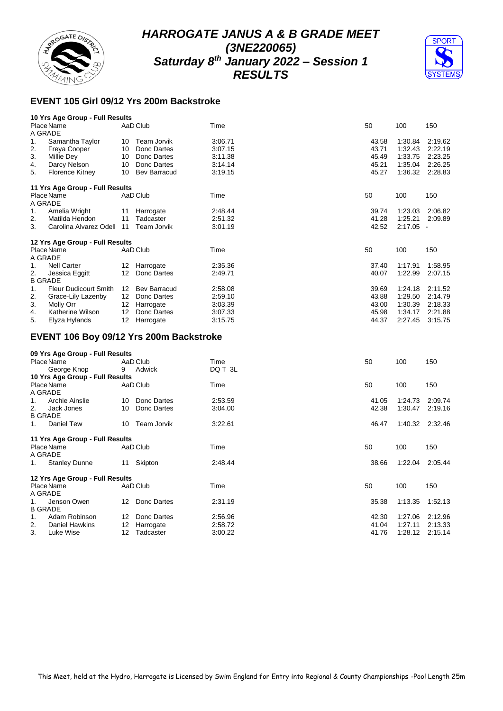



## **EVENT 105 Girl 09/12 Yrs 200m Backstroke**

|    | 10 Yrs Age Group - Full Results         |    |                     |         |       |             |         |
|----|-----------------------------------------|----|---------------------|---------|-------|-------------|---------|
|    | Place Name<br>A GRADE                   |    | AaD Club            | Time    | 50    | 100         | 150     |
| 1. | Samantha Taylor                         | 10 | Team Jorvik         | 3:06.71 | 43.58 | 1:30.84     | 2:19.62 |
| 2. | Freya Cooper                            | 10 | Donc Dartes         | 3:07.15 | 43.71 | 1:32.43     | 2:22.19 |
| 3. | Millie Dey                              | 10 | Donc Dartes         | 3:11.38 | 45.49 | 1:33.75     | 2:23.25 |
| 4. | Darcy Nelson                            |    | 10 Donc Dartes      | 3:14.14 | 45.21 | 1:35.04     | 2:26.25 |
| 5. | <b>Florence Kitney</b>                  | 10 | <b>Bev Barracud</b> | 3:19.15 | 45.27 | 1:36.32     | 2:28.83 |
|    | 11 Yrs Age Group - Full Results         |    |                     |         |       |             |         |
|    | Place Name<br>A GRADE                   |    | AaD Club            | Time    | 50    | 100         | 150     |
| 1. | Amelia Wright                           | 11 | Harrogate           | 2:48.44 | 39.74 | 1:23.03     | 2:06.82 |
| 2. | Matilda Hendon                          | 11 | Tadcaster           | 2:51.32 | 41.28 | 1:25.21     | 2:09.89 |
| 3. | Carolina Alvarez Odell 11               |    | Team Jorvik         | 3:01.19 | 42.52 | $2:17.05 -$ |         |
|    | 12 Yrs Age Group - Full Results         |    |                     |         |       |             |         |
|    | Place Name                              |    | AaD Club            | Time    | 50    | 100         | 150     |
|    | A GRADE                                 |    |                     |         |       |             |         |
| 1. | <b>Nell Carter</b>                      | 12 | Harrogate           | 2:35.36 | 37.40 | 1:17.91     | 1:58.95 |
| 2. | Jessica Eggitt<br><b>B GRADE</b>        |    | 12 Donc Dartes      | 2:49.71 | 40.07 | 1:22.99     | 2:07.15 |
| 1. | Fleur Dudicourt Smith                   |    | 12 Bev Barracud     | 2:58.08 | 39.69 | 1:24.18     | 2:11.52 |
| 2. | Grace-Lily Lazenby                      |    | 12 Donc Dartes      | 2:59.10 | 43.88 | 1:29.50     | 2:14.79 |
| 3. | Molly Orr                               |    | 12 Harrogate        | 3:03.39 | 43.00 | 1:30.39     | 2:18.33 |
| 4. | Katherine Wilson                        |    | 12 Donc Dartes      | 3:07.33 | 45.98 | 1:34.17     | 2:21.88 |
| 5. | Elyza Hylands                           |    | 12 Harrogate        | 3:15.75 | 44.37 | 2:27.45     | 3:15.75 |
|    | EVENT 106 Boy 09/12 Yrs 200m Backstroke |    |                     |         |       |             |         |
|    | 09 Yrs Age Group - Full Results         |    |                     |         |       |             |         |
|    | Place Name                              |    | AaD Club            | Time    | 50    | 100         | 150     |
|    | George Knop                             | 9  | Adwick              | DQ T 3L |       |             |         |
|    | 10 Yrs Age Group - Full Results         |    |                     |         |       |             |         |
|    | Place Name<br>A GRADE                   |    | AaD Club            | Time    | 50    | 100         | 150     |
| 1. | Archie Ainslie                          | 10 | Donc Dartes         | 2:53.59 | 41.05 | 1:24.73     | 2:09.74 |
| 2. | Jack Jones                              | 10 | Donc Dartes         | 3:04.00 | 42.38 | 1:30.47     | 2:19.16 |
|    | <b>B GRADE</b>                          |    |                     |         |       |             |         |
| 1. | Daniel Tew                              | 10 | Team Jorvik         | 3:22.61 | 46.47 | 1:40.32     | 2:32.46 |
|    | 11 Yrs Age Group - Full Results         |    |                     |         |       |             |         |
|    | Place Name<br>A GRADE                   |    | AaD Club            | Time    | 50    | 100         | 150     |
| 1. | <b>Stanley Dunne</b>                    |    | 11 Skipton          | 2:48.44 | 38.66 | 1:22.04     | 2:05.44 |
|    | 12 Yrs Age Group - Full Results         |    |                     |         |       |             |         |
|    | Place Name                              |    | AaD Club            | Time    | 50    | 100         | 150     |
|    | A GRADE                                 |    |                     |         |       |             |         |
| 1. | Jenson Owen                             |    | 12 Donc Dartes      | 2:31.19 | 35.38 | 1:13.35     | 1:52.13 |
|    | <b>B GRADE</b>                          |    |                     |         |       |             |         |
| 1. |                                         |    |                     |         |       |             |         |
|    | Adam Robinson                           |    | 12 Donc Dartes      | 2:56.96 | 42.30 | 1:27.06     | 2:12.96 |
| 2. | <b>Daniel Hawkins</b>                   |    | 12 Harrogate        | 2:58.72 | 41.04 | 1:27.11     | 2:13.33 |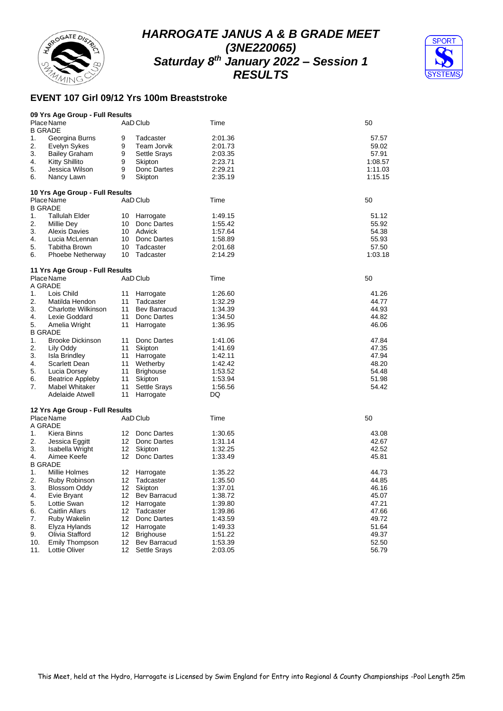



## **EVENT 107 Girl 09/12 Yrs 100m Breaststroke**

|                | 09 Yrs Age Group - Full Results |                 |                  |         |         |
|----------------|---------------------------------|-----------------|------------------|---------|---------|
|                | Place Name                      |                 | AaD Club         | Time    | 50      |
| <b>B GRADE</b> |                                 |                 |                  |         |         |
| 1.             | Georgina Burns                  | 9               | Tadcaster        | 2:01.36 | 57.57   |
| 2.             | Evelyn Sykes                    | 9               | Team Jorvik      | 2:01.73 | 59.02   |
| 3.             | <b>Bailey Graham</b>            | 9               | Settle Srays     | 2:03.35 | 57.91   |
| 4.             | <b>Kitty Shillito</b>           | 9               | Skipton          | 2:23.71 | 1:08.57 |
| 5.             | Jessica Wilson                  | 9               | Donc Dartes      | 2:29.21 | 1:11.03 |
| 6.             | Nancy Lawn                      | 9               | Skipton          | 2:35.19 | 1:15.15 |
|                | 10 Yrs Age Group - Full Results |                 |                  |         |         |
|                | Place Name                      |                 | AaD Club         | Time    | 50      |
| <b>B GRADE</b> |                                 |                 |                  |         |         |
| 1.             | <b>Tallulah Elder</b>           | 10              | Harrogate        | 1:49.15 | 51.12   |
| 2.             | Millie Dey                      | 10              | Donc Dartes      | 1:55.42 | 55.92   |
| 3.             | <b>Alexis Davies</b>            | 10              | Adwick           | 1:57.64 | 54.38   |
| 4.             | Lucia McLennan                  | 10              | Donc Dartes      | 1:58.89 | 55.93   |
| 5.             | Tabitha Brown                   | 10              | Tadcaster        | 2:01.68 | 57.50   |
| 6.             | Phoebe Netherway                | 10              | Tadcaster        | 2:14.29 | 1:03.18 |
|                |                                 |                 |                  |         |         |
|                | 11 Yrs Age Group - Full Results |                 |                  |         |         |
|                | Place Name                      |                 | AaD Club         | Time    | 50      |
| A GRADE        |                                 |                 |                  |         |         |
| 1.             | Lois Child                      | 11              | Harrogate        | 1:26.60 | 41.26   |
| 2.             | Matilda Hendon                  | 11              | Tadcaster        | 1:32.29 | 44.77   |
| 3.             | Charlotte Wilkinson             | 11              | Bev Barracud     | 1:34.39 | 44.93   |
| 4.             | Lexie Goddard                   | 11              | Donc Dartes      | 1:34.50 | 44.82   |
| 5.             | Amelia Wright                   | 11              | Harrogate        | 1:36.95 | 46.06   |
| <b>B GRADE</b> |                                 |                 |                  |         |         |
| 1.             | <b>Brooke Dickinson</b>         | 11              | Donc Dartes      | 1:41.06 | 47.84   |
| 2.             | Lily Oddy                       | 11              | Skipton          | 1:41.69 | 47.35   |
| 3.             | <b>Isla Brindley</b>            | 11              | Harrogate        | 1:42.11 | 47.94   |
| 4.             | Scarlett Dean                   | 11              | Wetherby         | 1:42.42 | 48.20   |
| 5.             | Lucia Dorsey                    | 11              | <b>Brighouse</b> | 1:53.52 | 54.48   |
| 6.             | <b>Beatrice Appleby</b>         | 11              | Skipton          | 1:53.94 | 51.98   |
| 7.             | Mabel Whitaker                  | 11              | Settle Srays     | 1:56.56 | 54.42   |
|                | Adelaide Atwell                 | 11              | Harrogate        | DQ      |         |
|                | 12 Yrs Age Group - Full Results |                 |                  |         |         |
|                | Place Name                      |                 | AaD Club         | Time    | 50      |
| A GRADE        |                                 |                 |                  |         |         |
| 1.             | Kiera Binns                     | 12              | Donc Dartes      | 1:30.65 | 43.08   |
| 2.             | Jessica Eggitt                  | 12              | Donc Dartes      | 1:31.14 | 42.67   |
| 3.             | Isabella Wright                 | 12              | Skipton          | 1:32.25 | 42.52   |
| 4.             | Aimee Keefe                     | 12              | Donc Dartes      | 1:33.49 | 45.81   |
| <b>B GRADE</b> |                                 |                 |                  |         |         |
| 1.             | Millie Holmes                   | 12              | Harrogate        | 1:35.22 | 44.73   |
| 2.             | Ruby Robinson                   | 12              | Tadcaster        | 1:35.50 | 44.85   |
| 3.             | Blossom Oddy                    | 12              | Skipton          | 1:37.01 | 46.16   |
| 4.             | Evie Bryant                     | 12              | Bev Barracud     | 1:38.72 | 45.07   |
| 5.             | Lottie Swan                     | 12              | Harrogate        | 1:39.80 | 47.21   |
| 6.             | <b>Caitlin Allars</b>           | 12              | Tadcaster        | 1:39.86 | 47.66   |
| 7.             | Ruby Wakelin                    | 12              | Donc Dartes      | 1:43.59 | 49.72   |
| 8.             | Elyza Hylands                   | 12              | Harrogate        | 1:49.33 | 51.64   |
| 9.             | Olivia Stafford                 | 12              | <b>Brighouse</b> | 1:51.22 | 49.37   |
| 10.            | Emily Thompson                  | 12              | Bev Barracud     | 1:53.39 | 52.50   |
| 11.            | Lottie Oliver                   | 12 <sup>2</sup> | Settle Srays     | 2:03.05 | 56.79   |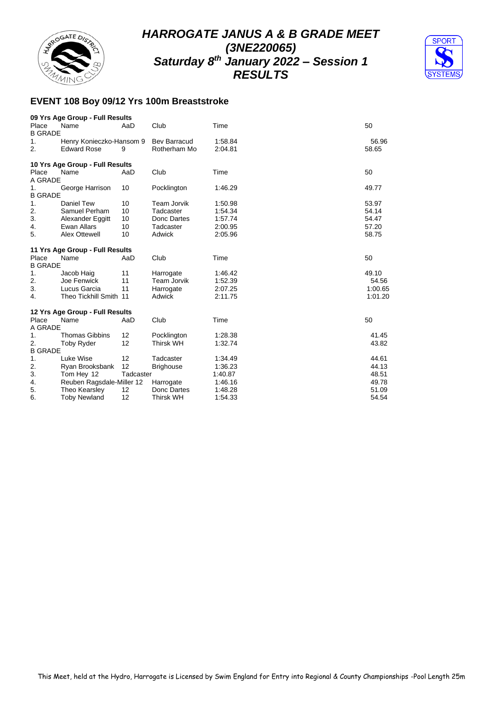



## **EVENT 108 Boy 09/12 Yrs 100m Breaststroke**

|                         | 09 Yrs Age Group - Full Results                |           |                                 |                    |                |
|-------------------------|------------------------------------------------|-----------|---------------------------------|--------------------|----------------|
| Place<br><b>B GRADE</b> | Name                                           | AaD       | Club                            | Time               | 50             |
| 1.<br>2.                | Henry Konieczko-Hansom 9<br><b>Edward Rose</b> | 9         | Bev Barracud<br>Rotherham Mo    | 1:58.84<br>2:04.81 | 56.96<br>58.65 |
|                         | 10 Yrs Age Group - Full Results                |           |                                 |                    |                |
| Place                   | Name                                           | AaD       | Club                            | Time               | 50             |
| A GRADE                 |                                                |           |                                 |                    |                |
| 1.<br><b>B GRADE</b>    | George Harrison                                | 10        | Pocklington                     | 1:46.29            | 49.77          |
| 1.                      | <b>Daniel Tew</b>                              | 10        | <b>Team Jorvik</b>              | 1:50.98            | 53.97          |
| 2.                      | Samuel Perham                                  | 10        | Tadcaster                       | 1:54.34            | 54.14          |
| 3.                      | Alexander Eggitt                               | 10        | Donc Dartes                     | 1:57.74            | 54.47          |
| 4.                      | <b>Ewan Allars</b>                             | 10        | Tadcaster                       | 2:00.95            | 57.20          |
| 5.                      | Alex Ottewell                                  | 10        | Adwick                          | 2:05.96            | 58.75          |
|                         |                                                |           |                                 |                    |                |
|                         | 11 Yrs Age Group - Full Results                |           |                                 |                    |                |
| Place<br><b>B GRADE</b> | Name                                           | AaD       | Club                            | Time               | 50             |
| 1.                      |                                                |           |                                 |                    | 49.10          |
| 2.                      | Jacob Haig<br>Joe Fenwick                      | 11<br>11  | Harrogate<br><b>Team Jorvik</b> | 1:46.42<br>1:52.39 |                |
| 3.                      |                                                |           |                                 |                    | 54.56          |
|                         | Lucus Garcia                                   | 11        | Harrogate                       | 2:07.25            | 1:00.65        |
| 4.                      | Theo Tickhill Smith 11                         |           | Adwick                          | 2:11.75            | 1:01.20        |
|                         | 12 Yrs Age Group - Full Results                |           |                                 |                    |                |
| Place                   | Name                                           | AaD       | Club                            | Time               | 50             |
| A GRADE                 |                                                |           |                                 |                    |                |
| 1.                      | <b>Thomas Gibbins</b>                          | 12        | Pocklington                     | 1:28.38            | 41.45          |
| 2.                      | <b>Toby Ryder</b>                              | 12        | <b>Thirsk WH</b>                | 1:32.74            | 43.82          |
| <b>B GRADE</b>          |                                                |           |                                 |                    |                |
| 1.                      | Luke Wise                                      | 12        | Tadcaster                       | 1:34.49            | 44.61          |
| 2.                      | Ryan Brooksbank                                | 12        | <b>Brighouse</b>                | 1:36.23            | 44.13          |
| 3.                      | Tom Hey 12                                     | Tadcaster |                                 | 1:40.87            | 48.51          |
| 4.                      | Reuben Ragsdale-Miller 12                      |           | Harrogate                       | 1:46.16            | 49.78          |
| 5.                      | Theo Kearsley                                  | 12        | Donc Dartes                     | 1:48.28            | 51.09          |
| 6.                      | <b>Toby Newland</b>                            | 12        | <b>Thirsk WH</b>                | 1:54.33            | 54.54          |
|                         |                                                |           |                                 |                    |                |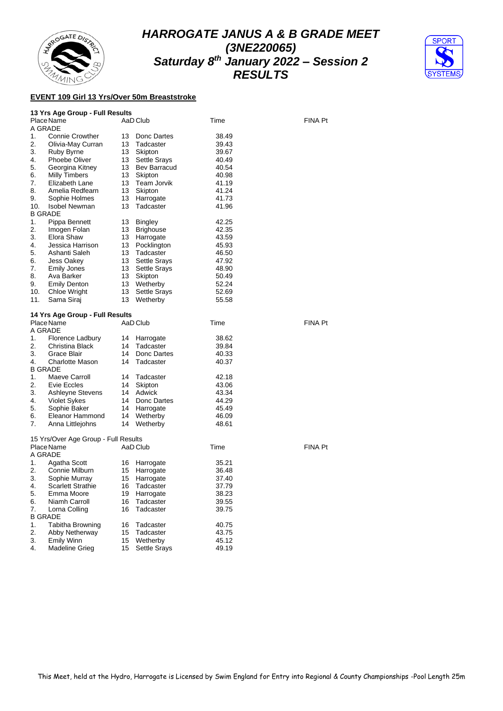



#### **EVENT 109 Girl 13 Yrs/Over 50m Breaststroke**

| 13 Yrs Age Group - Full Results |  |  |  |  |  |  |  |
|---------------------------------|--|--|--|--|--|--|--|
|---------------------------------|--|--|--|--|--|--|--|

|                | Place Name<br>A GRADE                |    | AaD Club            | Time  | <b>FINA Pt</b> |
|----------------|--------------------------------------|----|---------------------|-------|----------------|
| 1 <sub>1</sub> | <b>Connie Crowther</b>               | 13 | Donc Dartes         | 38.49 |                |
| 2.             | Olivia-May Curran                    | 13 | Tadcaster           | 39.43 |                |
| 3.             | Ruby Byrne                           | 13 | Skipton             | 39.67 |                |
| 4.             | Phoebe Oliver                        |    | 13 Settle Srays     | 40.49 |                |
| 5.             | Georgina Kitney                      |    | 13 Bev Barracud     | 40.54 |                |
| 6.             | <b>Milly Timbers</b>                 |    | 13 Skipton          | 40.98 |                |
| 7.             | Elizabeth Lane                       |    | 13 Team Jorvik      | 41.19 |                |
| 8.             | Amelia Redfearn                      |    | 13 Skipton          | 41.24 |                |
| 9.             | Sophie Holmes                        |    | 13 Harrogate        | 41.73 |                |
| 10.            | <b>Isobel Newman</b>                 | 13 | Tadcaster           | 41.96 |                |
|                | <b>B GRADE</b>                       |    |                     |       |                |
| 1.             | Pippa Bennett                        | 13 | <b>Bingley</b>      | 42.25 |                |
| 2.             | Imogen Folan                         |    | 13 Brighouse        | 42.35 |                |
| 3.             | Elora Shaw                           |    | 13 Harrogate        | 43.59 |                |
| 4.             | Jessica Harrison                     |    | 13 Pocklington      | 45.93 |                |
| 5.             | Ashanti Saleh                        |    | 13 Tadcaster        | 46.50 |                |
| 6.             | Jess Oakey                           |    | 13 Settle Srays     | 47.92 |                |
| 7.             | <b>Emily Jones</b>                   | 13 | Settle Srays        | 48.90 |                |
| 8.             | Ava Barker                           |    | 13 Skipton          | 50.49 |                |
| 9.             | <b>Emily Denton</b>                  |    | 13 Wetherby         | 52.24 |                |
| 10.            | Chloe Wright                         | 13 | Settle Srays        | 52.69 |                |
| 11.            | Sama Siraj                           |    | 13 Wetherby         | 55.58 |                |
|                |                                      |    |                     |       |                |
|                | 14 Yrs Age Group - Full Results      |    |                     |       |                |
|                | Place Name                           |    | AaD Club            | Time  | <b>FINA Pt</b> |
|                | A GRADE                              |    |                     |       |                |
| 1 <sub>1</sub> | Florence Ladbury                     | 14 | Harrogate           | 38.62 |                |
| 2.             | Christina Black                      | 14 | Tadcaster           | 39.84 |                |
| 3.             | Grace Blair                          |    | 14 Donc Dartes      | 40.33 |                |
| 4.             | <b>Charlotte Mason</b>               | 14 | Tadcaster           | 40.37 |                |
|                | <b>B GRADE</b>                       |    |                     |       |                |
| 1.             | Maeve Carroll                        | 14 | Tadcaster           | 42.18 |                |
| 2.             | Evie Eccles                          | 14 | Skipton             | 43.06 |                |
| 3.             | Ashleyne Stevens                     |    | 14 Adwick           | 43.34 |                |
| 4.             | <b>Violet Sykes</b>                  |    | 14 Donc Dartes      | 44.29 |                |
| 5.             | Sophie Baker                         |    | 14 Harrogate        | 45.49 |                |
| 6.             | Eleanor Hammond                      | 14 | Wetherby            | 46.09 |                |
| 7.             | Anna Littlejohns                     | 14 | Wetherby            | 48.61 |                |
|                |                                      |    |                     |       |                |
|                | 15 Yrs/Over Age Group - Full Results |    |                     |       |                |
|                | Place Name                           |    | AaD Club            | Time  | <b>FINA Pt</b> |
|                | A GRADE                              |    |                     |       |                |
| 1.             | Agatha Scott                         |    | 16 Harrogate        | 35.21 |                |
| 2.             | Connie Milburn                       |    | 15 Harrogate        | 36.48 |                |
| 3.             | Sophie Murray                        | 15 | Harrogate           | 37.40 |                |
| 4.             | <b>Scarlett Strathie</b>             | 16 | Tadcaster           | 37.79 |                |
| 5.             | Emma Moore                           |    | 19 Harrogate        | 38.23 |                |
| 6.             | Niamh Carroll                        | 16 | Tadcaster           | 39.55 |                |
| 7.             | Lorna Colling                        | 16 | Tadcaster           | 39.75 |                |
|                | <b>B GRADE</b>                       |    |                     |       |                |
| 1.             | Tabitha Browning                     | 16 | Tadcaster           | 40.75 |                |
| 2.             | Abby Netherway                       | 15 | Tadcaster           | 43.75 |                |
| 3.             | Emily Winn                           | 15 | Wetherby            | 45.12 |                |
| 4.             | <b>Madeline Grieg</b>                | 15 | <b>Settle Srays</b> | 49.19 |                |
|                |                                      |    |                     |       |                |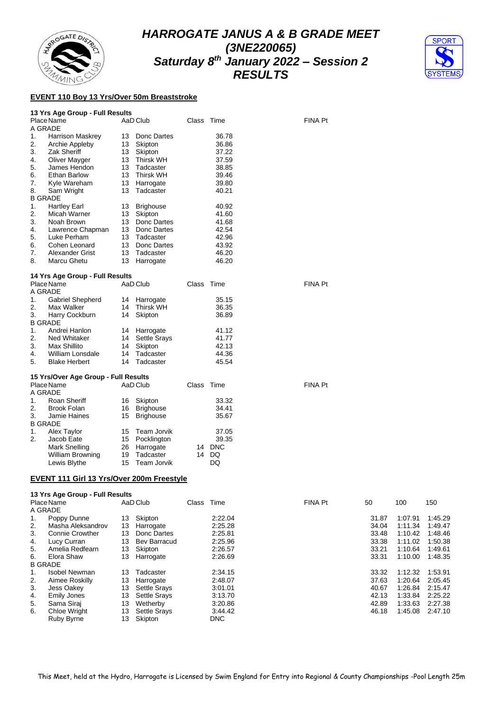



#### **EVENT 110 Boy 13 Yrs/Over 50m Breaststroke**

#### **13 Yrs Age Group - Full Results**

|    | Place Name              |    | AaD Club         | Class | Time  | <b>FINA Pt</b> |
|----|-------------------------|----|------------------|-------|-------|----------------|
|    | A GRADE                 |    |                  |       |       |                |
| 1. | <b>Harrison Maskrey</b> | 13 | Donc Dartes      |       | 36.78 |                |
| 2. | Archie Appleby          | 13 | Skipton          |       | 36.86 |                |
| 3. | Zak Sheriff             | 13 | Skipton          |       | 37.22 |                |
| 4. | Oliver Mayger           | 13 | <b>Thirsk WH</b> |       | 37.59 |                |
| 5. | James Hendon            | 13 | Tadcaster        |       | 38.85 |                |
| 6. | Ethan Barlow            | 13 | Thirsk WH        |       | 39.46 |                |
| 7. | Kyle Wareham            | 13 | Harrogate        |       | 39.80 |                |
| 8. | Sam Wright              | 13 | Tadcaster        |       | 40.21 |                |
|    | <b>B GRADE</b>          |    |                  |       |       |                |
| 1. | <b>Hartley Earl</b>     | 13 | <b>Brighouse</b> |       | 40.92 |                |
| 2. | Micah Warner            | 13 | Skipton          |       | 41.60 |                |
| 3. | Noah Brown              | 13 | Donc Dartes      |       | 41.68 |                |
| 4. | Lawrence Chapman        | 13 | Donc Dartes      |       | 42.54 |                |
| 5. | Luke Perham             | 13 | Tadcaster        |       | 42.96 |                |
| 6. | Cohen Leonard           | 13 | Donc Dartes      |       | 43.92 |                |
| 7. | Alexander Grist         | 13 | Tadcaster        |       | 46.20 |                |
| 8. | Marcu Ghetu             | 13 | Harrogate        |       | 46.20 |                |
|    |                         |    |                  |       |       |                |

#### **14 Yrs Age Group - Full Results**

|    | Place Name              |    | AaD Club        | Class Time |       | <b>FINA Pt</b> |
|----|-------------------------|----|-----------------|------------|-------|----------------|
|    | A GRADE                 |    |                 |            |       |                |
| 1. | <b>Gabriel Shepherd</b> |    | 14 Harrogate    |            | 35.15 |                |
| 2. | Max Walker              | 14 | Thirsk WH       |            | 36.35 |                |
| 3. | Harry Cockburn          | 14 | Skipton         |            | 36.89 |                |
|    | <b>B GRADE</b>          |    |                 |            |       |                |
| 1. | Andrei Hanlon           |    | 14 Harrogate    |            | 41.12 |                |
| 2. | Ned Whitaker            |    | 14 Settle Srays |            | 41.77 |                |
| 3. | Max Shillito            | 14 | Skipton         |            | 42.13 |                |
| 4. | William Lonsdale        | 14 | Tadcaster       |            | 44.36 |                |
| 5. | <b>Blake Herbert</b>    | 14 | Tadcaster       |            | 45.54 |                |
|    |                         |    |                 |            |       |                |

#### **15 Yrs/Over Age Group - Full Results**

| Place Name     |                         |    | AaD Club         |    | Class Time | <b>FINA Pt</b> |
|----------------|-------------------------|----|------------------|----|------------|----------------|
| A GRADE        |                         |    |                  |    |            |                |
| 1.             | Roan Sheriff            | 16 | Skipton          |    | 33.32      |                |
| 2.             | Brook Folan             | 16 | <b>Brighouse</b> |    | 34.41      |                |
| 3.             | Jamie Haines            | 15 | <b>Brighouse</b> |    | 35.67      |                |
| <b>B GRADE</b> |                         |    |                  |    |            |                |
| $\mathbf{1}$ . | Alex Taylor             |    | 15 Team Jorvik   |    | 37.05      |                |
| 2.             | Jacob Eate              |    | 15 Pocklington   |    | 39.35      |                |
|                | Mark Snelling           | 26 | Harrogate        | 14 | <b>DNC</b> |                |
|                | <b>William Browning</b> | 19 | Tadcaster        | 14 | DQ         |                |
|                | Lewis Blythe            |    | 15 Team Jorvik   |    | DQ         |                |

#### **EVENT 111 Girl 13 Yrs/Over 200m Freestyle**

|    | 13 Yrs Age Group - Full Results |    |                     |       |            |                |       |         |         |
|----|---------------------------------|----|---------------------|-------|------------|----------------|-------|---------|---------|
|    | Place Name                      |    | AaD Club            | Class | Time       | <b>FINA Pt</b> | 50    | 100     | 150     |
|    | A GRADE                         |    |                     |       |            |                |       |         |         |
| 1. | Poppy Dunne                     | 13 | Skipton             |       | 2:22.04    |                | 31.87 | 1:07.91 | 1:45.29 |
| 2. | Masha Aleksandrov               | 13 | Harrogate           |       | 2:25.28    |                | 34.04 | 1:11.34 | 1:49.47 |
| 3. | <b>Connie Crowther</b>          | 13 | Donc Dartes         |       | 2:25.81    |                | 33.48 | 1:10.42 | 1:48.46 |
| 4. | Lucy Curran                     | 13 | <b>Bev Barracud</b> |       | 2:25.96    |                | 33.38 | 1:11.02 | 1:50.38 |
| 5. | Amelia Redfearn                 | 13 | Skipton             |       | 2:26.57    |                | 33.21 | 1:10.64 | 1:49.61 |
| 6. | Elora Shaw                      | 13 | Harrogate           |       | 2:26.69    |                | 33.31 | 1:10.00 | 1:48.35 |
|    | <b>B GRADE</b>                  |    |                     |       |            |                |       |         |         |
| 1. | Isobel Newman                   | 13 | Tadcaster           |       | 2:34.15    |                | 33.32 | 1:12.32 | 1:53.91 |
| 2. | Aimee Roskilly                  | 13 | Harrogate           |       | 2:48.07    |                | 37.63 | 1:20.64 | 2:05.45 |
| 3. | Jess Oakey                      | 13 | <b>Settle Srays</b> |       | 3:01.01    |                | 40.67 | 1:26.84 | 2:15.47 |
| 4. | Emily Jones                     | 13 | <b>Settle Srays</b> |       | 3:13.70    |                | 42.13 | 1:33.84 | 2:25.22 |
| 5. | Sama Siraj                      | 13 | Wetherby            |       | 3:20.86    |                | 42.89 | 1:33.63 | 2:27.38 |
| 6. | <b>Chloe Wright</b>             | 13 | <b>Settle Srays</b> |       | 3:44.42    |                | 46.18 | 1:45.08 | 2:47.10 |
|    | <b>Ruby Byrne</b>               | 13 | Skipton             |       | <b>DNC</b> |                |       |         |         |

This Meet, held at the Hydro, Harrogate is Licensed by Swim England for Entry into Regional & County Championships -Pool Length 25m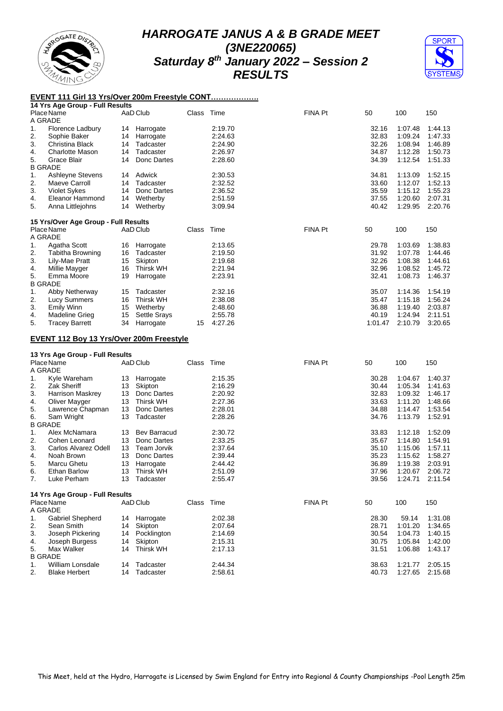



#### **EVENT 111 Girl 13 Yrs/Over 200m Freestyle CONT……………….**

|          | 14 Yrs Age Group - Full Results                 |          |                        |            |                    |                |                |                    |                    |
|----------|-------------------------------------------------|----------|------------------------|------------|--------------------|----------------|----------------|--------------------|--------------------|
|          | Place Name                                      |          | AaD Club               | Class Time |                    | <b>FINA Pt</b> | 50             | 100                | 150                |
|          | A GRADE                                         |          |                        |            |                    |                |                |                    |                    |
| 1.       | <b>Florence Ladbury</b>                         | 14       | Harrogate              |            | 2:19.70            |                | 32.16          | 1:07.48            | 1:44.13            |
| 2.       | Sophie Baker                                    | 14       | Harrogate              |            | 2:24.63            |                | 32.83          | 1:09.24            | 1:47.33            |
| 3.       | Christina Black                                 | 14       | Tadcaster              |            | 2:24.90            |                | 32.26          | 1:08.94            | 1:46.89            |
|          |                                                 |          |                        |            | 2:26.97            |                | 34.87          |                    | 1:50.73            |
| 4.       | <b>Charlotte Mason</b>                          | 14       | Tadcaster              |            |                    |                |                | 1:12.28            |                    |
| 5.       | Grace Blair                                     | 14       | Donc Dartes            |            | 2:28.60            |                | 34.39          | 1:12.54            | 1:51.33            |
|          | <b>B GRADE</b>                                  |          |                        |            |                    |                |                |                    |                    |
| 1.       | Ashleyne Stevens                                | 14       | Adwick                 |            | 2:30.53            |                | 34.81          | 1:13.09            | 1:52.15            |
| 2.       | Maeve Carroll                                   | 14       | Tadcaster              |            | 2:32.52            |                | 33.60          | 1:12.07            | 1:52.13            |
| 3.       | <b>Violet Sykes</b>                             | 14       | Donc Dartes            |            | 2:36.52            |                | 35.59          | 1:15.12            | 1:55.23            |
| 4.       | Eleanor Hammond                                 | 14       | Wetherby               |            | 2:51.59            |                | 37.55          | 1:20.60            | 2:07.31            |
| 5.       | Anna Littlejohns                                | 14       | Wetherby               |            | 3:09.94            |                | 40.42          | 1:29.95            | 2:20.76            |
|          |                                                 |          |                        |            |                    |                |                |                    |                    |
|          | 15 Yrs/Over Age Group - Full Results            |          |                        |            |                    |                |                |                    |                    |
|          |                                                 |          |                        |            |                    |                |                |                    |                    |
|          | Place Name                                      |          | AaD Club               | Class      | Time               | FINA Pt        | 50             | 100                | 150                |
|          | A GRADE                                         |          |                        |            |                    |                |                |                    |                    |
| 1.       | Agatha Scott                                    | 16       | Harrogate              |            | 2:13.65            |                | 29.78          | 1:03.69            | 1:38.83            |
| 2.       | Tabitha Browning                                | 16       | Tadcaster              |            | 2:19.50            |                | 31.92          | 1:07.78            | 1:44.46            |
| 3.       | Lily-Mae Pratt                                  | 15       | Skipton                |            | 2:19.68            |                | 32.26          | 1:08.38            | 1:44.61            |
| 4.       | Millie Mayger                                   | 16       | <b>Thirsk WH</b>       |            | 2:21.94            |                | 32.96          | 1:08.52            | 1:45.72            |
| 5.       | Emma Moore                                      | 19       | Harrogate              |            | 2:23.91            |                | 32.41          | 1:08.73            | 1:46.37            |
|          | <b>B GRADE</b>                                  |          |                        |            |                    |                |                |                    |                    |
|          |                                                 |          |                        |            |                    |                |                |                    |                    |
| 1.       | Abby Netherway                                  | 15       | Tadcaster              |            | 2:32.16            |                | 35.07          | 1:14.36            | 1:54.19            |
| 2.       | Lucy Summers                                    | 16       | <b>Thirsk WH</b>       |            | 2:38.08            |                | 35.47          | 1:15.18            | 1:56.24            |
| 3.       | <b>Emily Winn</b>                               | 15       | Wetherby               |            | 2:48.60            |                | 36.88          | 1:19.40            | 2:03.87            |
| 4.       | Madeline Grieg                                  | 15       | Settle Srays           |            | 2:55.78            |                | 40.19          | 1:24.94            | 2:11.51            |
| 5.       | <b>Tracey Barrett</b>                           | 34       | Harrogate              | 15         | 4:27.26            |                | 1:01.47        | 2:10.79            | 3:20.65            |
|          |                                                 |          |                        |            |                    |                |                |                    |                    |
|          |                                                 |          |                        |            |                    |                |                |                    |                    |
|          |                                                 |          |                        |            |                    |                |                |                    |                    |
|          | <b>EVENT 112 Boy 13 Yrs/Over 200m Freestyle</b> |          |                        |            |                    |                |                |                    |                    |
|          |                                                 |          |                        |            |                    |                |                |                    |                    |
|          | 13 Yrs Age Group - Full Results                 |          |                        |            |                    |                |                |                    |                    |
|          | Place Name                                      |          | AaD Club               | Class      | Time               | FINA Pt        | 50             | 100                | 150                |
|          | A GRADE                                         |          |                        |            |                    |                |                |                    |                    |
| 1.       | Kyle Wareham                                    | 13       | Harrogate              |            | 2:15.35            |                | 30.28          | 1:04.67            | 1:40.37            |
|          |                                                 |          |                        |            |                    |                |                |                    |                    |
| 2.       | Zak Sheriff                                     | 13       | Skipton                |            | 2:16.29            |                | 30.44          | 1:05.34            | 1:41.63            |
| 3.       | <b>Harrison Maskrey</b>                         | 13       | Donc Dartes            |            | 2:20.92            |                | 32.83          | 1:09.32            | 1:46.17            |
| 4.       | Oliver Mayger                                   | 13       | <b>Thirsk WH</b>       |            | 2:27.36            |                | 33.63          | 1:11.20            | 1:48.66            |
| 5.       | Lawrence Chapman                                | 13       | Donc Dartes            |            | 2:28.01            |                | 34.88          | 1:14.47            | 1:53.54            |
| 6.       | Sam Wright                                      | 13       | Tadcaster              |            | 2:28.26            |                | 34.76          | 1:13.79            | 1:52.91            |
|          | <b>B GRADE</b>                                  |          |                        |            |                    |                |                |                    |                    |
| 1.       | Alex McNamara                                   | 13       | <b>Bev Barracud</b>    |            | 2:30.72            |                | 33.83          | 1:12.18            | 1:52.09            |
|          |                                                 |          |                        |            |                    |                |                |                    |                    |
| 2.       | Cohen Leonard                                   | 13       | Donc Dartes            |            | 2:33.25            |                | 35.67          | 1:14.80            | 1:54.91            |
| 3.       | Carlos Alvarez Odell                            | 13       | Team Jorvik            |            | 2:37.64            |                | 35.10          | 1:15.06            | 1:57.11            |
| 4.       | Noah Brown                                      | 13       | Donc Dartes            |            | 2:39.44            |                | 35.23          | 1:15.62            | 1:58.27            |
| 5.       | Marcu Ghetu                                     | 13       | Harrogate              |            | 2:44.42            |                | 36.89          | 1:19.38            | 2:03.91            |
| 6.       | Ethan Barlow                                    | 13       | <b>Thirsk WH</b>       |            | 2:51.09            |                | 37.96          | 1:20.67            | 2:06.72            |
| 7.       | Luke Perham                                     | 13       | Tadcaster              |            | 2:55.47            |                | 39.56          | 1:24.71            | 2:11.54            |
|          |                                                 |          |                        |            |                    |                |                |                    |                    |
|          |                                                 |          |                        |            |                    |                |                |                    |                    |
|          | 14 Yrs Age Group - Full Results                 |          |                        |            |                    |                |                |                    |                    |
|          | Place Name                                      |          | AaD Club               | Class Time |                    | FINA Pt        | 50             | 100                | 150                |
|          | A GRADE                                         |          |                        |            |                    |                |                |                    |                    |
| 1.       | Gabriel Shepherd                                | 14       | Harrogate              |            | 2:02.38            |                | 28.30          | 59.14              | 1:31.08            |
| 2.       | Sean Smith                                      | 14       | Skipton                |            | 2:07.64            |                | 28.71          | 1:01.20            | 1:34.65            |
| 3.       | Joseph Pickering                                | 14       | Pocklington            |            | 2:14.69            |                | 30.54          | 1:04.73            | 1:40.15            |
| 4.       | Joseph Burgess                                  | 14       | Skipton                |            | 2:15.31            |                | 30.75          | 1:05.84            | 1:42.00            |
| 5.       | Max Walker                                      | 14       | <b>Thirsk WH</b>       |            | 2:17.13            |                | 31.51          |                    | 1:43.17            |
|          |                                                 |          |                        |            |                    |                |                | 1:06.88            |                    |
|          | <b>B GRADE</b>                                  |          |                        |            |                    |                |                |                    |                    |
| 1.<br>2. | William Lonsdale<br><b>Blake Herbert</b>        | 14<br>14 | Tadcaster<br>Tadcaster |            | 2:44.34<br>2:58.61 |                | 38.63<br>40.73 | 1:21.77<br>1:27.65 | 2:05.15<br>2:15.68 |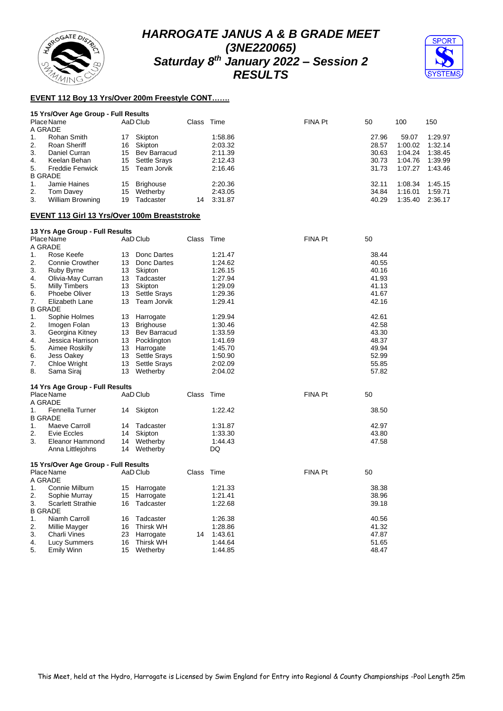



## **EVENT 112 Boy 13 Yrs/Over 200m Freestyle CONT…….**

|         | 15 Yrs/Over Age Group - Full Results |    |                     |            |         |         |       |         |         |
|---------|--------------------------------------|----|---------------------|------------|---------|---------|-------|---------|---------|
|         | Place Name                           |    | AaD Club            | Class Time |         | FINA Pt | 50    | 100     | 150     |
| A GRADE |                                      |    |                     |            |         |         |       |         |         |
| 1.      | Rohan Smith                          | 17 | Skipton             |            | 1:58.86 |         | 27.96 | 59.07   | 1:29.97 |
| 2.      | Roan Sheriff                         | 16 | Skipton             |            | 2:03.32 |         | 28.57 | 1:00.02 | 1:32.14 |
| 3.      | Daniel Curran                        | 15 | Bev Barracud        |            | 2:11.39 |         | 30.63 | 1:04.24 | 1.38.45 |
| 4.      | Keelan Behan                         | 15 | <b>Settle Srays</b> |            | 2:12.43 |         | 30.73 | 1:04.76 | 1:39.99 |
| 5.      | <b>Freddie Fenwick</b>               | 15 | Team Jorvik         |            | 2:16.46 |         | 31.73 | 1:07.27 | 1.43.46 |
|         | <b>B GRADE</b>                       |    |                     |            |         |         |       |         |         |
| 1.      | Jamie Haines                         | 15 | <b>Brighouse</b>    |            | 2:20.36 |         | 32.11 | 1:08.34 | 1:45.15 |
| 2.      | Tom Davey                            | 15 | Wetherby            |            | 2:43.05 |         | 34.84 | 1:16.01 | 1:59.71 |
| 3.      | William Browning                     | 19 | Tadcaster           | 14         | 3:31.87 |         | 40.29 | 1:35.40 | 2:36.17 |
|         |                                      |    |                     |            |         |         |       |         |         |

#### **EVENT 113 Girl 13 Yrs/Over 100m Breaststroke**

#### **13 Yrs Age Group - Full Results**

|    | Place Name<br>A GRADE                |    | AaD Club            | Class | Time    | <b>FINA Pt</b> | 50    |
|----|--------------------------------------|----|---------------------|-------|---------|----------------|-------|
| 1. | Rose Keefe                           | 13 | Donc Dartes         |       | 1:21.47 |                | 38.44 |
| 2. | Connie Crowther                      | 13 | Donc Dartes         |       | 1:24.62 |                | 40.55 |
| 3. | Ruby Byrne                           | 13 | Skipton             |       | 1:26.15 |                | 40.16 |
| 4. | Olivia-May Curran                    | 13 | Tadcaster           |       | 1:27.94 |                | 41.93 |
| 5. | Milly Timbers                        | 13 | Skipton             |       | 1:29.09 |                | 41.13 |
| 6. | <b>Phoebe Oliver</b>                 | 13 | Settle Srays        |       | 1:29.36 |                | 41.67 |
| 7. | Elizabeth Lane                       | 13 | <b>Team Jorvik</b>  |       | 1:29.41 |                | 42.16 |
|    | <b>B GRADE</b>                       |    |                     |       |         |                |       |
| 1. | Sophie Holmes                        | 13 | Harrogate           |       | 1:29.94 |                | 42.61 |
| 2. | Imogen Folan                         | 13 | <b>Brighouse</b>    |       | 1:30.46 |                | 42.58 |
| 3. | Georgina Kitney                      |    | 13 Bev Barracud     |       | 1:33.59 |                | 43.30 |
| 4. | Jessica Harrison                     | 13 | Pocklington         |       | 1:41.69 |                | 48.37 |
| 5. | Aimee Roskilly                       | 13 | Harrogate           |       | 1:45.70 |                | 49.94 |
| 6. | Jess Oakey                           | 13 | <b>Settle Srays</b> |       | 1:50.90 |                | 52.99 |
| 7. | Chloe Wright                         | 13 | <b>Settle Srays</b> |       | 2:02.09 |                | 55.85 |
| 8. | Sama Siraj                           | 13 | Wetherby            |       | 2:04.02 |                | 57.82 |
|    | 14 Yrs Age Group - Full Results      |    |                     |       |         |                |       |
|    | Place Name                           |    | AaD Club            | Class | Time    | FINA Pt        | 50    |
|    | A GRADE                              |    |                     |       |         |                |       |
| 1. | Fennella Turner                      | 14 | Skipton             |       | 1:22.42 |                | 38.50 |
|    | <b>B GRADE</b>                       |    |                     |       |         |                |       |
| 1. | Maeve Carroll                        | 14 | Tadcaster           |       | 1:31.87 |                | 42.97 |
| 2. | Evie Eccles                          | 14 | Skipton             |       | 1:33.30 |                | 43.80 |
| 3. | <b>Eleanor Hammond</b>               | 14 | Wetherby            |       | 1:44.43 |                | 47.58 |
|    | Anna Littlejohns                     | 14 | Wetherby            |       | DQ      |                |       |
|    | 15 Yrs/Over Age Group - Full Results |    |                     |       |         |                |       |
|    | Place Name                           |    | AaD Club            | Class | Time    | FINA Pt        | 50    |
|    | A GRADE                              |    |                     |       |         |                |       |
| 1. | Connie Milburn                       | 15 | Harrogate           |       | 1:21.33 |                | 38.38 |
| 2. | Sophie Murray                        | 15 | Harrogate           |       | 1:21.41 |                | 38.96 |
| 3. | <b>Scarlett Strathie</b>             | 16 | Tadcaster           |       | 1:22.68 |                | 39.18 |
|    | <b>B GRADE</b>                       |    |                     |       |         |                |       |
| 1. | Niamh Carroll                        | 16 | Tadcaster           |       | 1:26.38 |                | 40.56 |
| 2. | Millie Mayger                        | 16 | <b>Thirsk WH</b>    |       | 1:28.86 |                | 41.32 |
| 3. | Charli Vines                         | 23 | Harrogate           | 14    | 1:43.61 |                | 47.87 |
| 4. | <b>Lucy Summers</b>                  | 16 | <b>Thirsk WH</b>    |       | 1:44.64 |                | 51.65 |
| 5. | <b>Emily Winn</b>                    | 15 | Wetherby            |       | 1:44.85 |                | 48.47 |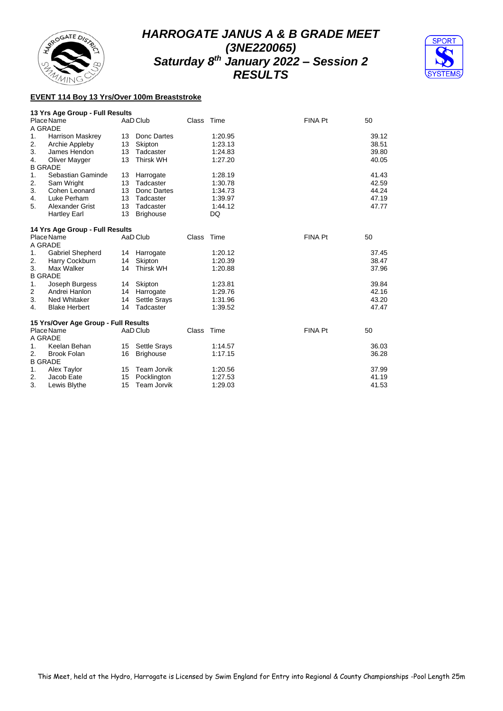



#### **EVENT 114 Boy 13 Yrs/Over 100m Breaststroke**

#### **13 Yrs Age Group - Full Results**

|                | Place Name                           |    | AaD Club            | Class | Time    | <b>FINA Pt</b> | 50    |
|----------------|--------------------------------------|----|---------------------|-------|---------|----------------|-------|
| A GRADE        |                                      |    |                     |       |         |                |       |
| 1.             | <b>Harrison Maskrey</b>              | 13 | Donc Dartes         |       | 1:20.95 |                | 39.12 |
| 2.             | Archie Appleby                       | 13 | Skipton             |       | 1:23.13 |                | 38.51 |
| 3.             | James Hendon                         | 13 | Tadcaster           |       | 1:24.83 |                | 39.80 |
| 4.             | Oliver Mayger                        | 13 | <b>Thirsk WH</b>    |       | 1:27.20 |                | 40.05 |
| <b>B GRADE</b> |                                      |    |                     |       |         |                |       |
| 1.             | Sebastian Gaminde                    | 13 | Harrogate           |       | 1:28.19 |                | 41.43 |
| 2.             | Sam Wright                           | 13 | Tadcaster           |       | 1:30.78 |                | 42.59 |
| 3.             | Cohen Leonard                        | 13 | Donc Dartes         |       | 1:34.73 |                | 44.24 |
| 4.             | Luke Perham                          | 13 | Tadcaster           |       | 1:39.97 |                | 47.19 |
| 5.             | <b>Alexander Grist</b>               | 13 | Tadcaster           |       | 1:44.12 |                | 47.77 |
|                | <b>Hartley Earl</b>                  | 13 | <b>Brighouse</b>    |       | DQ      |                |       |
|                | 14 Yrs Age Group - Full Results      |    |                     |       |         |                |       |
|                | Place Name                           |    | AaD Club            | Class | Time    | <b>FINA Pt</b> | 50    |
| A GRADE        |                                      |    |                     |       |         |                |       |
| 1.             | <b>Gabriel Shepherd</b>              | 14 | Harrogate           |       | 1:20.12 |                | 37.45 |
| 2.             | Harry Cockburn                       | 14 | Skipton             |       | 1:20.39 |                | 38.47 |
| 3.             | Max Walker                           | 14 | <b>Thirsk WH</b>    |       | 1:20.88 |                | 37.96 |
| <b>B GRADE</b> |                                      |    |                     |       |         |                |       |
| 1.             | Joseph Burgess                       | 14 | Skipton             |       | 1:23.81 |                | 39.84 |
| 2              | Andrei Hanlon                        | 14 | Harrogate           |       | 1:29.76 |                | 42.16 |
| 3.             | <b>Ned Whitaker</b>                  | 14 | <b>Settle Srays</b> |       | 1:31.96 |                | 43.20 |
| 4.             | <b>Blake Herbert</b>                 | 14 | Tadcaster           |       | 1:39.52 |                | 47.47 |
|                | 15 Yrs/Over Age Group - Full Results |    |                     |       |         |                |       |
|                | Place Name                           |    | AaD Club            | Class | Time    | FINA Pt        | 50    |
| A GRADE        |                                      |    |                     |       |         |                |       |
| 1.             | Keelan Behan                         | 15 | <b>Settle Srays</b> |       | 1:14.57 |                | 36.03 |
| 2.             | <b>Brook Folan</b>                   | 16 | <b>Brighouse</b>    |       | 1:17.15 |                | 36.28 |
| <b>B GRADE</b> |                                      |    |                     |       |         |                |       |
| 1.             | Alex Taylor                          | 15 | Team Jorvik         |       | 1:20.56 |                | 37.99 |
| 2.             | Jacob Eate                           | 15 | Pocklington         |       | 1:27.53 |                | 41.19 |
| 3.             | Lewis Blythe                         | 15 | Team Jorvik         |       | 1:29.03 |                | 41.53 |
|                |                                      |    |                     |       |         |                |       |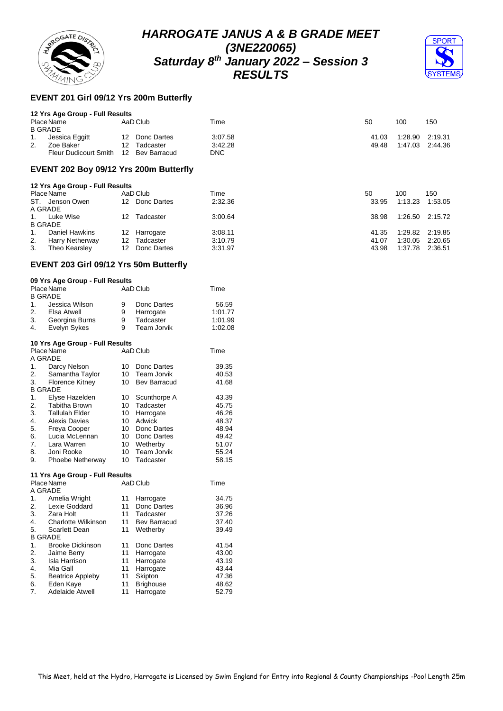



## **EVENT 201 Girl 09/12 Yrs 200m Butterfly**

#### **12 Yrs Age Group - Full Results**

| Place Name<br><b>B GRADE</b> |                       | AaD Club |                 |  | Time       |  | 50    | 100             | 150 |
|------------------------------|-----------------------|----------|-----------------|--|------------|--|-------|-----------------|-----|
|                              |                       |          |                 |  |            |  |       |                 |     |
| 1.                           | Jessica Eggitt        |          | 12 Donc Dartes  |  | 3:07.58    |  | 41.03 | 1:28.90 2:19.31 |     |
| 2.                           | Zoe Baker             | 12       | Tadcaster       |  | 3:42.28    |  | 49.48 | 1.47.03 2.44.36 |     |
|                              | Fleur Dudicourt Smith |          | 12 Bev Barracud |  | <b>DNC</b> |  |       |                 |     |

#### **EVENT 202 Boy 09/12 Yrs 200m Butterfly**

|                | 12 Yrs Age Group - Full Results |     |             |         |       |                 |                 |
|----------------|---------------------------------|-----|-------------|---------|-------|-----------------|-----------------|
|                | Place Name                      |     | AaD Club    | Time    | 50    | 100             | 150             |
|                | ST. Jenson Owen                 | 12  | Donc Dartes | 2:32.36 | 33.95 | 1:13.23         | 1:53.05         |
| A GRADE        |                                 |     |             |         |       |                 |                 |
|                | Luke Wise                       | 12. | Tadcaster   | 3:00.64 | 38.98 |                 | 1:26.50 2:15.72 |
| <b>B GRADE</b> |                                 |     |             |         |       |                 |                 |
|                | Daniel Hawkins                  | 12  | Harrogate   | 3:08.11 | 41.35 | 1:29.82 2:19.85 |                 |
| 2.             | <b>Harry Netherway</b>          | 12  | Tadcaster   | 3:10.79 | 41.07 | 1:30.05         | 2:20.65         |
| 3.             | Theo Kearsley                   | 12  | Donc Dartes | 3:31.97 | 43.98 | 1:37.78         | 2:36.51         |

#### **EVENT 203 Girl 09/12 Yrs 50m Butterfly**

#### **09 Yrs Age Group - Full Results**

|    | Place Name                      |    | AaD Club            | Time    |
|----|---------------------------------|----|---------------------|---------|
|    | <b>B GRADE</b>                  |    |                     |         |
| 1. | Jessica Wilson                  | 9  | Donc Dartes         | 56.59   |
| 2. | Elsa Atwell                     | 9  | Harrogate           | 1:01.77 |
| 3. | Georgina Burns                  | 9  | Tadcaster           | 1:01.99 |
| 4. | Evelyn Sykes                    | 9  | Team Jorvik         | 1:02.08 |
|    | 10 Yrs Age Group - Full Results |    |                     |         |
|    | Place Name                      |    | AaD Club            | Time    |
|    | A GRADE                         |    |                     |         |
| 1. | Darcy Nelson                    | 10 | Donc Dartes         | 39.35   |
| 2. | Samantha Taylor                 |    | 10 Team Jorvik      | 40.53   |
| 3. | <b>Florence Kitney</b>          | 10 | <b>Bev Barracud</b> | 41.68   |
|    | <b>B GRADE</b>                  |    |                     |         |
| 1. | Elyse Hazelden                  | 10 | Scunthorpe A        | 43.39   |
| 2. | Tabitha Brown                   | 10 | Tadcaster           | 45.75   |
| 3. | <b>Tallulah Elder</b>           | 10 | Harrogate           | 46.26   |
| 4. | <b>Alexis Davies</b>            | 10 | Adwick              | 48.37   |
| 5. | <b>Freya Cooper</b>             | 10 | Donc Dartes         | 48.94   |
| 6. | Lucia McLennan                  | 10 | Donc Dartes         | 49.42   |
| 7. | Lara Warren                     | 10 | Wetherby            | 51.07   |

#### **11 Yrs Age Group - Full Results**

|    | Place Name              |    | AaD Club            | Time  |
|----|-------------------------|----|---------------------|-------|
|    | A GRADE                 |    |                     |       |
| 1. | Amelia Wright           | 11 | Harrogate           | 34.75 |
| 2. | Lexie Goddard           | 11 | Donc Dartes         | 36.96 |
| 3. | Zara Holt               | 11 | Tadcaster           | 37.26 |
| 4. | Charlotte Wilkinson     | 11 | <b>Bev Barracud</b> | 37.40 |
| 5. | Scarlett Dean           | 11 | Wetherby            | 39.49 |
|    | <b>B GRADE</b>          |    |                     |       |
| 1. | <b>Brooke Dickinson</b> | 11 | Donc Dartes         | 41.54 |
| 2. | Jaime Berry             | 11 | Harrogate           | 43.00 |
| 3. | Isla Harrison           | 11 | Harrogate           | 43.19 |
| 4. | Mia Gall                | 11 | Harrogate           | 43.44 |
| 5. | <b>Beatrice Appleby</b> | 11 | Skipton             | 47.36 |
| 6. | Eden Kaye               | 11 | <b>Brighouse</b>    | 48.62 |
| 7. | Adelaide Atwell         | 11 | Harrogate           | 52.79 |
|    |                         |    |                     |       |

8. Joni Rooke 10 Team Jorvik 55.24 9. Phoebe Netherway 10 Tadcaster 58.15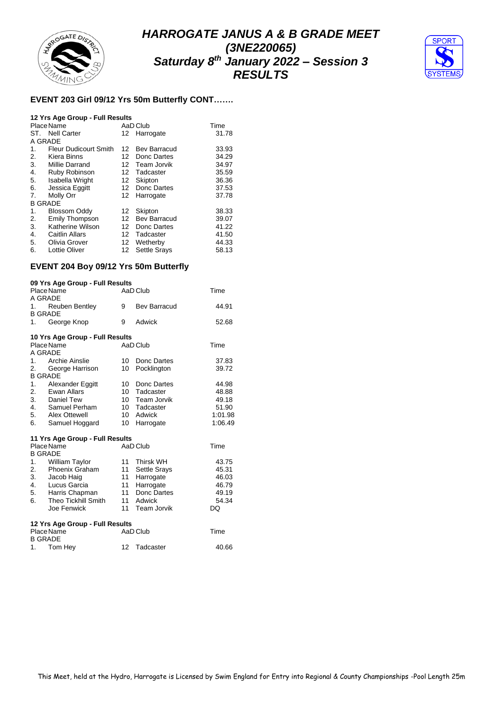



#### **EVENT 203 Girl 09/12 Yrs 50m Butterfly CONT…….**

#### **12 Yrs Age Group - Full Results**

|                | Place Name                   |    | AaD Club            | Time  |
|----------------|------------------------------|----|---------------------|-------|
| ST.            | <b>Nell Carter</b>           |    | 12 Harrogate        | 31.78 |
| A GRADE        |                              |    |                     |       |
| 1.             | <b>Fleur Dudicourt Smith</b> |    | 12 Bev Barracud     | 33.93 |
| 2.             | Kiera Binns                  | 12 | Donc Dartes         | 34.29 |
| 3.             | Millie Darrand               | 12 | Team Jorvik         | 34.97 |
| 4.             | Ruby Robinson                | 12 | Tadcaster           | 35.59 |
| 5.             | Isabella Wright              | 12 | Skipton             | 36.36 |
| 6.             | Jessica Eggitt               | 12 | Donc Dartes         | 37.53 |
| 7.             | Molly Orr                    | 12 | Harrogate           | 37.78 |
| <b>B GRADE</b> |                              |    |                     |       |
| 1.             | <b>Blossom Oddy</b>          | 12 | Skipton             | 38.33 |
| 2.             | <b>Emily Thompson</b>        | 12 | <b>Bev Barracud</b> | 39.07 |
| 3.             | Katherine Wilson             | 12 | Donc Dartes         | 41.22 |
| 4.             | <b>Caitlin Allars</b>        | 12 | Tadcaster           | 41.50 |
| 5.             | Olivia Grover                | 12 | Wetherby            | 44.33 |
| 6.             | Lottie Oliver                | 12 | <b>Settle Srays</b> | 58.13 |

#### **EVENT 204 Boy 09/12 Yrs 50m Butterfly**

#### **09 Yrs Age Group - Full Results** Place Name AaD Club Time A GRADE 1. Reuben Bentley 9 Bev Barracud 44.91 B GRADE 1. George Knop 9 Adwick 52.68 **10 Yrs Age Group - Full Results** Place Name AaD Club Time A GRADE<br>1. Archie Ainslie 10 Donc Dartes 37.83<br>10 Pocklington 39.72 2. George Harrison B GRADE<br>1. Alex 1. Alexander Eggitt 10 Donc Dartes 44.98<br>10 Tadcaster 48.88 2. Ewan Allars 3. Daniel Tew 10 Team Jorvik 49.18<br>4. Samuel Perham 10 Tadcaster 51.90 4. Samuel Perham 10 Tadcaster 51.90<br>5. Alex Ottewell 10 Adwick 10 1:01.98 Alex Ottewell 10 Adwick 1:01.98<br>
Samuel Hoggard 10 Harrogate 1:06.49 6. Samuel Hoggard **11 Yrs Age Group - Full Results** Place Name AaD Club Time B GRADE 1. William Taylor 11 Thirsk WH 43.75<br>2. Phoenix Graham 11 Settle Srays 45.31 Phoenix Graham 11 Settle Srays 45.31<br>
Jacob Haig 11 Harrogate 46.03 3. Jacob Haig 11 Harrogate 4. Lucus Garcia 11 Harrogate 46.79<br>5. Harris Chapman 11 Donc Dartes 49.19 5. Harris Chapman 11 Donc Dartes 49.19<br>6. Theo Tickhill Smith 11 Adwick 54.34 Fheo Tickhill Smith 11 Adwick 54.<br>
Joe Fenwick 11 Team Jorvik DQ Joe Fenwick 11 Team Jorvik **12 Yrs Age Group - Full Results** Place Name  $A$ aD Club Time B GRADE<br>1. Tom Hey 1. Tom Hey 12 Tadcaster 40.66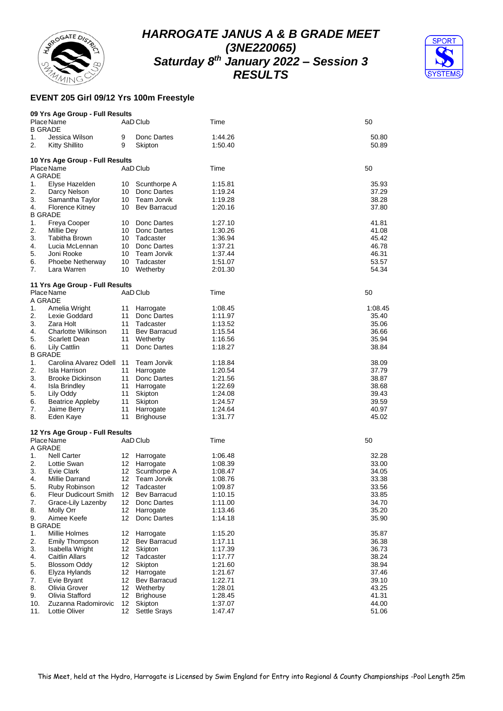



## **EVENT 205 Girl 09/12 Yrs 100m Freestyle**

|     | 09 Yrs Age Group - Full Results |    |                     |         |         |
|-----|---------------------------------|----|---------------------|---------|---------|
|     | Place Name                      |    | AaD Club            | Time    | 50      |
|     | <b>B GRADE</b>                  |    |                     |         |         |
| 1.  | Jessica Wilson                  | 9  | Donc Dartes         | 1:44.26 | 50.80   |
| 2.  | Kitty Shillito                  | 9  | Skipton             | 1:50.40 | 50.89   |
|     | 10 Yrs Age Group - Full Results |    |                     |         |         |
|     | Place Name                      |    | AaD Club            | Time    | 50      |
|     | A GRADE                         |    |                     |         |         |
| 1.  | Elyse Hazelden                  | 10 | Scunthorpe A        | 1:15.81 | 35.93   |
| 2.  | Darcy Nelson                    | 10 | Donc Dartes         | 1:19.24 | 37.29   |
| 3.  | Samantha Taylor                 | 10 | Team Jorvik         | 1:19.28 | 38.28   |
| 4.  | <b>Florence Kitney</b>          | 10 | <b>Bev Barracud</b> | 1:20.16 | 37.80   |
|     | <b>B GRADE</b>                  |    |                     |         |         |
| 1.  | Freya Cooper                    | 10 | Donc Dartes         | 1:27.10 | 41.81   |
| 2.  | Millie Dey                      | 10 | Donc Dartes         | 1:30.26 | 41.08   |
| 3.  | Tabitha Brown                   | 10 | Tadcaster           | 1:36.94 | 45.42   |
| 4.  | Lucia McLennan                  | 10 | Donc Dartes         | 1:37.21 | 46.78   |
| 5.  | Joni Rooke                      | 10 | Team Jorvik         | 1:37.44 | 46.31   |
| 6.  | Phoebe Netherway                | 10 | Tadcaster           | 1:51.07 | 53.57   |
| 7.  | Lara Warren                     | 10 | Wetherby            | 2:01.30 | 54.34   |
|     |                                 |    |                     |         |         |
|     | 11 Yrs Age Group - Full Results |    |                     |         |         |
|     | Place Name                      |    | AaD Club            | Time    | 50      |
|     | A GRADE                         |    |                     |         |         |
| 1.  | Amelia Wright                   | 11 | Harrogate           | 1:08.45 | 1:08.45 |
| 2.  | Lexie Goddard                   | 11 | Donc Dartes         | 1:11.97 | 35.40   |
| 3.  | Zara Holt                       | 11 | Tadcaster           | 1:13.52 | 35.06   |
| 4.  | Charlotte Wilkinson             | 11 | <b>Bev Barracud</b> | 1:15.54 | 36.66   |
| 5.  | Scarlett Dean                   | 11 | Wetherby            | 1:16.56 | 35.94   |
| 6.  | Lily Cattlin                    | 11 | Donc Dartes         | 1:18.27 | 38.84   |
|     | <b>B GRADE</b>                  |    |                     |         |         |
| 1.  | Carolina Alvarez Odell          | 11 | Team Jorvik         | 1:18.84 | 38.09   |
| 2.  | Isla Harrison                   | 11 | Harrogate           | 1:20.54 | 37.79   |
| 3.  | Brooke Dickinson                | 11 | Donc Dartes         | 1:21.56 | 38.87   |
| 4.  | Isla Brindley                   | 11 | Harrogate           | 1:22.69 | 38.68   |
| 5.  | Lily Oddy                       | 11 | Skipton             | 1:24.08 | 39.43   |
| 6.  | <b>Beatrice Appleby</b>         | 11 | Skipton             | 1:24.57 | 39.59   |
| 7.  | Jaime Berry                     | 11 | Harrogate           | 1:24.64 | 40.97   |
| 8.  | Eden Kaye                       | 11 | <b>Brighouse</b>    | 1:31.77 | 45.02   |
|     | 12 Yrs Age Group - Full Results |    |                     |         |         |
|     | Place Name                      |    | AaD Club            | Time    | 50      |
|     | A GRADE                         |    |                     |         |         |
| 1.  | Nell Carter                     | 12 | Harrogate           | 1:06.48 | 32.28   |
| 2.  | Lottie Swan                     | 12 | Harrogate           | 1:08.39 | 33.00   |
| 3.  | Evie Clark                      | 12 | Scunthorpe A        | 1:08.47 | 34.05   |
| 4.  | Millie Darrand                  | 12 | Team Jorvik         | 1:08.76 | 33.38   |
| 5.  | Ruby Robinson                   | 12 | Tadcaster           | 1:09.87 | 33.56   |
| 6.  | <b>Fleur Dudicourt Smith</b>    | 12 | <b>Bev Barracud</b> | 1:10.15 | 33.85   |
| 7.  | Grace-Lily Lazenby              | 12 | Donc Dartes         | 1:11.00 | 34.70   |
| 8.  | Molly Orr                       | 12 | Harrogate           | 1:13.46 | 35.20   |
| 9.  | Aimee Keefe                     | 12 | Donc Dartes         | 1:14.18 | 35.90   |
|     | <b>B GRADE</b>                  |    |                     |         |         |
| 1.  | Millie Holmes                   | 12 | Harrogate           | 1:15.20 | 35.87   |
| 2.  | Emily Thompson                  | 12 | <b>Bev Barracud</b> | 1:17.11 | 36.38   |
| 3.  | Isabella Wright                 | 12 | Skipton             | 1:17.39 | 36.73   |
| 4.  | <b>Caitlin Allars</b>           | 12 | Tadcaster           | 1:17.77 | 38.24   |
| 5.  | Blossom Oddy                    | 12 | Skipton             | 1:21.60 | 38.94   |
| 6.  | Elyza Hylands                   | 12 | Harrogate           | 1:21.67 | 37.46   |
| 7.  | Evie Bryant                     | 12 | Bev Barracud        | 1:22.71 | 39.10   |
| 8.  | Olivia Grover                   | 12 | Wetherby            | 1:28.01 | 43.25   |
| 9.  | Olivia Stafford                 | 12 | <b>Brighouse</b>    | 1:28.45 | 41.31   |
| 10. | Zuzanna Radomirovic             | 12 | Skipton             | 1:37.07 | 44.00   |
| 11. | Lottie Oliver                   | 12 | Settle Srays        | 1:47.47 | 51.06   |
|     |                                 |    |                     |         |         |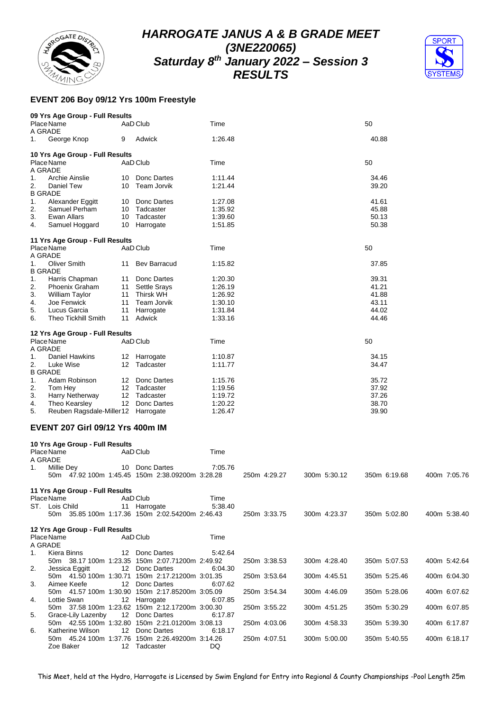



## **EVENT 206 Boy 09/12 Yrs 100m Freestyle**

|                      | 09 Yrs Age Group - Full Results |    |                     |         |       |
|----------------------|---------------------------------|----|---------------------|---------|-------|
| A GRADE              | Place Name                      |    | AaD Club            | Time    | 50    |
| 1.                   | George Knop                     | 9  | Adwick              | 1:26.48 | 40.88 |
|                      | 10 Yrs Age Group - Full Results |    |                     |         |       |
| A GRADE              | Place Name                      |    | AaD Club            | Time    | 50    |
| 1.                   | Archie Ainslie                  | 10 | Donc Dartes         | 1:11.44 | 34.46 |
| 2.<br><b>B GRADE</b> | <b>Daniel Tew</b>               | 10 | Team Jorvik         | 1:21.44 | 39.20 |
| 1.                   | Alexander Eggitt                | 10 | Donc Dartes         | 1:27.08 | 41.61 |
| 2.                   | Samuel Perham                   | 10 | Tadcaster           | 1:35.92 | 45.88 |
| 3.                   | Ewan Allars                     | 10 | Tadcaster           | 1:39.60 | 50.13 |
| 4.                   | Samuel Hoggard                  | 10 | Harrogate           | 1:51.85 | 50.38 |
|                      | 11 Yrs Age Group - Full Results |    |                     |         |       |
| A GRADE              | Place Name                      |    | AaD Club            | Time    | 50    |
| 1.                   | Oliver Smith                    | 11 | <b>Bev Barracud</b> | 1:15.82 | 37.85 |
| <b>B GRADE</b>       |                                 |    |                     |         |       |
| 1.                   | Harris Chapman                  | 11 | Donc Dartes         | 1:20.30 | 39.31 |
| 2.                   | <b>Phoenix Graham</b>           | 11 | <b>Settle Srays</b> | 1:26.19 | 41.21 |
| 3.                   | <b>William Taylor</b>           | 11 | <b>Thirsk WH</b>    | 1:26.92 | 41.88 |
| 4.                   | Joe Fenwick                     | 11 | Team Jorvik         | 1:30.10 | 43.11 |
| 5.                   | Lucus Garcia                    | 11 | Harrogate           | 1:31.84 | 44.02 |
| 6.                   | <b>Theo Tickhill Smith</b>      | 11 | Adwick              | 1:33.16 | 44.46 |
|                      | 12 Yrs Age Group - Full Results |    |                     |         |       |
|                      | Place Name                      |    | AaD Club            | Time    | 50    |
| A GRADE              |                                 |    |                     |         |       |
| 1.                   | <b>Daniel Hawkins</b>           | 12 | Harrogate           | 1:10.87 | 34.15 |
| 2.                   | Luke Wise                       | 12 | Tadcaster           | 1:11.77 | 34.47 |
| <b>B GRADE</b>       |                                 |    |                     |         |       |
| 1.                   | Adam Robinson                   | 12 | Donc Dartes         | 1:15.76 | 35.72 |
| 2.                   | Tom Hey                         | 12 | Tadcaster           | 1:19.56 | 37.92 |
| 3.                   | Harry Netherway                 | 12 | Tadcaster           | 1:19.72 | 37.26 |
| 4.                   | Theo Kearsley                   | 12 | Donc Dartes         | 1:20.22 | 38.70 |
| 5.                   | Reuben Ragsdale-Miller12        |    | Harrogate           | 1:26.47 | 39.90 |

#### **EVENT 207 Girl 09/12 Yrs 400m IM**

|             | 10 Yrs Age Group - Full Results |                   |                                                                   |         |  |              |  |              |              |  |  |              |  |
|-------------|---------------------------------|-------------------|-------------------------------------------------------------------|---------|--|--------------|--|--------------|--------------|--|--|--------------|--|
|             | Place Name                      |                   | AaD Club                                                          | Time    |  |              |  |              |              |  |  |              |  |
| A GRADE     |                                 |                   |                                                                   | 7:05.76 |  |              |  |              |              |  |  |              |  |
| 1.          | Millie Dey                      |                   | 10 Donc Dartes<br>50m 47.92 100m 1:45.45 150m 2:38.09200m 3:28.28 |         |  | 250m 4:29.27 |  | 300m 5:30.12 | 350m 6:19.68 |  |  | 400m 7:05.76 |  |
|             |                                 |                   |                                                                   |         |  |              |  |              |              |  |  |              |  |
|             | 11 Yrs Age Group - Full Results |                   |                                                                   |         |  |              |  |              |              |  |  |              |  |
|             | Place Name                      |                   | AaD Club                                                          | Time    |  |              |  |              |              |  |  |              |  |
|             | ST. Lois Child                  |                   | 11 Harrogate                                                      | 5:38.40 |  |              |  |              |              |  |  |              |  |
|             |                                 |                   | 50m 35.85 100m 1:17.36 150m 2:02.54200m 2:46.43                   |         |  | 250m 3:33.75 |  | 300m 4:23.37 | 350m 5:02.80 |  |  | 400m 5:38.40 |  |
|             | 12 Yrs Age Group - Full Results |                   |                                                                   |         |  |              |  |              |              |  |  |              |  |
|             | Place Name                      |                   | AaD Club                                                          | Time    |  |              |  |              |              |  |  |              |  |
| A GRADE     |                                 |                   |                                                                   |         |  |              |  |              |              |  |  |              |  |
| $1_{\cdot}$ | Kiera Binns                     |                   | 12 Donc Dartes                                                    | 5:42.64 |  |              |  |              |              |  |  |              |  |
|             |                                 |                   | 50m 38.17 100m 1:23.35 150m 2:07.71200m 2:49.92                   |         |  | 250m 3:38.53 |  | 300m 4:28.40 | 350m 5:07.53 |  |  | 400m 5:42.64 |  |
| 2.          | Jessica Eggitt                  |                   | 12 Donc Dartes                                                    | 6:04.30 |  |              |  |              |              |  |  |              |  |
|             |                                 |                   | 50m 41.50 100m 1:30.71 150m 2:17.21200m 3:01.35                   |         |  | 250m 3:53.64 |  | 300m 4:45.51 | 350m 5:25.46 |  |  | 400m 6:04.30 |  |
| 3.          | Aimee Keefe                     | $12 \overline{ }$ | Donc Dartes                                                       | 6:07.62 |  |              |  |              |              |  |  |              |  |
|             |                                 |                   | 50m 41.57 100m 1:30.90 150m 2:17.85200m 3:05.09                   |         |  | 250m 3:54.34 |  | 300m 4:46.09 | 350m 5:28.06 |  |  | 400m 6:07.62 |  |
| 4.          | Lottie Swan                     |                   | 12 Harrogate                                                      | 6:07.85 |  |              |  |              |              |  |  |              |  |
|             |                                 |                   | 50m 37.58 100m 1:23.62 150m 2:12.17200m 3:00.30                   |         |  | 250m 3:55.22 |  | 300m 4:51.25 | 350m 5:30.29 |  |  | 400m 6:07.85 |  |
| 5.          | Grace-Lily Lazenby              |                   | 12 Donc Dartes                                                    | 6:17.87 |  |              |  |              |              |  |  |              |  |
|             |                                 |                   | 50m 42.55 100m 1:32.80 150m 2:21.01200m 3:08.13                   |         |  | 250m 4:03.06 |  | 300m 4:58.33 | 350m 5:39.30 |  |  | 400m 6:17.87 |  |
| 6.          | Katherine Wilson                | 12 <sup>°</sup>   | Donc Dartes                                                       | 6:18.17 |  |              |  |              |              |  |  |              |  |
|             |                                 |                   | 50m 45.24 100m 1:37.76 150m 2:26.49200m 3:14.26                   |         |  | 250m 4:07.51 |  | 300m 5:00.00 | 350m 5:40.55 |  |  | 400m 6:18.17 |  |
|             | Zoe Baker                       |                   | 12 Tadcaster                                                      | DQ      |  |              |  |              |              |  |  |              |  |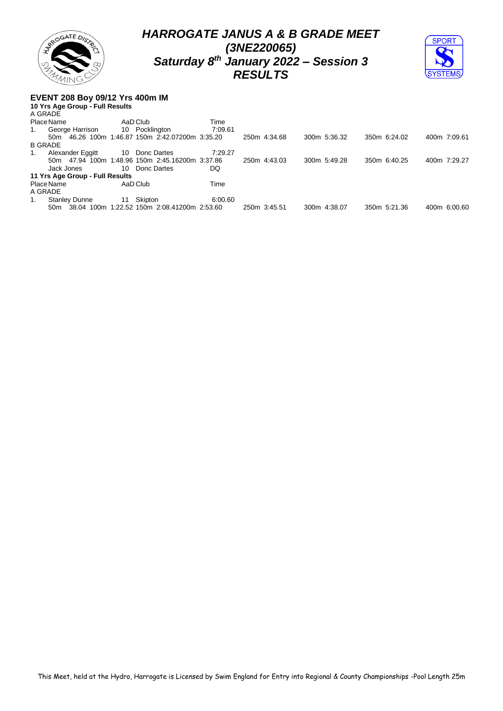



#### **EVENT 208 Boy 09/12 Yrs 400m IM**

|                | 10 Yrs Age Group - Full Results |    |                                                 |         |              |              |              |              |
|----------------|---------------------------------|----|-------------------------------------------------|---------|--------------|--------------|--------------|--------------|
| A GRADE        |                                 |    |                                                 |         |              |              |              |              |
|                | Place Name                      |    | AaD Club                                        | Time    |              |              |              |              |
| 1.             | George Harrison                 |    | 10 Pocklington                                  | 7:09.61 |              |              |              |              |
|                |                                 |    | 50m 46.26 100m 1:46.87 150m 2:42.07200m 3:35.20 |         | 250m 4:34.68 | 300m 5:36.32 | 350m 6:24.02 | 400m 7:09.61 |
| <b>B GRADE</b> |                                 |    |                                                 |         |              |              |              |              |
| 1.             | Alexander Eggitt                |    | 10 Donc Dartes                                  | 7:29.27 |              |              |              |              |
|                |                                 |    | 50m 47.94 100m 1:48.96 150m 2:45.16200m 3:37.86 |         | 250m 4:43.03 | 300m 5:49.28 | 350m 6:40.25 | 400m 7:29.27 |
|                | Jack Jones                      |    | 10 Donc Dartes                                  | DQ      |              |              |              |              |
|                | 11 Yrs Age Group - Full Results |    |                                                 |         |              |              |              |              |
|                | Place Name                      |    | AaD Club                                        | Time    |              |              |              |              |
| A GRADE        |                                 |    |                                                 |         |              |              |              |              |
| 1.             | <b>Stanley Dunne</b>            | 11 | Skipton                                         | 6:00.60 |              |              |              |              |
|                |                                 |    | 50m 38.04 100m 1:22.52 150m 2:08.41200m 2:53.60 |         | 250m 3:45.51 | 300m 4:38.07 | 350m 5:21.36 | 400m 6:00.60 |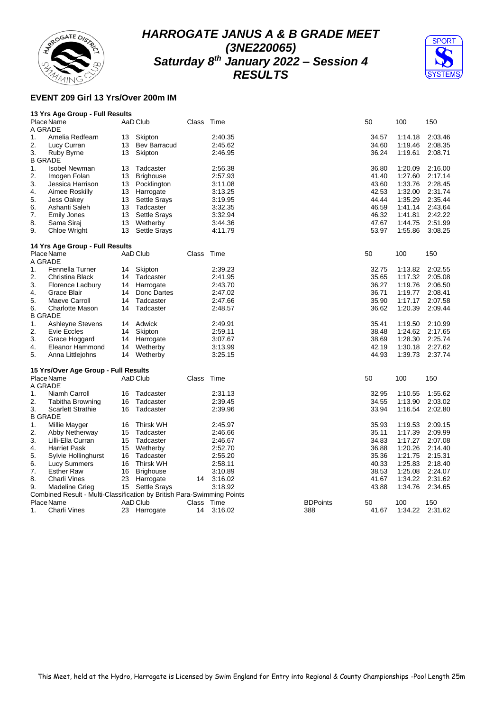



## **EVENT 209 Girl 13 Yrs/Over 200m IM**

| 13 Yrs Age Group - Full Results |  |
|---------------------------------|--|
|---------------------------------|--|

|    | Place Name<br>A GRADE                                                  |    | AaD Club            | Class | Time    |                 | 50    | 100     | 150     |
|----|------------------------------------------------------------------------|----|---------------------|-------|---------|-----------------|-------|---------|---------|
| 1. | Amelia Redfearn                                                        | 13 | Skipton             |       | 2:40.35 |                 | 34.57 | 1:14.18 | 2:03.46 |
| 2. | Lucy Curran                                                            | 13 | <b>Bev Barracud</b> |       | 2:45.62 |                 | 34.60 | 1:19.46 | 2:08.35 |
| 3. | Ruby Byrne                                                             | 13 | Skipton             |       | 2:46.95 |                 | 36.24 | 1:19.61 | 2:08.71 |
|    | <b>B GRADE</b>                                                         |    |                     |       |         |                 |       |         |         |
| 1. | <b>Isobel Newman</b>                                                   | 13 | Tadcaster           |       | 2:56.38 |                 | 36.80 | 1:20.09 | 2:16.00 |
| 2. | Imogen Folan                                                           | 13 | <b>Brighouse</b>    |       | 2:57.93 |                 | 41.40 | 1:27.60 | 2:17.14 |
| 3. | Jessica Harrison                                                       | 13 | Pocklington         |       | 3:11.08 |                 | 43.60 | 1:33.76 | 2:28.45 |
| 4. | Aimee Roskilly                                                         | 13 | Harrogate           |       | 3:13.25 |                 | 42.53 | 1:32.00 | 2:31.74 |
| 5. | Jess Oakey                                                             | 13 | <b>Settle Srays</b> |       | 3:19.95 |                 | 44.44 | 1:35.29 | 2:35.44 |
| 6. | Ashanti Saleh                                                          | 13 | Tadcaster           |       | 3:32.35 |                 | 46.59 | 1:41.14 | 2:43.64 |
| 7. | <b>Emily Jones</b>                                                     | 13 | <b>Settle Srays</b> |       | 3:32.94 |                 | 46.32 | 1:41.81 | 2:42.22 |
| 8. | Sama Siraj                                                             | 13 | Wetherby            |       | 3:44.36 |                 | 47.67 | 1:44.75 | 2:51.99 |
| 9. | Chloe Wright                                                           | 13 | <b>Settle Srays</b> |       | 4:11.79 |                 | 53.97 | 1:55.86 | 3:08.25 |
|    | 14 Yrs Age Group - Full Results                                        |    |                     |       |         |                 |       |         |         |
|    | Place Name                                                             |    | AaD Club            | Class | Time    |                 | 50    | 100     | 150     |
|    | A GRADE                                                                |    |                     |       |         |                 |       |         |         |
| 1. | Fennella Turner                                                        | 14 | Skipton             |       | 2:39.23 |                 | 32.75 | 1:13.82 | 2:02.55 |
| 2. | Christina Black                                                        | 14 | Tadcaster           |       | 2:41.95 |                 | 35.65 | 1:17.32 | 2:05.08 |
| 3. | Florence Ladbury                                                       | 14 | Harrogate           |       | 2:43.70 |                 | 36.27 | 1:19.76 | 2:06.50 |
| 4. | Grace Blair                                                            | 14 | Donc Dartes         |       | 2:47.02 |                 | 36.71 | 1:19.77 | 2:08.41 |
| 5. | Maeve Carroll                                                          | 14 | Tadcaster           |       | 2:47.66 |                 | 35.90 | 1:17.17 | 2:07.58 |
| 6. | Charlotte Mason                                                        | 14 | Tadcaster           |       | 2:48.57 |                 | 36.62 | 1:20.39 | 2:09.44 |
|    | <b>B GRADE</b>                                                         |    |                     |       |         |                 |       |         |         |
| 1. | Ashleyne Stevens                                                       | 14 | Adwick              |       | 2:49.91 |                 | 35.41 | 1:19.50 | 2:10.99 |
| 2. | Evie Eccles                                                            | 14 | Skipton             |       | 2:59.11 |                 | 38.48 | 1:24.62 | 2:17.65 |
| 3. | Grace Hoggard                                                          | 14 | Harrogate           |       | 3:07.67 |                 | 38.69 | 1:28.30 | 2:25.74 |
| 4. | Eleanor Hammond                                                        | 14 | Wetherby            |       | 3:13.99 |                 | 42.19 | 1:30.18 | 2:27.62 |
| 5. | Anna Littlejohns                                                       | 14 | Wetherby            |       | 3:25.15 |                 | 44.93 | 1:39.73 | 2:37.74 |
|    | 15 Yrs/Over Age Group - Full Results                                   |    |                     |       |         |                 |       |         |         |
|    | Place Name                                                             |    | AaD Club            | Class | Time    |                 | 50    | 100     | 150     |
|    | A GRADE                                                                |    |                     |       |         |                 |       |         |         |
| 1. | Niamh Carroll                                                          | 16 | Tadcaster           |       | 2:31.13 |                 | 32.95 | 1:10.55 | 1:55.62 |
| 2. | <b>Tabitha Browning</b>                                                | 16 | Tadcaster           |       | 2:39.45 |                 | 34.55 | 1:13.90 | 2:03.02 |
| 3. | <b>Scarlett Strathie</b><br><b>B GRADE</b>                             | 16 | Tadcaster           |       | 2:39.96 |                 | 33.94 | 1:16.54 | 2:02.80 |
| 1. | Millie Mayger                                                          | 16 | <b>Thirsk WH</b>    |       | 2:45.97 |                 | 35.93 | 1:19.53 | 2:09.15 |
| 2. | Abby Netherway                                                         | 15 | Tadcaster           |       | 2:46.66 |                 | 35.11 | 1:17.39 | 2:09.99 |
| 3. | Lilli-Ella Curran                                                      | 15 | Tadcaster           |       | 2:46.67 |                 | 34.83 | 1:17.27 | 2:07.08 |
| 4. | <b>Harriet Pask</b>                                                    | 15 | Wetherby            |       | 2:52.70 |                 | 36.88 | 1:20.26 | 2:14.40 |
| 5. | Sylvie Hollinghurst                                                    | 16 | Tadcaster           |       | 2:55.20 |                 | 35.36 | 1:21.75 | 2:15.31 |
| 6. | <b>Lucy Summers</b>                                                    | 16 | <b>Thirsk WH</b>    |       | 2:58.11 |                 | 40.33 | 1:25.83 | 2:18.40 |
| 7. | <b>Esther Raw</b>                                                      | 16 | <b>Brighouse</b>    |       | 3:10.89 |                 | 38.53 | 1:25.08 | 2:24.07 |
| 8. | Charli Vines                                                           | 23 | Harrogate           | 14    | 3:16.02 |                 | 41.67 | 1:34.22 | 2:31.62 |
| 9. | Madeline Grieg                                                         |    | 15 Settle Srays     |       | 3:18.92 |                 | 43.88 | 1:34.76 | 2:34.65 |
|    | Combined Result - Multi-Classification by British Para-Swimming Points |    |                     |       |         |                 |       |         |         |
|    | Place Name                                                             |    | AaD Club            | Class | Time    | <b>BDPoints</b> | 50    | 100     | 150     |
| 1. | Charli Vines                                                           | 23 | Harrogate           | 14    | 3:16.02 | 388             | 41.67 | 1:34.22 | 2:31.62 |
|    |                                                                        |    |                     |       |         |                 |       |         |         |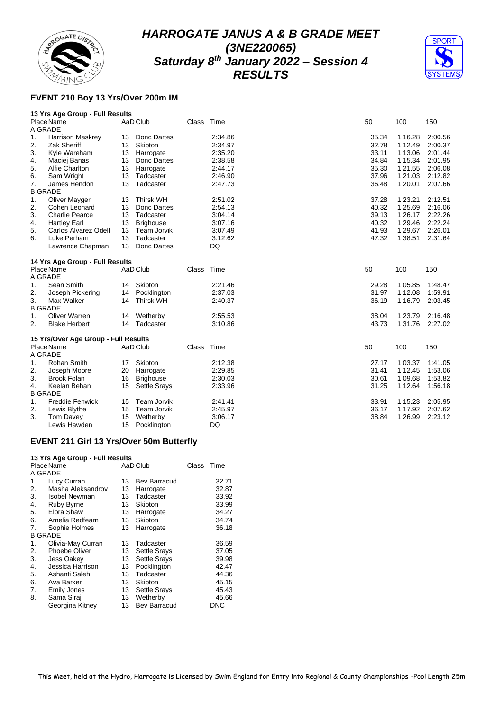



#### **EVENT 210 Boy 13 Yrs/Over 200m IM**

#### **13 Yrs Age Group - Full Results**

|                | Place Name                           |    | AaD Club            | Class      | Time    | 50 |       | 100     | 150     |
|----------------|--------------------------------------|----|---------------------|------------|---------|----|-------|---------|---------|
| A GRADE        |                                      |    |                     |            |         |    |       |         |         |
| 1.             | <b>Harrison Maskrey</b>              | 13 | Donc Dartes         |            | 2:34.86 |    | 35.34 | 1:16.28 | 2:00.56 |
| 2.             | <b>Zak Sheriff</b>                   | 13 | Skipton             |            | 2:34.97 |    | 32.78 | 1:12.49 | 2:00.37 |
| 3.             | Kyle Wareham                         | 13 | Harrogate           |            | 2:35.20 |    | 33.11 | 1:13.06 | 2:01.44 |
| 4.             | Maciej Banas                         | 13 | Donc Dartes         |            | 2:38.58 |    | 34.84 | 1:15.34 | 2:01.95 |
| 5.             | Alfie Charlton                       | 13 | Harrogate           |            | 2:44.17 |    | 35.30 | 1:21.55 | 2:06.08 |
| 6.             | Sam Wright                           | 13 | Tadcaster           |            | 2:46.90 |    | 37.96 | 1:21.03 | 2:12.82 |
| 7.             | James Hendon                         | 13 | Tadcaster           |            | 2:47.73 |    | 36.48 | 1:20.01 | 2:07.66 |
| <b>B GRADE</b> |                                      |    |                     |            |         |    |       |         |         |
| 1.             | Oliver Mayger                        | 13 | <b>Thirsk WH</b>    |            | 2:51.02 |    | 37.28 | 1.23.21 | 2:12.51 |
| 2.             | Cohen Leonard                        | 13 | Donc Dartes         |            | 2:54.13 |    | 40.32 | 1:25.69 | 2:16.06 |
| 3.             | <b>Charlie Pearce</b>                | 13 | Tadcaster           |            | 3:04.14 |    | 39.13 | 1:26.17 | 2:22.26 |
| 4.             | <b>Hartley Earl</b>                  | 13 | <b>Brighouse</b>    |            | 3:07.16 |    | 40.32 | 1:29.46 | 2:22.24 |
| 5.             | Carlos Alvarez Odell                 | 13 | Team Jorvik         |            | 3:07.49 |    | 41.93 | 1:29.67 | 2:26.01 |
| 6.             | Luke Perham                          | 13 | Tadcaster           |            | 3:12.62 |    | 47.32 | 1:38.51 | 2:31.64 |
|                | Lawrence Chapman                     | 13 | Donc Dartes         |            | DQ      |    |       |         |         |
|                | 14 Yrs Age Group - Full Results      |    |                     |            |         |    |       |         |         |
|                | Place Name                           |    | AaD Club            | Class Time |         | 50 |       | 100     | 150     |
| A GRADE        |                                      |    |                     |            |         |    |       |         |         |
| 1.             | Sean Smith                           |    | 14 Skipton          |            | 2:21.46 |    | 29.28 | 1:05.85 | 1:48.47 |
| 2.             | Joseph Pickering                     |    | 14 Pocklington      |            | 2:37.03 |    | 31.97 | 1:12.08 | 1:59.91 |
| 3.             | Max Walker                           | 14 | <b>Thirsk WH</b>    |            | 2:40.37 |    | 36.19 | 1:16.79 | 2:03.45 |
| <b>B GRADE</b> |                                      |    |                     |            |         |    |       |         |         |
| 1.             | <b>Oliver Warren</b>                 |    | 14 Wetherby         |            | 2:55.53 |    | 38.04 | 1:23.79 | 2:16.48 |
| 2.             | <b>Blake Herbert</b>                 | 14 | Tadcaster           |            | 3:10.86 |    | 43.73 | 1:31.76 | 2:27.02 |
|                | 15 Yrs/Over Age Group - Full Results |    |                     |            |         |    |       |         |         |
|                | Place Name                           |    | AaD Club            | Class Time |         | 50 |       | 100     | 150     |
| A GRADE        |                                      |    |                     |            |         |    |       |         |         |
| 1.             | Rohan Smith                          | 17 | Skipton             |            | 2:12.38 |    | 27.17 | 1:03.37 | 1:41.05 |
| 2.             | Joseph Moore                         | 20 | Harrogate           |            | 2:29.85 |    | 31.41 | 1:12.45 | 1:53.06 |
| 3.             | <b>Brook Folan</b>                   | 16 | <b>Brighouse</b>    |            | 2:30.03 |    | 30.61 | 1:09.68 | 1:53.82 |
| 4.             | Keelan Behan                         | 15 | <b>Settle Srays</b> |            | 2:33.96 |    | 31.25 | 1:12.64 | 1:56.18 |
| <b>B GRADE</b> |                                      |    |                     |            |         |    |       |         |         |
| 1.             | <b>Freddie Fenwick</b>               | 15 | <b>Team Jorvik</b>  |            | 2:41.41 |    | 33.91 | 1:15.23 | 2:05.95 |
| 2.             | Lewis Blythe                         | 15 | Team Jorvik         |            | 2:45.97 |    | 36.17 | 1:17.92 | 2:07.62 |
| 3.             | Tom Davey                            | 15 | Wetherby            |            | 3:06.17 |    | 38.84 | 1:26.99 | 2:23.12 |
|                | Lewis Hawden                         | 15 | Pocklington         |            | DQ      |    |       |         |         |

#### **EVENT 211 Girl 13 Yrs/Over 50m Butterfly**

|         | 13 Yrs Age Group - Full Results |    |                     |       |            |
|---------|---------------------------------|----|---------------------|-------|------------|
|         | Place Name                      |    | AaD Club            | Class | Time       |
| A GRADE |                                 |    |                     |       |            |
| 1.      | Lucy Curran                     | 13 | <b>Bev Barracud</b> |       | 32.71      |
| 2.      | Masha Aleksandrov               | 13 | Harrogate           |       | 32.87      |
| 3.      | <b>Isobel Newman</b>            | 13 | Tadcaster           |       | 33.92      |
| 4.      | Ruby Byrne                      | 13 | Skipton             |       | 33.99      |
| 5.      | Elora Shaw                      | 13 | Harrogate           |       | 34.27      |
| 6.      | Amelia Redfearn                 | 13 | Skipton             |       | 34.74      |
| 7.      | Sophie Holmes                   | 13 | Harrogate           |       | 36.18      |
|         | <b>B GRADE</b>                  |    |                     |       |            |
| 1.      | Olivia-May Curran               | 13 | Tadcaster           |       | 36.59      |
| 2.      | <b>Phoebe Oliver</b>            | 13 | <b>Settle Srays</b> |       | 37.05      |
| 3.      | <b>Jess Oakey</b>               | 13 | <b>Settle Srays</b> |       | 39.98      |
| 4.      | Jessica Harrison                | 13 | Pocklington         |       | 42.47      |
| 5.      | Ashanti Saleh                   | 13 | Tadcaster           |       | 44.36      |
| 6.      | Ava Barker                      | 13 | Skipton             |       | 45.15      |
| 7.      | <b>Emily Jones</b>              | 13 | <b>Settle Srays</b> |       | 45.43      |
| 8.      | Sama Siraj                      | 13 | Wetherby            |       | 45.66      |
|         | Georgina Kitney                 | 13 | Bev Barracud        |       | <b>DNC</b> |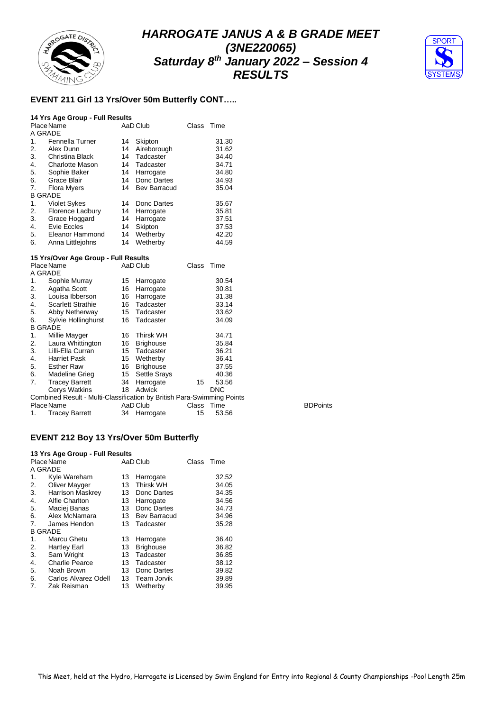



## **EVENT 211 Girl 13 Yrs/Over 50m Butterfly CONT…..**

#### **14 Yrs Age Group - Full Results**

|                | Place Name             |    | AaD Club            | Class | Time  |
|----------------|------------------------|----|---------------------|-------|-------|
| A GRADE        |                        |    |                     |       |       |
| 1.             | Fennella Turner        | 14 | Skipton             |       | 31.30 |
| 2.             | Alex Dunn              | 14 | Aireborough         |       | 31.62 |
| 3.             | Christina Black        | 14 | Tadcaster           |       | 34.40 |
| 4.             | <b>Charlotte Mason</b> | 14 | Tadcaster           |       | 34.71 |
| 5.             | Sophie Baker           | 14 | Harrogate           |       | 34.80 |
| 6.             | Grace Blair            | 14 | Donc Dartes         |       | 34.93 |
| 7.             | <b>Flora Myers</b>     | 14 | <b>Bev Barracud</b> |       | 35.04 |
| <b>B GRADE</b> |                        |    |                     |       |       |
| 1.             | <b>Violet Sykes</b>    | 14 | Donc Dartes         |       | 35.67 |
| 2.             | Florence Ladbury       | 14 | Harrogate           |       | 35.81 |
| 3.             | Grace Hoggard          | 14 | Harrogate           |       | 37.51 |
| 4.             | Evie Eccles            | 14 | Skipton             |       | 37.53 |
| 5.             | Eleanor Hammond        | 14 | Wetherby            |       | 42.20 |
| 6.             | Anna Littlejohns       | 14 | Wetherby            |       | 44.59 |

#### **15 Yrs/Over Age Group - Full Results**

|                | Place Name                                                             |    | AaD Club            | Class | Time       |                 |
|----------------|------------------------------------------------------------------------|----|---------------------|-------|------------|-----------------|
| A GRADE        |                                                                        |    |                     |       |            |                 |
| 1.             | Sophie Murray                                                          | 15 | Harrogate           |       | 30.54      |                 |
| 2.             | Agatha Scott                                                           | 16 | Harrogate           |       | 30.81      |                 |
| 3.             | Louisa Ibberson                                                        | 16 | Harrogate           |       | 31.38      |                 |
| 4.             | <b>Scarlett Strathie</b>                                               | 16 | Tadcaster           |       | 33.14      |                 |
| 5.             | Abby Netherway                                                         | 15 | Tadcaster           |       | 33.62      |                 |
| 6.             | Sylvie Hollinghurst                                                    | 16 | Tadcaster           |       | 34.09      |                 |
| <b>B GRADE</b> |                                                                        |    |                     |       |            |                 |
| 1.             | Millie Mayger                                                          | 16 | <b>Thirsk WH</b>    |       | 34.71      |                 |
| 2.             | Laura Whittington                                                      | 16 | <b>Brighouse</b>    |       | 35.84      |                 |
| 3.             | Lilli-Ella Curran                                                      | 15 | Tadcaster           |       | 36.21      |                 |
| 4.             | <b>Harriet Pask</b>                                                    | 15 | Wetherby            |       | 36.41      |                 |
| 5.             | <b>Esther Raw</b>                                                      | 16 | <b>Brighouse</b>    |       | 37.55      |                 |
| 6.             | Madeline Grieg                                                         | 15 | <b>Settle Srays</b> |       | 40.36      |                 |
| 7.             | <b>Tracey Barrett</b>                                                  | 34 | Harrogate           | 15    | 53.56      |                 |
|                | Cerys Watkins                                                          | 18 | Adwick              |       | <b>DNC</b> |                 |
|                | Combined Result - Multi-Classification by British Para-Swimming Points |    |                     |       |            |                 |
|                | Place Name                                                             |    | AaD Club            | Class | Time       | <b>BDPoints</b> |
| 1.             | <b>Tracey Barrett</b>                                                  |    | 34 Harrogate        | 15    | 53.56      |                 |

#### **EVENT 212 Boy 13 Yrs/Over 50m Butterfly**

| 13 Yrs Age Group - Full Results |                         |    |                  |       |       |  |  |  |  |  |  |
|---------------------------------|-------------------------|----|------------------|-------|-------|--|--|--|--|--|--|
|                                 | Place Name              |    | AaD Club         | Class | Time  |  |  |  |  |  |  |
| A GRADE                         |                         |    |                  |       |       |  |  |  |  |  |  |
| 1.                              | Kyle Wareham            | 13 | Harrogate        |       | 32.52 |  |  |  |  |  |  |
| 2.                              | Oliver Mayger           | 13 | <b>Thirsk WH</b> |       | 34.05 |  |  |  |  |  |  |
| 3.                              | <b>Harrison Maskrey</b> | 13 | Donc Dartes      |       | 34.35 |  |  |  |  |  |  |
| 4.                              | Alfie Charlton          | 13 | Harrogate        |       | 34.56 |  |  |  |  |  |  |
| 5.                              | Maciej Banas            | 13 | Donc Dartes      |       | 34.73 |  |  |  |  |  |  |
| 6.                              | Alex McNamara           | 13 | Bev Barracud     |       | 34.96 |  |  |  |  |  |  |
| 7.                              | James Hendon            | 13 | Tadcaster        |       | 35.28 |  |  |  |  |  |  |
| <b>B GRADE</b>                  |                         |    |                  |       |       |  |  |  |  |  |  |
| 1.                              | Marcu Ghetu             | 13 | Harrogate        |       | 36.40 |  |  |  |  |  |  |
| 2.                              | <b>Hartley Earl</b>     | 13 | <b>Brighouse</b> |       | 36.82 |  |  |  |  |  |  |
| 3.                              | Sam Wright              | 13 | Tadcaster        |       | 36.85 |  |  |  |  |  |  |
| 4.                              | <b>Charlie Pearce</b>   | 13 | Tadcaster        |       | 38.12 |  |  |  |  |  |  |
| 5.                              | Noah Brown              | 13 | Donc Dartes      |       | 39.82 |  |  |  |  |  |  |
| 6.                              | Carlos Alvarez Odell    | 13 | Team Jorvik      |       | 39.89 |  |  |  |  |  |  |
| 7.                              | Zak Reisman             | 13 | Wetherby         |       | 39.95 |  |  |  |  |  |  |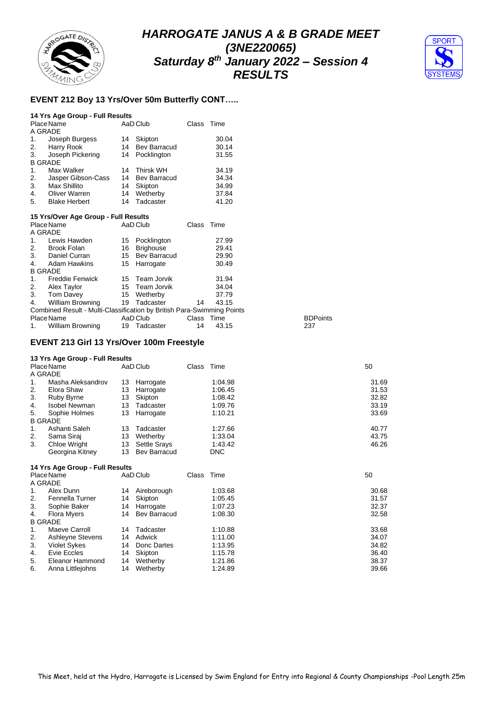



#### **EVENT 212 Boy 13 Yrs/Over 50m Butterfly CONT…..**

|                | 14 Yrs Age Group - Full Results      |    |                  |       |       |
|----------------|--------------------------------------|----|------------------|-------|-------|
|                | Place Name                           |    | AaD Club         | Class | Time  |
| A GRADE        |                                      |    |                  |       |       |
| 1.             | Joseph Burgess                       | 14 | Skipton          |       | 30.04 |
|                | 2. Harry Rook                        |    | 14 Bev Barracud  |       | 30.14 |
| 3.             | Joseph Pickering                     | 14 | Pocklington      |       | 31.55 |
| <b>B GRADE</b> |                                      |    |                  |       |       |
| 1.             | Max Walker                           | 14 | <b>Thirsk WH</b> |       | 34.19 |
| 2.             | Jasper Gibson-Cass                   | 14 | Bev Barracud     |       | 34.34 |
| 3.             | Max Shillito                         | 14 | Skipton          |       | 34.99 |
| 4.             | <b>Oliver Warren</b>                 |    | 14 Wetherby      |       | 37.84 |
| 5.             | <b>Blake Herbert</b>                 | 14 | Tadcaster        |       | 41.20 |
|                | 15 Yrs/Over Age Group - Full Results |    |                  |       |       |
|                | Place Name                           |    | AaD Club         | Class | Time  |

| A GRADE        |                                                                        |    |                 |            |       |                 |
|----------------|------------------------------------------------------------------------|----|-----------------|------------|-------|-----------------|
| 1.             | Lewis Hawden                                                           |    | 15 Pocklington  |            | 27.99 |                 |
| 2.             | Brook Folan                                                            | 16 | Brighouse       |            | 29.41 |                 |
| 3.             | Daniel Curran                                                          |    | 15 Bev Barracud |            | 29.90 |                 |
| 4.             | Adam Hawkins                                                           |    | 15 Harrogate    |            | 30.49 |                 |
| <b>B GRADE</b> |                                                                        |    |                 |            |       |                 |
| 1.             | <b>Freddie Fenwick</b>                                                 |    | 15 Team Jorvik  |            | 31.94 |                 |
|                | 2. Alex Taylor                                                         |    | 15 Team Jorvik  |            | 34.04 |                 |
| 3.             | Tom Davey                                                              |    | 15 Wetherby     |            | 37.79 |                 |
| 4.             | William Browning                                                       |    | 19 Tadcaster    | 14         | 43.15 |                 |
|                | Combined Result - Multi-Classification by British Para-Swimming Points |    |                 |            |       |                 |
|                | Place Name                                                             |    | AaD Club        | Class Time |       | <b>BDPoints</b> |
| $1_{\cdot}$    | William Browning                                                       |    | 19 Tadcaster    | 14         | 43.15 | 237             |
|                |                                                                        |    |                 |            |       |                 |

#### **EVENT 213 Girl 13 Yrs/Over 100m Freestyle**

#### **13 Yrs Age Group - Full Results**

| Place Name |                      |    | AaD Club            | Class | Time       | 50    |
|------------|----------------------|----|---------------------|-------|------------|-------|
|            | A GRADE              |    |                     |       |            |       |
| 1.         | Masha Aleksandrov    | 13 | Harrogate           |       | 1:04.98    | 31.69 |
| 2.         | Elora Shaw           | 13 | Harrogate           |       | 1:06.45    | 31.53 |
| 3.         | Ruby Byrne           | 13 | Skipton             |       | 1:08.42    | 32.82 |
| 4.         | <b>Isobel Newman</b> | 13 | Tadcaster           |       | 1:09.76    | 33.19 |
| 5.         | Sophie Holmes        | 13 | Harrogate           |       | 1:10.21    | 33.69 |
|            | <b>B GRADE</b>       |    |                     |       |            |       |
|            | Ashanti Saleh        | 13 | Tadcaster           |       | 1:27.66    | 40.77 |
| 2.         | Sama Siraj           | 13 | Wetherby            |       | 1:33.04    | 43.75 |
| 3.         | Chloe Wright         | 13 | <b>Settle Srays</b> |       | 1:43.42    | 46.26 |
|            | Georgina Kitney      | 13 | Bev Barracud        |       | <b>DNC</b> |       |

|                     |                                         |             |                                                                                            |         | 50         |
|---------------------|-----------------------------------------|-------------|--------------------------------------------------------------------------------------------|---------|------------|
|                     |                                         |             |                                                                                            |         |            |
| Alex Dunn           | 14                                      | Aireborough |                                                                                            | 1:03.68 | 30.68      |
| Fennella Turner     | 14                                      | Skipton     |                                                                                            | 1:05.45 | 31.57      |
| Sophie Baker        | 14                                      |             |                                                                                            | 1:07.23 | 32.37      |
| Flora Myers         |                                         |             |                                                                                            | 1:08.30 | 32.58      |
|                     |                                         |             |                                                                                            |         |            |
| Maeve Carroll       | 14                                      | Tadcaster   |                                                                                            | 1:10.88 | 33.68      |
| Ashleyne Stevens    | 14                                      | Adwick      |                                                                                            | 1:11.00 | 34.07      |
| <b>Violet Sykes</b> | 14                                      |             |                                                                                            | 1:13.95 | 34.82      |
| Evie Eccles         | 14                                      | Skipton     |                                                                                            | 1:15.78 | 36.40      |
| Eleanor Hammond     | 14                                      | Wetherby    |                                                                                            | 1:21.86 | 38.37      |
| Anna Littlejohns    | 14                                      | Wetherby    |                                                                                            | 1:24.89 | 39.66      |
|                     | Place Name<br>A GRADE<br><b>B GRADE</b> |             | 14 Yrs Age Group - Full Results<br>AaD Club<br>Harrogate<br>14 Bev Barracud<br>Donc Dartes |         | Class Time |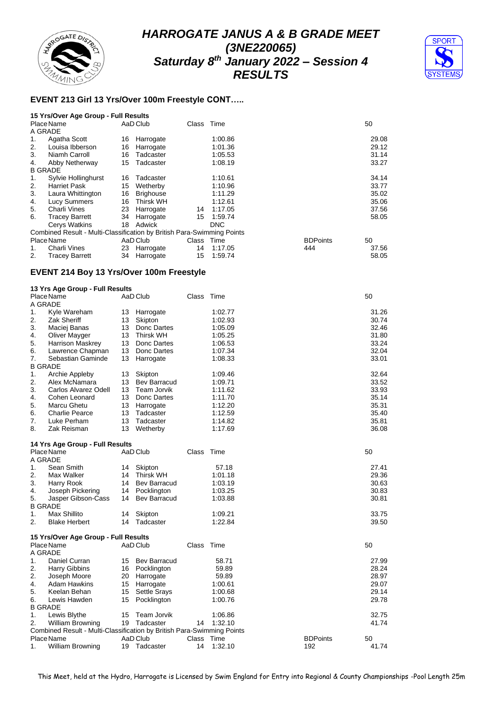



## **EVENT 213 Girl 13 Yrs/Over 100m Freestyle CONT…..**

| 15 Yrs/Over Age Group - Full Results |  |  |  |  |  |  |
|--------------------------------------|--|--|--|--|--|--|
|--------------------------------------|--|--|--|--|--|--|

|                | Place Name<br>A GRADE                                                  |    | AaD Club         | Class Time |            |                 | 50    |
|----------------|------------------------------------------------------------------------|----|------------------|------------|------------|-----------------|-------|
| 1.             | Agatha Scott                                                           | 16 | Harrogate        |            | 1:00.86    |                 | 29.08 |
| 2.             | Louisa Ibberson                                                        | 16 | Harrogate        |            | 1:01.36    |                 | 29.12 |
| 3.             | Niamh Carroll                                                          | 16 | Tadcaster        |            | 1:05.53    |                 | 31.14 |
| 4.             | Abby Netherway                                                         | 15 | Tadcaster        |            | 1:08.19    |                 | 33.27 |
| <b>B GRADE</b> |                                                                        |    |                  |            |            |                 |       |
| 1.             | Sylvie Hollinghurst                                                    | 16 | Tadcaster        |            | 1:10.61    |                 | 34.14 |
| 2.             | <b>Harriet Pask</b>                                                    | 15 | Wetherby         |            | 1:10.96    |                 | 33.77 |
| 3.             | Laura Whittington                                                      | 16 | <b>Brighouse</b> |            | 1:11.29    |                 | 35.02 |
| 4.             | Lucy Summers                                                           | 16 | Thirsk WH        |            | 1:12.61    |                 | 35.06 |
| 5.             | Charli Vines                                                           | 23 | Harrogate        | 14         | 1:17.05    |                 | 37.56 |
| 6.             | <b>Tracey Barrett</b>                                                  | 34 | Harrogate        | 15         | 1:59.74    |                 | 58.05 |
|                | Cerys Watkins                                                          | 18 | Adwick           |            | <b>DNC</b> |                 |       |
|                | Combined Result - Multi-Classification by British Para-Swimming Points |    |                  |            |            |                 |       |
|                | Place Name                                                             |    | AaD Club         | Class Time |            | <b>BDPoints</b> | 50    |
| 1.             | Charli Vines                                                           | 23 | Harrogate        | 14         | 1:17.05    | 444             | 37.56 |
| 2.             | <b>Tracey Barrett</b>                                                  | 34 | Harrogate        | 15         | 1:59.74    |                 | 58.05 |

#### **EVENT 214 Boy 13 Yrs/Over 100m Freestyle**

|    | 13 Yrs Age Group - Full Results                                        |    |                     |       |         |                 |       |
|----|------------------------------------------------------------------------|----|---------------------|-------|---------|-----------------|-------|
|    | Place Name                                                             |    | AaD Club            | Class | Time    |                 | 50    |
|    | A GRADE                                                                |    |                     |       |         |                 |       |
| 1. | Kyle Wareham                                                           | 13 | Harrogate           |       | 1:02.77 |                 | 31.26 |
| 2. | Zak Sheriff                                                            | 13 | Skipton             |       | 1:02.93 |                 | 30.74 |
| 3. | Maciej Banas                                                           | 13 | Donc Dartes         |       | 1:05.09 |                 | 32.46 |
| 4. | Oliver Mayger                                                          | 13 | <b>Thirsk WH</b>    |       | 1:05.25 |                 | 31.80 |
| 5. | Harrison Maskrey                                                       | 13 | Donc Dartes         |       | 1:06.53 |                 | 33.24 |
| 6. | Lawrence Chapman                                                       | 13 | Donc Dartes         |       | 1:07.34 |                 | 32.04 |
| 7. | Sebastian Gaminde                                                      | 13 | Harrogate           |       | 1:08.33 |                 | 33.01 |
|    | <b>B GRADE</b>                                                         |    |                     |       |         |                 |       |
| 1. | Archie Appleby                                                         | 13 | Skipton             |       | 1:09.46 |                 | 32.64 |
| 2. | Alex McNamara                                                          | 13 | <b>Bev Barracud</b> |       | 1:09.71 |                 | 33.52 |
| 3. | Carlos Alvarez Odell                                                   | 13 | Team Jorvik         |       | 1:11.62 |                 | 33.93 |
| 4. | Cohen Leonard                                                          | 13 | Donc Dartes         |       | 1:11.70 |                 | 35.14 |
| 5. | Marcu Ghetu                                                            | 13 | Harrogate           |       | 1:12.20 |                 | 35.31 |
| 6. | <b>Charlie Pearce</b>                                                  | 13 | Tadcaster           |       | 1:12.59 |                 | 35.40 |
| 7. | Luke Perham                                                            | 13 | Tadcaster           |       | 1:14.82 |                 | 35.81 |
| 8. | Zak Reisman                                                            | 13 | Wetherby            |       | 1:17.69 |                 | 36.08 |
|    | 14 Yrs Age Group - Full Results                                        |    |                     |       |         |                 |       |
|    | Place Name                                                             |    | AaD Club            | Class | Time    |                 | 50    |
|    | A GRADE                                                                |    |                     |       |         |                 |       |
| 1. | Sean Smith                                                             | 14 | Skipton             |       | 57.18   |                 | 27.41 |
| 2. | Max Walker                                                             | 14 | <b>Thirsk WH</b>    |       | 1:01.18 |                 | 29.36 |
| 3. | Harry Rook                                                             | 14 | <b>Bev Barracud</b> |       | 1:03.19 |                 | 30.63 |
| 4. | Joseph Pickering                                                       | 14 | Pocklington         |       | 1:03.25 |                 | 30.83 |
| 5. | Jasper Gibson-Cass                                                     | 14 | <b>Bev Barracud</b> |       | 1:03.88 |                 | 30.81 |
|    | <b>B GRADE</b>                                                         |    |                     |       |         |                 |       |
| 1. | Max Shillito                                                           | 14 | Skipton             |       | 1:09.21 |                 | 33.75 |
| 2. | <b>Blake Herbert</b>                                                   | 14 | Tadcaster           |       | 1:22.84 |                 | 39.50 |
|    | 15 Yrs/Over Age Group - Full Results                                   |    |                     |       |         |                 |       |
|    | Place Name                                                             |    | AaD Club            | Class | Time    |                 | 50    |
|    | A GRADE                                                                |    |                     |       |         |                 |       |
| 1. | Daniel Curran                                                          | 15 | <b>Bev Barracud</b> |       | 58.71   |                 | 27.99 |
| 2. | Harry Gibbins                                                          | 16 | Pocklington         |       | 59.89   |                 | 28.24 |
| 2. | Joseph Moore                                                           | 20 | Harrogate           |       | 59.89   |                 | 28.97 |
| 4. | Adam Hawkins                                                           | 15 | Harrogate           |       | 1:00.61 |                 | 29.07 |
| 5. | Keelan Behan                                                           | 15 | <b>Settle Srays</b> |       | 1:00.68 |                 | 29.14 |
| 6. | Lewis Hawden                                                           | 15 | Pocklington         |       | 1:00.76 |                 | 29.78 |
|    | <b>B GRADE</b>                                                         |    |                     |       |         |                 |       |
| 1. | Lewis Blythe                                                           | 15 | Team Jorvik         |       | 1:06.86 |                 | 32.75 |
| 2. | William Browning                                                       | 19 | Tadcaster           | 14    | 1:32.10 |                 | 41.74 |
|    | Combined Result - Multi-Classification by British Para-Swimming Points |    |                     |       |         |                 |       |
|    | Place Name                                                             |    | AaD Club            | Class | Time    | <b>BDPoints</b> | 50    |
| 1. | William Browning                                                       | 19 | Tadcaster           | 14    | 1:32.10 | 192             | 41.74 |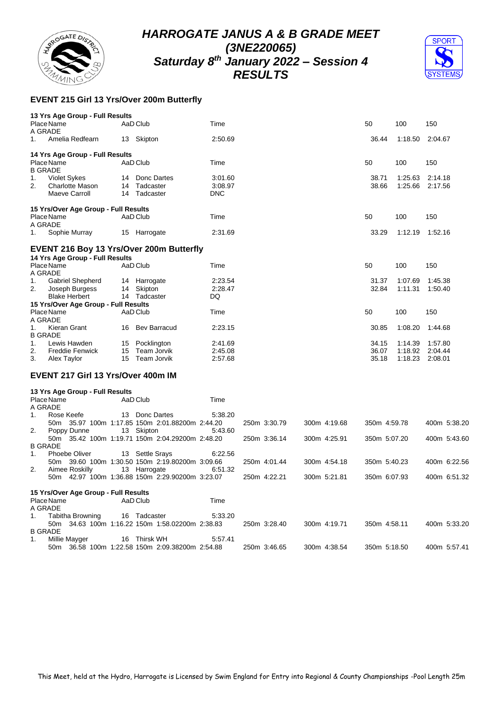



## **EVENT 215 Girl 13 Yrs/Over 200m Butterfly**

| 13 Yrs Age Group - Full Results          |                                                                 |            |              |              |              |         |                 |
|------------------------------------------|-----------------------------------------------------------------|------------|--------------|--------------|--------------|---------|-----------------|
| Place Name<br>A GRADE                    | AaD Club                                                        | Time       |              |              | 50           | 100     | 150             |
| Amelia Redfearn<br>1.                    | 13 Skipton                                                      | 2:50.69    |              |              | 36.44        | 1:18.50 | 2:04.67         |
| 14 Yrs Age Group - Full Results          |                                                                 |            |              |              |              |         |                 |
| Place Name<br><b>B GRADE</b>             | AaD Club                                                        | Time       |              |              | 50           | 100     | 150             |
| 1.<br><b>Violet Sykes</b>                | 14 Donc Dartes                                                  | 3:01.60    |              |              | 38.71        | 1:25.63 | 2:14.18         |
| 2.<br>Charlotte Mason                    | 14 Tadcaster                                                    | 3:08.97    |              |              | 38.66        |         | 1:25.66 2:17.56 |
| Maeve Carroll                            | 14 Tadcaster                                                    | <b>DNC</b> |              |              |              |         |                 |
| 15 Yrs/Over Age Group - Full Results     |                                                                 |            |              |              |              |         |                 |
| Place Name                               | AaD Club                                                        | Time       |              |              | 50           | 100     | 150             |
| A GRADE                                  |                                                                 |            |              |              |              |         |                 |
| 1.<br>Sophie Murray                      | 15 Harrogate                                                    | 2:31.69    |              |              | 33.29        | 1:12.19 | 1:52.16         |
| EVENT 216 Boy 13 Yrs/Over 200m Butterfly |                                                                 |            |              |              |              |         |                 |
| 14 Yrs Age Group - Full Results          |                                                                 |            |              |              |              |         |                 |
| Place Name<br>A GRADE                    | AaD Club                                                        | Time       |              |              | 50           | 100     | 150             |
| Gabriel Shepherd<br>1.                   | 14 Harrogate                                                    | 2:23.54    |              |              | 31.37        | 1:07.69 | 1:45.38         |
| 2.<br>Joseph Burgess                     | 14 Skipton                                                      | 2:28.47    |              |              | 32.84        | 1:11.31 | 1:50.40         |
| <b>Blake Herbert</b>                     | 14 Tadcaster                                                    | DQ         |              |              |              |         |                 |
| 15 Yrs/Over Age Group - Full Results     |                                                                 |            |              |              |              |         |                 |
| Place Name<br>A GRADE                    | AaD Club                                                        | Time       |              |              | 50           | 100     | 150             |
| 1.<br>Kieran Grant<br><b>B GRADE</b>     | 16 Bev Barracud                                                 | 2:23.15    |              |              | 30.85        | 1:08.20 | 1:44.68         |
| 1.<br>Lewis Hawden                       | 15 Pocklington                                                  | 2:41.69    |              |              | 34.15        | 1:14.39 | 1:57.80         |
| 2.<br><b>Freddie Fenwick</b>             | 15 Team Jorvik                                                  | 2:45.08    |              |              | 36.07        | 1:18.92 | 2:04.44         |
| 3.<br>Alex Taylor                        | 15 Team Jorvik                                                  | 2:57.68    |              |              | 35.18        | 1:18.23 | 2:08.01         |
| EVENT 217 Girl 13 Yrs/Over 400m IM       |                                                                 |            |              |              |              |         |                 |
| 13 Yrs Age Group - Full Results          |                                                                 |            |              |              |              |         |                 |
| Place Name<br>A GRADE                    | AaD Club                                                        | Time       |              |              |              |         |                 |
| Rose Keefe<br>1.                         | 13 Donc Dartes                                                  | 5:38.20    |              |              |              |         |                 |
|                                          | 50m 35.97 100m 1:17.85 150m 2:01.88200m 2:44.20                 |            | 250m 3:30.79 | 300m 4:19.68 | 350m 4:59.78 |         | 400m 5:38.20    |
| 2.<br>Poppy Dunne                        | 13 Skipton                                                      | 5:43.60    |              |              |              |         |                 |
|                                          | 50m 35.42 100m 1:19.71 150m 2:04.29200m 2:48.20                 |            | 250m 3:36.14 | 300m 4:25.91 | 350m 5:07.20 |         | 400m 5:43.60    |
| <b>B GRADE</b>                           |                                                                 |            |              |              |              |         |                 |
| 1.<br><b>Phoebe Oliver</b>               | 13 Settle Srays                                                 | 6:22.56    |              |              |              |         |                 |
|                                          | 50m 39.60 100m 1:30.50 150m 2:19.80200m 3:09.66                 |            | 250m 4:01.44 | 300m 4:54.18 | 350m 5:40.23 |         | 400m 6:22.56    |
| 2.<br>Aimee Roskilly                     | 13 Harrogate<br>50m 42.97 100m 1:36.88 150m 2:29.90200m 3:23.07 | 6:51.32    | 250m 4:22.21 | 300m 5:21.81 | 350m 6:07.93 |         | 400m 6:51.32    |
|                                          |                                                                 |            |              |              |              |         |                 |
| 15 Yrs/Over Age Group - Full Results     |                                                                 |            |              |              |              |         |                 |
| Place Name                               | AaD Club                                                        | Time       |              |              |              |         |                 |
| A GRADE                                  |                                                                 |            |              |              |              |         |                 |
| 1.<br>Tabitha Browning                   | 16 Tadcaster                                                    | 5:33.20    |              |              |              |         |                 |
|                                          | 50m 34.63 100m 1:16.22 150m 1:58.02200m 2:38.83                 |            | 250m 3:28.40 | 300m 4:19.71 | 350m 4:58.11 |         | 400m 5:33.20    |
| <b>B GRADE</b>                           |                                                                 |            |              |              |              |         |                 |
| 1.<br>Millie Mayger                      | 16 Thirsk WH                                                    | 5:57.41    |              |              |              |         |                 |
| 50m                                      | 36.58 100m 1:22.58 150m 2:09.38200m 2:54.88                     |            | 250m 3:46.65 | 300m 4:38.54 | 350m 5:18.50 |         | 400m 5:57.41    |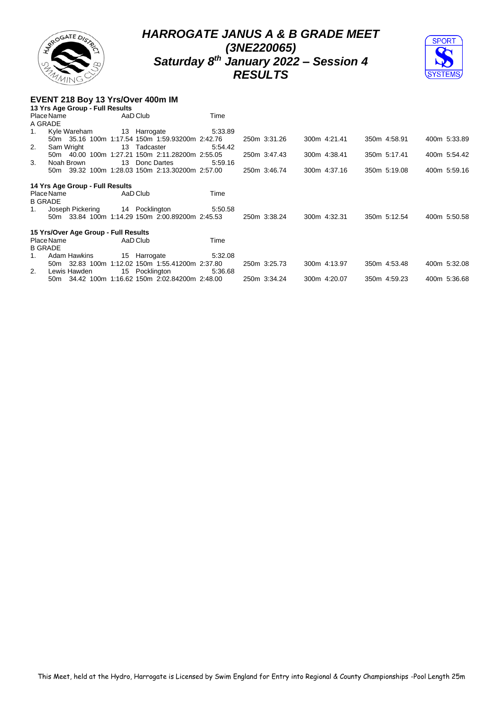



#### **EVENT 218 Boy 13 Yrs/Over 400m IM**

|    | 13 Yrs Age Group - Full Results      |                                                 |         |              |              |              |              |
|----|--------------------------------------|-------------------------------------------------|---------|--------------|--------------|--------------|--------------|
|    | Place Name                           | AaD Club                                        | Time    |              |              |              |              |
|    | A GRADE                              |                                                 |         |              |              |              |              |
| 1. | Kyle Wareham                         | 13 Harrogate                                    | 5:33.89 |              |              |              |              |
|    |                                      | 50m 35.16 100m 1:17.54 150m 1:59.93200m 2:42.76 |         | 250m 3:31.26 | 300m 4:21.41 | 350m 4:58.91 | 400m 5:33.89 |
| 2. | Sam Wright                           | 13 Tadcaster                                    | 5.54.42 |              |              |              |              |
|    | 50m 40.00 100m                       | 1:27.21 150m 2:11.28200m 2:55.05                |         | 250m 3:47.43 | 300m 4:38.41 | 350m 5:17.41 | 400m 5:54.42 |
| 3. | Noah Brown                           | Donc Dartes<br>13                               | 5.59.16 |              |              |              |              |
|    |                                      | 50m 39.32 100m 1:28.03 150m 2:13.30200m 2:57.00 |         | 250m 3:46.74 | 300m 4:37.16 | 350m 5:19.08 | 400m 5:59.16 |
|    |                                      |                                                 |         |              |              |              |              |
|    | 14 Yrs Age Group - Full Results      |                                                 |         |              |              |              |              |
|    | Place Name                           | AaD Club                                        | Time    |              |              |              |              |
|    | <b>B GRADE</b>                       |                                                 |         |              |              |              |              |
| 1. | Joseph Pickering                     | 14 Pocklington                                  | 5:50.58 |              |              |              |              |
|    |                                      | 50m 33.84 100m 1:14.29 150m 2:00.89200m 2:45.53 |         | 250m 3:38.24 | 300m 4:32.31 | 350m 5:12.54 | 400m 5:50.58 |
|    |                                      |                                                 |         |              |              |              |              |
|    | 15 Yrs/Over Age Group - Full Results |                                                 |         |              |              |              |              |
|    | Place Name                           | AaD Club                                        | Time    |              |              |              |              |
|    | <b>B GRADE</b>                       |                                                 |         |              |              |              |              |
| 1. | <b>Adam Hawkins</b>                  | 15 Harrogate                                    | 5.32.08 |              |              |              |              |
|    | 50m 32.83 100m                       | 1:12.02 150m 1:55.41200m 2:37.80                |         | 250m 3:25.73 | 300m 4:13.97 | 350m 4:53.48 | 400m 5:32.08 |
| 2. | Lewis Hawden                         | 15 Pocklington                                  | 5.36.68 |              |              |              |              |
|    |                                      | 50m 34.42 100m 1:16.62 150m 2:02.84200m 2:48.00 |         | 250m 3:34.24 | 300m 4:20.07 | 350m 4:59.23 | 400m 5:36.68 |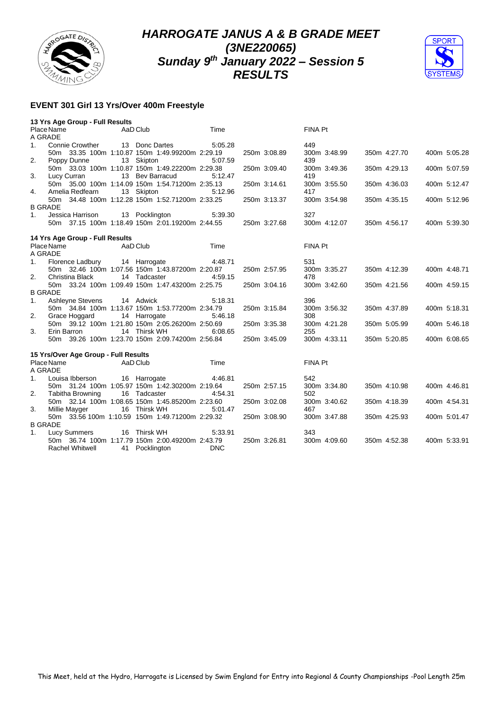



#### **EVENT 301 Girl 13 Yrs/Over 400m Freestyle**

|                | 13 Yrs Age Group - Full Results      |                                                 |            |              |              |              |              |
|----------------|--------------------------------------|-------------------------------------------------|------------|--------------|--------------|--------------|--------------|
|                | Place Name                           | AaD Club                                        | Time       |              | FINA Pt      |              |              |
|                | A GRADE                              |                                                 |            |              |              |              |              |
| 1.             | Connie Crowther                      | 13 Donc Dartes                                  | 5:05.28    |              | 449          |              |              |
|                |                                      | 50m 33.35 100m 1:10.87 150m 1:49.99200m 2:29.19 |            | 250m 3:08.89 | 300m 3:48.99 | 350m 4:27.70 | 400m 5:05.28 |
| 2.             | Poppy Dunne                          | 13 Skipton                                      | 5:07.59    |              | 439          |              |              |
|                |                                      | 50m 33.03 100m 1:10.87 150m 1:49.22200m 2:29.38 |            | 250m 3:09.40 | 300m 3:49.36 | 350m 4:29.13 | 400m 5:07.59 |
| 3.             | Lucy Curran                          | 13 Bev Barracud                                 | 5:12.47    |              | 419          |              |              |
|                |                                      | 50m 35.00 100m 1:14.09 150m 1:54.71200m 2:35.13 |            | 250m 3:14.61 | 300m 3:55.50 | 350m 4:36.03 | 400m 5:12.47 |
| 4.             | Amelia Redfearn                      | 13 Skipton                                      | 5:12.96    |              | 417          |              |              |
|                |                                      | 50m 34.48 100m 1:12.28 150m 1:52.71200m 2:33.25 |            | 250m 3:13.37 | 300m 3:54.98 | 350m 4:35.15 | 400m 5:12.96 |
|                | <b>B GRADE</b>                       |                                                 |            |              |              |              |              |
| 1 <sub>1</sub> | Jessica Harrison                     | 13 Pocklington                                  | 5:39.30    |              | 327          |              |              |
|                |                                      | 50m 37.15 100m 1:18.49 150m 2:01.19200m 2:44.55 |            | 250m 3:27.68 | 300m 4:12.07 | 350m 4:56.17 | 400m 5:39.30 |
|                |                                      |                                                 |            |              |              |              |              |
|                | 14 Yrs Age Group - Full Results      |                                                 |            |              |              |              |              |
|                | Place Name                           | AaD Club                                        | Time       |              | FINA Pt      |              |              |
|                | A GRADE                              |                                                 |            |              |              |              |              |
| 1.             | Florence Ladbury                     | 14 Harrogate                                    | 4:48.71    |              | 531          |              |              |
|                |                                      | 50m 32.46 100m 1:07.56 150m 1:43.87200m 2:20.87 |            | 250m 2:57.95 | 300m 3:35.27 | 350m 4:12.39 | 400m 4:48.71 |
| 2.             | Christina Black                      | 14 Tadcaster                                    | 4:59.15    |              | 478          |              |              |
|                |                                      | 50m 33.24 100m 1:09.49 150m 1:47.43200m 2:25.75 |            | 250m 3:04.16 | 300m 3:42.60 | 350m 4:21.56 | 400m 4:59.15 |
|                | <b>B GRADE</b>                       |                                                 |            |              |              |              |              |
| 1.             | Ashleyne Stevens                     | 14 Adwick                                       | 5:18.31    |              | 396          |              |              |
|                |                                      | 50m 34.84 100m 1:13.67 150m 1:53.77200m 2:34.79 |            | 250m 3:15.84 | 300m 3:56.32 | 350m 4:37.89 | 400m 5:18.31 |
| 2.             | Grace Hoggard                        | 14 Harrogate                                    | 5:46.18    |              | 308          |              |              |
|                |                                      | 50m 39.12 100m 1:21.80 150m 2:05.26200m 2:50.69 |            | 250m 3:35.38 | 300m 4:21.28 | 350m 5:05.99 | 400m 5:46.18 |
| 3.             | Erin Barron                          | 14 Thirsk WH                                    | 6:08.65    |              | 255          |              |              |
|                |                                      | 50m 39.26 100m 1:23.70 150m 2:09.74200m 2:56.84 |            | 250m 3:45.09 | 300m 4:33.11 | 350m 5:20.85 | 400m 6:08.65 |
|                |                                      |                                                 |            |              |              |              |              |
|                | 15 Yrs/Over Age Group - Full Results |                                                 |            |              |              |              |              |
|                | Place Name                           | AaD Club                                        | Time       |              | FINA Pt      |              |              |
|                | A GRADE                              |                                                 |            |              |              |              |              |
| 1.             | Louisa Ibberson                      | 16 Harrogate                                    | 4:46.81    |              | 542          |              |              |
|                |                                      | 50m 31.24 100m 1:05.97 150m 1:42.30200m 2:19.64 |            | 250m 2:57.15 | 300m 3:34.80 | 350m 4:10.98 | 400m 4:46.81 |
| 2.             | <b>Tabitha Browning</b>              | 16 Tadcaster                                    | 4:54.31    |              | 502          |              |              |
|                |                                      | 50m 32.14 100m 1:08.65 150m 1:45.85200m 2:23.60 |            | 250m 3:02.08 | 300m 3:40.62 | 350m 4:18.39 | 400m 4:54.31 |
| 3.             | Millie Mayger                        | 16 Thirsk WH                                    | 5:01.47    |              | 467          |              |              |
|                |                                      | 50m 33.56 100m 1:10.59 150m 1:49.71200m 2:29.32 |            | 250m 3:08.90 | 300m 3:47.88 | 350m 4:25.93 | 400m 5:01.47 |
|                | <b>B GRADE</b>                       |                                                 |            |              |              |              |              |
| 1.             | <b>Lucy Summers</b>                  | 16 Thirsk WH                                    | 5:33.91    |              | 343          |              |              |
|                |                                      | 50m 36.74 100m 1:17.79 150m 2:00.49200m 2:43.79 |            | 250m 3:26.81 | 300m 4:09.60 | 350m 4:52.38 | 400m 5:33.91 |
|                | <b>Rachel Whitwell</b>               | 41 Pocklington                                  | <b>DNC</b> |              |              |              |              |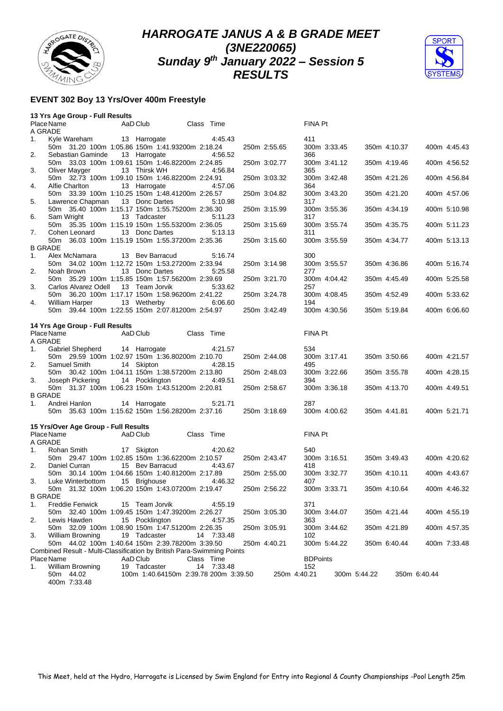



#### **EVENT 302 Boy 13 Yrs/Over 400m Freestyle**

|                       | 13 Yrs Age Group - Full Results                                            |                                       |            |            |              |                 |              |              |              |              |              |
|-----------------------|----------------------------------------------------------------------------|---------------------------------------|------------|------------|--------------|-----------------|--------------|--------------|--------------|--------------|--------------|
| Place Name<br>A GRADE |                                                                            | AaD Club                              |            | Class Time |              | <b>FINA Pt</b>  |              |              |              |              |              |
| 1.                    | Kyle Wareham<br>50m 31.20 100m 1:05.86 150m 1:41.93200m 2:18.24            | 13 Harrogate                          |            | 4.45.43    | 250m 2:55.65 | 411             | 300m 3:33.45 |              | 350m 4:10.37 |              | 400m 4:45.43 |
| 2.                    | Sebastian Gaminde<br>50m 33.03 100m 1:09.61 150m 1:46.82200m 2:24.85       | 13 Harrogate                          |            | 4:56.52    | 250m 3:02.77 | 366             | 300m 3:41.12 |              | 350m 4:19.46 |              | 400m 4:56.52 |
| 3.                    | Oliver Mayger                                                              | 13 Thirsk WH                          |            | 4:56.84    |              | 365             |              |              |              |              |              |
| 4.                    | 50m 32.73 100m 1:09.10 150m 1:46.82200m 2:24.91<br>Alfie Charlton          | 13 Harrogate                          |            | 4:57.06    | 250m 3:03.32 | 364             | 300m 3:42.48 |              | 350m 4:21.26 |              | 400m 4:56.84 |
| 5.                    | 50m 33.39 100m 1:10.25 150m 1:48.41200m 2:26.57<br>Lawrence Chapman        | 13 Donc Dartes                        |            | 5:10.98    | 250m 3:04.82 | 317             | 300m 3:43.20 |              | 350m 4:21.20 |              | 400m 4:57.06 |
|                       | 50m 35.40 100m 1:15.17 150m 1:55.75200m 2:36.30                            |                                       |            |            | 250m 3:15.99 |                 | 300m 3:55.36 |              | 350m 4:34.19 |              | 400m 5:10.98 |
| 6.                    | Sam Wright<br>50m 35.35 100m 1:15.19 150m 1:55.53200m 2:36.05              | 13 Tadcaster                          |            | 5:11.23    | 250m 3:15.69 | 317             | 300m 3:55.74 |              | 350m 4:35.75 |              | 400m 5:11.23 |
| 7.                    | Cohen Leonard<br>50m 36.03 100m 1:15.19 150m 1:55.37200m 2:35.36           | 13 Donc Dartes                        |            | 5:13.13    | 250m 3:15.60 | 311             |              |              | 350m 4:34.77 |              |              |
| <b>B GRADE</b>        |                                                                            |                                       |            |            |              |                 | 300m 3:55.59 |              |              |              | 400m 5:13.13 |
| 1.                    | Alex McNamara<br>50m 34.02 100m 1:12.72 150m 1:53.27200m 2:33.94           | 13 Bev Barracud                       |            | 5:16.74    | 250m 3:14.98 | 300             | 300m 3:55.57 |              | 350m 4:36.86 |              | 400m 5:16.74 |
| 2.                    | Noah Brown                                                                 | 13 Donc Dartes                        |            | 5:25.58    |              | 277             |              |              |              |              |              |
|                       | 50m 35.29 100m 1:15.85 150m 1:57.56200m 2:39.69                            |                                       |            |            | 250m 3:21.70 |                 | 300m 4:04.42 |              | 350m 4:45.49 |              | 400m 5:25.58 |
| 3.                    | Carlos Alvarez Odell                                                       | 13 Team Jorvik                        |            | 5:33.62    |              | 257             |              |              |              |              |              |
| 4.                    | 50m 36.20 100m 1:17.17 150m 1:58.96200m 2:41.22<br>William Harper          | 13 Wetherby                           |            | 6:06.60    | 250m 3:24.78 | 194             | 300m 4:08.45 |              | 350m 4:52.49 |              | 400m 5:33.62 |
|                       | 50m 39.44 100m 1:22.55 150m 2:07.81200m 2:54.97                            |                                       |            |            | 250m 3:42.49 |                 | 300m 4:30.56 |              | 350m 5:19.84 |              | 400m 6:06.60 |
|                       | 14 Yrs Age Group - Full Results                                            |                                       |            |            |              |                 |              |              |              |              |              |
| Place Name<br>A GRADE |                                                                            | AaD Club                              | Class Time |            |              | <b>FINA Pt</b>  |              |              |              |              |              |
| 1.                    | Gabriel Shepherd                                                           | 14 Harrogate                          |            | 4:21.57    |              | 534             |              |              |              |              |              |
|                       | 50m 29.59 100m 1:02.97 150m 1:36.80200m 2:10.70                            |                                       |            |            | 250m 2:44.08 |                 | 300m 3:17.41 |              | 350m 3:50.66 |              | 400m 4:21.57 |
| 2.                    | Samuel Smith                                                               | 14 Skipton                            |            | 4:28.15    |              | 495             |              |              |              |              |              |
| 3.                    | 50m 30.42 100m 1:04.11 150m 1:38.57200m 2:13.80<br>Joseph Pickering        | 14 Pocklington                        |            | 4:49.51    | 250m 2:48.03 | 394             | 300m 3:22.66 |              | 350m 3:55.78 |              | 400m 4:28.15 |
|                       | 50m 31.37 100m 1:06.23 150m 1:43.51200m 2:20.81                            |                                       |            |            | 250m 2:58.67 |                 | 300m 3:36.18 |              | 350m 4:13.70 |              | 400m 4:49.51 |
| <b>B GRADE</b>        |                                                                            |                                       |            |            |              |                 |              |              |              |              |              |
| 1.                    | Andrei Hanlon                                                              | 14 Harrogate                          |            | 5:21.71    |              | 287             |              |              |              |              |              |
|                       | 50m 35.63 100m 1:15.62 150m 1:56.28200m 2:37.16                            |                                       |            |            | 250m 3:18.69 |                 | 300m 4:00.62 |              | 350m 4:41.81 |              | 400m 5:21.71 |
| Place Name            | 15 Yrs/Over Age Group - Full Results                                       | AaD Club                              |            | Class Time |              | FINA Pt         |              |              |              |              |              |
| A GRADE               |                                                                            |                                       |            |            |              |                 |              |              |              |              |              |
| 1.                    | Rohan Smith                                                                | 17 Skipton                            |            | 4:20.62    |              | 540             |              |              |              |              |              |
|                       | 50m 29.47 100m 1:02.85 150m 1:36.62200m 2:10.57                            |                                       |            |            | 250m 2:43.47 |                 | 300m 3:16.51 |              | 350m 3:49.43 |              | 400m 4:20.62 |
| 2.                    | Daniel Curran                                                              | 15 Bev Barracud                       |            | 4:43.67    |              | 418             |              |              |              |              |              |
|                       | 50m 30.14 100m 1:04.66 150m 1:40.81200m 2:17.89                            |                                       |            |            | 250m 2:55.00 |                 | 300m 3:32.77 |              | 350m 4:10.11 |              | 400m 4:43.67 |
| 3.                    | Luke Winterbottom<br>50m 31.32 100m 1:06.20 150m 1:43.07200m 2:19.47       | 15 Brighouse                          |            | 4:46.32    | 250m 2:56.22 | 407             | 300m 3:33.71 |              | 350m 4:10.64 |              | 400m 4:46.32 |
| <b>B GRADE</b>        |                                                                            |                                       |            |            |              |                 |              |              |              |              |              |
| 1.                    | <b>Freddie Fenwick</b>                                                     | 15 Team Jorvik                        |            | 4:55.19    |              | 371             |              |              |              |              |              |
|                       | 50m 32.40 100m 1:09.45 150m 1:47.39200m 2:26.27                            |                                       |            |            | 250m 3:05.30 |                 | 300m 3:44.07 |              | 350m 4:21.44 |              | 400m 4:55.19 |
| 2.                    | Lewis Hawden                                                               | 15 Pocklington                        |            | 4:57.35    |              | 363             |              |              |              |              |              |
|                       | 50m 32.09 100m 1:08.90 150m 1:47.51200m 2:26.35                            |                                       |            |            | 250m 3:05.91 |                 | 300m 3:44.62 |              | 350m 4:21.89 |              | 400m 4:57.35 |
| 3.                    | <b>William Browning</b><br>50m 44.02 100m 1:40.64 150m 2:39.78200m 3:39.50 | 19 Tadcaster                          |            | 14 7:33.48 | 250m 4:40.21 | 102             | 300m 5:44.22 |              | 350m 6:40.44 |              | 400m 7:33.48 |
|                       | Combined Result - Multi-Classification by British Para-Swimming Points     |                                       |            |            |              |                 |              |              |              |              |              |
| Place Name            |                                                                            | AaD Club                              |            | Class Time |              | <b>BDPoints</b> |              |              |              |              |              |
| 1.                    | <b>William Browning</b>                                                    | 19 Tadcaster                          |            | 14 7:33.48 |              | 152             |              |              |              |              |              |
|                       | 50m 44.02<br>400m 7:33.48                                                  | 100m 1:40.64150m 2:39.78 200m 3:39.50 |            |            |              | 250m 4:40.21    |              | 300m 5:44.22 |              | 350m 6:40.44 |              |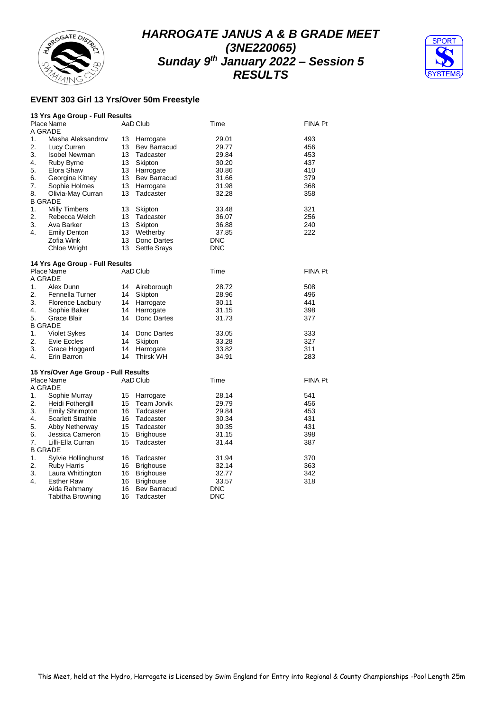



## **EVENT 303 Girl 13 Yrs/Over 50m Freestyle**

|                | 13 Yrs Age Group - Full Results      |    |                     |            |                |
|----------------|--------------------------------------|----|---------------------|------------|----------------|
|                | Place Name                           |    | AaD Club            | Time       | FINA Pt        |
| A GRADE        |                                      |    |                     |            |                |
| 1.             | Masha Aleksandrov                    | 13 | Harrogate           | 29.01      | 493            |
| 2.             | Lucy Curran                          | 13 | Bev Barracud        | 29.77      | 456            |
| 3.             | <b>Isobel Newman</b>                 | 13 | Tadcaster           | 29.84      | 453            |
| 4.             | Ruby Byrne                           | 13 | Skipton             | 30.20      | 437            |
| 5.             | Elora Shaw                           | 13 | Harrogate           | 30.86      | 410            |
| 6.             | Georgina Kitney                      | 13 | Bev Barracud        | 31.66      | 379            |
| 7.             | Sophie Holmes                        | 13 | Harrogate           | 31.98      | 368            |
| 8.             | Olivia-May Curran                    | 13 | Tadcaster           | 32.28      | 358            |
|                | <b>B GRADE</b>                       |    |                     |            |                |
| 1.             | <b>Milly Timbers</b>                 | 13 | Skipton             | 33.48      | 321            |
| 2.             | Rebecca Welch                        | 13 | Tadcaster           | 36.07      | 256            |
| 3.             | Ava Barker                           | 13 | Skipton             | 36.88      | 240            |
| 4.             | <b>Emily Denton</b>                  | 13 | Wetherby            | 37.85      | 222            |
|                | Zofia Wink                           | 13 | Donc Dartes         | DNC        |                |
|                | Chloe Wright                         | 13 | <b>Settle Srays</b> | <b>DNC</b> |                |
|                |                                      |    |                     |            |                |
|                | 14 Yrs Age Group - Full Results      |    |                     |            |                |
|                | Place Name                           |    | AaD Club            | Time       | <b>FINA Pt</b> |
| A GRADE        |                                      |    |                     |            |                |
| 1.             | Alex Dunn                            | 14 | Aireborough         | 28.72      | 508            |
| 2.             | Fennella Turner                      | 14 | Skipton             | 28.96      | 496            |
| 3.             | Florence Ladbury                     | 14 | Harrogate           | 30.11      | 441            |
| 4.             | Sophie Baker                         | 14 | Harrogate           | 31.15      | 398            |
| 5.             | Grace Blair                          | 14 | Donc Dartes         | 31.73      | 377            |
| <b>B GRADE</b> |                                      |    |                     |            |                |
| 1.             | <b>Violet Sykes</b>                  | 14 | Donc Dartes         | 33.05      | 333            |
| 2.             | Evie Eccles                          | 14 | Skipton             | 33.28      | 327            |
| 3.             | Grace Hoggard                        | 14 | Harrogate           | 33.82      | 311            |
| 4 <sup>1</sup> | Erin Barron                          | 14 | <b>Thirsk WH</b>    | 34.91      | 283            |
|                |                                      |    |                     |            |                |
|                | 15 Yrs/Over Age Group - Full Results |    |                     |            |                |
|                | Place Name                           |    | AaD Club            | Time       | FINA Pt        |
| A GRADE        |                                      |    |                     |            |                |
| 1.             | Sophie Murray                        | 15 | Harrogate           | 28.14      | 541            |
| 2.             | Heidi Fothergill                     | 15 | Team Jorvik         | 29.79      | 456            |
| 3.             | <b>Emily Shrimpton</b>               | 16 | Tadcaster           | 29.84      | 453            |
| 4.             | <b>Scarlett Strathie</b>             | 16 | Tadcaster           | 30.34      | 431            |
| 5.             | Abby Netherway                       | 15 | Tadcaster           | 30.35      | 431            |
| 6.             | Jessica Cameron                      | 15 | <b>Brighouse</b>    | 31.15      | 398            |
| 7.             | Lilli-Ella Curran                    | 15 | Tadcaster           | 31.44      | 387            |
| <b>B GRADE</b> |                                      |    |                     |            |                |
| 1.             | Sylvie Hollinghurst                  | 16 | Tadcaster           | 31.94      | 370            |
| 2.             | <b>Ruby Harris</b>                   | 16 | <b>Brighouse</b>    | 32.14      | 363            |
| 3.             | Laura Whittington                    | 16 | <b>Brighouse</b>    | 32.77      | 342            |
| 4.             | <b>Esther Raw</b>                    | 16 | <b>Brighouse</b>    | 33.57      | 318            |
|                | Aida Rahmany                         | 16 | <b>Bev Barracud</b> | DNC        |                |
|                | Tabitha Browning                     | 16 | Tadcaster           | DNC        |                |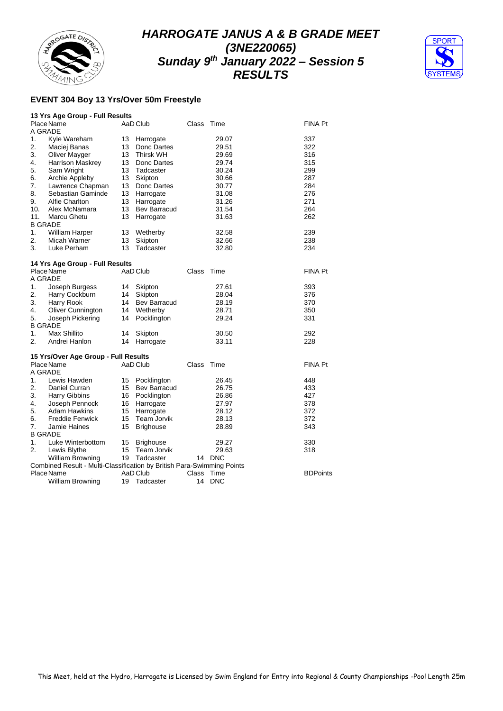



#### **EVENT 304 Boy 13 Yrs/Over 50m Freestyle**

|                       | 13 Yrs Age Group - Full Results                                        |    |                     |       |            |                 |
|-----------------------|------------------------------------------------------------------------|----|---------------------|-------|------------|-----------------|
|                       | Place Name                                                             |    | AaD Club            | Class | Time       | FINA Pt         |
| A GRADE               |                                                                        |    |                     |       |            |                 |
| 1.                    | Kyle Wareham                                                           | 13 | Harrogate           |       | 29.07      | 337             |
| 2.                    | Maciej Banas                                                           | 13 | Donc Dartes         |       | 29.51      | 322             |
| 3.                    | Oliver Mayger                                                          | 13 | <b>Thirsk WH</b>    |       | 29.69      | 316             |
| 4.                    | Harrison Maskrey                                                       | 13 | Donc Dartes         |       | 29.74      | 315             |
| 5.                    | Sam Wright                                                             | 13 | Tadcaster           |       | 30.24      | 299             |
| 6.                    | Archie Appleby                                                         | 13 | Skipton             |       | 30.66      | 287             |
| 7.                    | Lawrence Chapman                                                       | 13 | Donc Dartes         |       | 30.77      | 284             |
| 8.                    | Sebastian Gaminde                                                      | 13 | Harrogate           |       | 31.08      | 276             |
| 9.                    | Alfie Charlton                                                         | 13 | Harrogate           |       | 31.26      | 271             |
| 10.                   | Alex McNamara                                                          | 13 | <b>Bev Barracud</b> |       | 31.54      | 264             |
| 11.<br><b>B GRADE</b> | Marcu Ghetu                                                            | 13 | Harrogate           |       | 31.63      | 262             |
| 1.                    | <b>William Harper</b>                                                  | 13 | Wetherby            |       | 32.58      | 239             |
| 2.                    | Micah Warner                                                           | 13 | Skipton             |       | 32.66      | 238             |
| 3.                    | Luke Perham                                                            | 13 | Tadcaster           |       | 32.80      | 234             |
|                       |                                                                        |    |                     |       |            |                 |
|                       | 14 Yrs Age Group - Full Results                                        |    |                     |       |            |                 |
|                       | Place Name                                                             |    | AaD Club            | Class | Time       | FINA Pt         |
| A GRADE               |                                                                        |    |                     |       |            |                 |
| 1.                    | Joseph Burgess                                                         | 14 | Skipton             |       | 27.61      | 393             |
| 2.                    | Harry Cockburn                                                         | 14 | Skipton             |       | 28.04      | 376             |
| 3.                    | Harry Rook                                                             | 14 | Bev Barracud        |       | 28.19      | 370             |
| 4.                    | Oliver Cunnington                                                      | 14 | Wetherby            |       | 28.71      | 350             |
| 5.                    | Joseph Pickering                                                       | 14 | Pocklington         |       | 29.24      | 331             |
| <b>B GRADE</b>        |                                                                        |    |                     |       |            |                 |
| 1.                    | Max Shillito                                                           | 14 | Skipton             |       | 30.50      | 292             |
| $\overline{2}$ .      | Andrei Hanlon                                                          | 14 | Harrogate           |       | 33.11      | 228             |
|                       | 15 Yrs/Over Age Group - Full Results                                   |    |                     |       |            |                 |
|                       | Place Name                                                             |    | AaD Club            | Class | Time       | FINA Pt         |
| A GRADE               |                                                                        |    |                     |       |            |                 |
| 1.                    | Lewis Hawden                                                           | 15 | Pocklington         |       | 26.45      | 448             |
| 2.                    | Daniel Curran                                                          | 15 | Bev Barracud        |       | 26.75      | 433             |
| 3.                    | Harry Gibbins                                                          | 16 | Pocklington         |       | 26.86      | 427             |
| 4.                    | Joseph Pennock                                                         | 16 | Harrogate           |       | 27.97      | 378             |
| 5.                    | <b>Adam Hawkins</b>                                                    | 15 | Harrogate           |       | 28.12      | 372             |
| 6.                    | <b>Freddie Fenwick</b>                                                 | 15 | Team Jorvik         |       | 28.13      | 372             |
| 7.                    | Jamie Haines                                                           | 15 | <b>Brighouse</b>    |       | 28.89      | 343             |
| <b>B GRADE</b>        |                                                                        |    |                     |       |            |                 |
| 1.                    | Luke Winterbottom                                                      | 15 | <b>Brighouse</b>    |       | 29.27      | 330             |
| 2.                    | Lewis Blythe                                                           | 15 | Team Jorvik         |       | 29.63      | 318             |
|                       | <b>William Browning</b>                                                | 19 | Tadcaster           |       | 14 DNC     |                 |
|                       | Combined Result - Multi-Classification by British Para-Swimming Points |    |                     |       |            |                 |
|                       | Place Name                                                             |    | AaD Club            | Class | Time       | <b>BDPoints</b> |
|                       | <b>William Browning</b>                                                | 19 | Tadcaster           | 14    | <b>DNC</b> |                 |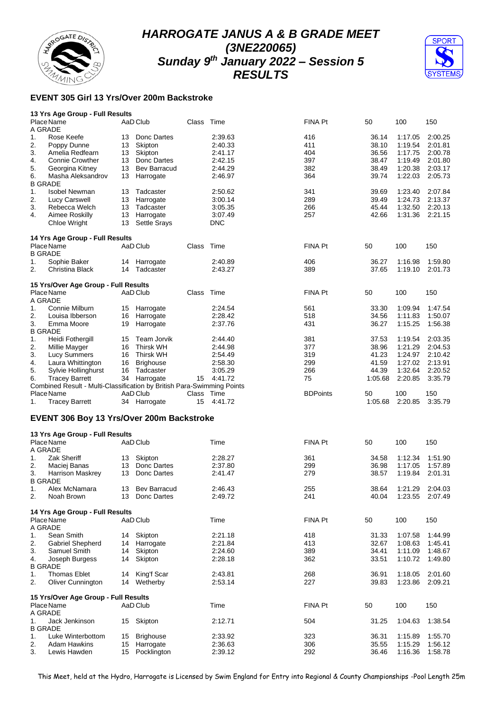



## **EVENT 305 Girl 13 Yrs/Over 200m Backstroke**

| 13 Yrs Age Group - Full Results |                    |
|---------------------------------|--------------------|
| Dloss Name                      | $A \cap \bigcap A$ |

| A GRADE              | Place Name                                                                           |    | AaD Club            | Class      | Time       | <b>FINA Pt</b>  | 50      | 100     | 150     |
|----------------------|--------------------------------------------------------------------------------------|----|---------------------|------------|------------|-----------------|---------|---------|---------|
| 1.                   | Rose Keefe                                                                           | 13 | Donc Dartes         |            | 2:39.63    | 416             | 36.14   | 1:17.05 | 2:00.25 |
| 2.                   | Poppy Dunne                                                                          | 13 | Skipton             |            | 2:40.33    | 411             | 38.10   | 1:19.54 | 2:01.81 |
| 3.                   | Amelia Redfearn                                                                      | 13 | Skipton             |            | 2:41.17    | 404             | 36.56   | 1:17.75 | 2:00.78 |
| 4.                   | <b>Connie Crowther</b>                                                               | 13 | Donc Dartes         |            | 2:42.15    | 397             | 38.47   | 1:19.49 | 2:01.80 |
| 5.                   | Georgina Kitney                                                                      | 13 | <b>Bev Barracud</b> |            | 2:44.29    | 382             | 38.49   | 1:20.38 | 2:03.17 |
| 6.                   | Masha Aleksandrov                                                                    | 13 | Harrogate           |            | 2:46.97    | 364             | 39.74   | 1:22.03 | 2:05.73 |
| <b>B GRADE</b>       |                                                                                      |    |                     |            |            |                 |         |         |         |
| 1.                   | <b>Isobel Newman</b>                                                                 | 13 | Tadcaster           |            | 2:50.62    | 341             | 39.69   | 1:23.40 | 2:07.84 |
| 2.                   | Lucy Carswell                                                                        | 13 | Harrogate           |            | 3:00.14    | 289             | 39.49   | 1.24.73 | 2:13.37 |
| 3.                   | Rebecca Welch                                                                        | 13 | Tadcaster           |            | 3:05.35    | 266             | 45.44   | 1:32.50 | 2:20.13 |
| 4.                   | Aimee Roskilly                                                                       | 13 | Harrogate           |            | 3:07.49    | 257             | 42.66   | 1:31.36 | 2:21.15 |
|                      | Chloe Wright                                                                         | 13 | <b>Settle Srays</b> |            | <b>DNC</b> |                 |         |         |         |
|                      | 14 Yrs Age Group - Full Results                                                      |    |                     |            |            |                 |         |         |         |
|                      | Place Name                                                                           |    | AaD Club            | Class      | Time       | <b>FINA Pt</b>  | 50      | 100     | 150     |
| <b>B GRADE</b>       |                                                                                      |    |                     |            |            |                 |         |         |         |
| 1.                   | Sophie Baker                                                                         |    | 14 Harrogate        |            | 2:40.89    | 406             | 36.27   | 1:16.98 | 1:59.80 |
| 2.                   | Christina Black                                                                      | 14 | Tadcaster           |            | 2:43.27    | 389             | 37.65   | 1:19.10 | 2:01.73 |
|                      | 15 Yrs/Over Age Group - Full Results                                                 |    |                     |            |            |                 |         |         |         |
|                      | Place Name                                                                           |    | AaD Club            | Class      | Time       | FINA Pt         | 50      | 100     | 150     |
| A GRADE              |                                                                                      |    |                     |            |            |                 |         |         |         |
| 1.                   | Connie Milburn                                                                       | 15 | Harrogate           |            | 2:24.54    | 561             | 33.30   | 1:09.94 | 1:47.54 |
| 2.                   | Louisa Ibberson                                                                      | 16 | Harrogate           |            | 2:28.42    | 518             | 34.56   | 1:11.83 | 1:50.07 |
| 3.                   | Emma Moore                                                                           | 19 | Harrogate           |            | 2:37.76    | 431             | 36.27   | 1:15.25 | 1:56.38 |
| <b>B GRADE</b>       |                                                                                      |    |                     |            |            |                 |         |         |         |
| 1.                   | Heidi Fothergill                                                                     | 15 | Team Jorvik         |            | 2:44.40    | 381             | 37.53   | 1.19.54 | 2:03.35 |
| 2.                   | Millie Mayger                                                                        | 16 | <b>Thirsk WH</b>    |            | 2:44.98    | 377             | 38.96   | 1:21.29 | 2:04.53 |
| 3.                   | Lucy Summers                                                                         | 16 | <b>Thirsk WH</b>    |            | 2:54.49    | 319             | 41.23   | 1.24.97 | 2:10.42 |
| 4.                   | Laura Whittington                                                                    | 16 | <b>Brighouse</b>    |            | 2:58.30    | 299             | 41.59   | 1:27.02 | 2:13.91 |
| 5.                   | Sylvie Hollinghurst                                                                  | 16 | Tadcaster           |            | 3:05.29    | 266             | 44.39   | 1:32.64 | 2:20.52 |
| 6.                   | <b>Tracey Barrett</b>                                                                |    | 34 Harrogate        | 15         | 4:41.72    | 75              | 1:05.68 | 2:20.85 | 3:35.79 |
|                      |                                                                                      |    |                     |            |            |                 |         |         |         |
|                      |                                                                                      |    |                     |            |            |                 |         |         |         |
|                      | Combined Result - Multi-Classification by British Para-Swimming Points<br>Place Name |    | AaD Club            | Class Time |            | <b>BDPoints</b> | 50      | 100     | 150     |
| 1.                   | <b>Tracey Barrett</b>                                                                |    | 34 Harrogate        | 15         | 4:41.72    |                 | 1:05.68 | 2:20.85 | 3:35.79 |
|                      | EVENT 306 Boy 13 Yrs/Over 200m Backstroke                                            |    |                     |            |            |                 |         |         |         |
|                      |                                                                                      |    |                     |            |            |                 |         |         |         |
|                      | 13 Yrs Age Group - Full Results                                                      |    |                     |            |            |                 |         |         |         |
|                      | Place Name                                                                           |    | AaD Club            |            | Time       | FINA Pt         | 50      | 100     | 150     |
| A GRADE              |                                                                                      |    |                     |            |            |                 |         |         |         |
| 1.                   | <b>Zak Sheriff</b>                                                                   | 13 | Skipton             |            | 2:28.27    | 361             | 34.58   | 1:12.34 | 1:51.90 |
| 2.                   | Maciej Banas                                                                         | 13 | Donc Dartes         |            | 2:37.80    | 299             | 36.98   | 1:17.05 | 1:57.89 |
| 3.<br><b>B GRADE</b> | Harrison Maskrey                                                                     | 13 | Donc Dartes         |            | 2:41.47    | 279             | 38.57   | 1:19.84 | 2:01.31 |
| 1.                   |                                                                                      | 13 | <b>Bev Barracud</b> |            | 2:46.43    | 255             | 38.64   | 1:21.29 | 2:04.03 |
| 2                    | Alex McNamara<br>Noah Brown                                                          | 13 | Donc Dartes         |            | 2:49.72    | 241             | 40.04   | 1:23.55 | 2:07.49 |
|                      |                                                                                      |    |                     |            |            |                 |         |         |         |
|                      | 14 Yrs Age Group - Full Results                                                      |    |                     |            |            |                 |         |         |         |
|                      | Place Name                                                                           |    | AaD Club            |            | Time       | FINA Pt         | 50      | 100     | 150     |
| A GRADE              |                                                                                      |    |                     |            |            |                 |         |         |         |
| 1.                   | Sean Smith                                                                           | 14 | Skipton             |            | 2:21.18    | 418             | 31.33   | 1:07.58 | 1:44.99 |
| 2.                   | Gabriel Shepherd                                                                     | 14 | Harrogate           |            | 2:21.84    | 413             | 32.67   | 1:08.63 | 1:45.41 |
| 3.                   | Samuel Smith                                                                         | 14 | Skipton             |            | 2:24.60    | 389             | 34.41   | 1:11.09 | 1:48.67 |
| 4.                   | Joseph Burgess                                                                       | 14 | Skipton             |            | 2:28.18    | 362             | 33.51   | 1:10.72 | 1:49.80 |
| <b>B GRADE</b>       |                                                                                      |    |                     |            |            |                 |         |         |         |
| 1.                   | <b>Thomas Eblet</b>                                                                  | 14 | King'f Scar         |            | 2:43.81    | 268             | 36.91   | 1:18.05 | 2:01.60 |
| 2.                   | <b>Oliver Cunnington</b>                                                             | 14 | Wetherby            |            | 2:53.14    | 227             | 39.83   | 1:23.86 | 2:09.21 |
|                      |                                                                                      |    |                     |            |            |                 |         |         |         |
|                      | 15 Yrs/Over Age Group - Full Results<br>Place Name                                   |    | AaD Club            |            | Time       | FINA Pt         |         | 100     |         |
| A GRADE              |                                                                                      |    |                     |            |            |                 | 50      |         | 150     |
| 1.                   | Jack Jenkinson                                                                       | 15 | Skipton             |            | 2:12.71    | 504             | 31.25   | 1:04.63 | 1:38.54 |
| <b>B GRADE</b>       |                                                                                      |    |                     |            |            |                 |         |         |         |
| 1.                   | Luke Winterbottom                                                                    | 15 | <b>Brighouse</b>    |            | 2:33.92    | 323             | 36.31   | 1:15.89 | 1:55.70 |
| 2.                   | <b>Adam Hawkins</b>                                                                  | 15 | Harrogate           |            | 2:36.63    | 306             | 35.55   | 1:15.29 | 1:56.12 |

This Meet, held at the Hydro, Harrogate is Licensed by Swim England for Entry into Regional & County Championships -Pool Length 25m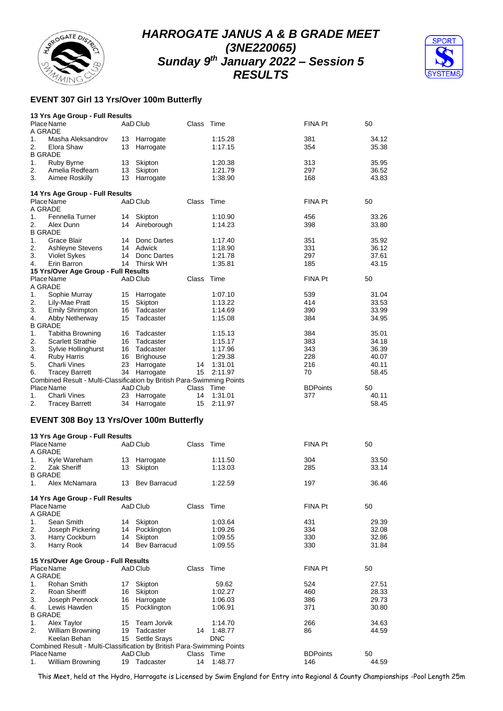



## **EVENT 307 Girl 13 Yrs/Over 100m Butterfly**

|                      | 13 Yrs Age Group - Full Results                                        |          |                           |            |                       |                 |    |                |
|----------------------|------------------------------------------------------------------------|----------|---------------------------|------------|-----------------------|-----------------|----|----------------|
| A GRADE              | Place Name                                                             |          | AaD Club                  | Class      | Time                  | FINA Pt         | 50 |                |
| 1.<br>2.             | Masha Aleksandrov<br>Elora Shaw                                        | 13       | 13 Harrogate<br>Harrogate |            | 1:15.28<br>1:17.15    | 381<br>354      |    | 34.12<br>35.38 |
| <b>B GRADE</b>       |                                                                        |          |                           |            |                       |                 |    |                |
| 1.                   | Ruby Byrne                                                             | 13       | Skipton                   |            | 1:20.38               | 313             |    | 35.95          |
| 2.                   | Amelia Redfearn                                                        | 13       | Skipton                   |            | 1:21.79               | 297             |    | 36.52          |
| 3.                   | Aimee Roskilly                                                         | 13       | Harrogate                 |            | 1:38.90               | 168             |    | 43.83          |
|                      | 14 Yrs Age Group - Full Results<br>Place Name                          |          | AaD Club                  | Class      | Time                  | FINA Pt         | 50 |                |
| A GRADE              |                                                                        |          |                           |            |                       |                 |    |                |
| 1.                   | Fennella Turner                                                        | 14       | Skipton                   |            | 1:10.90               | 456             |    | 33.26          |
| 2.<br><b>B GRADE</b> | Alex Dunn                                                              | 14       | Aireborough               |            | 1:14.23               | 398             |    | 33.80          |
| 1.                   | Grace Blair                                                            | 14       | Donc Dartes               |            | 1:17.40               | 351             |    | 35.92          |
| 2.                   | Ashleyne Stevens                                                       | 14       | Adwick                    |            | 1:18.90               | 331             |    | 36.12          |
| 3.                   | <b>Violet Sykes</b>                                                    | 14       | Donc Dartes               |            | 1:21.78               | 297             |    | 37.61          |
| 4.                   | Erin Barron                                                            | 14       | Thirsk WH                 |            | 1:35.81               | 185             |    | 43.15          |
|                      | 15 Yrs/Over Age Group - Full Results                                   |          |                           |            |                       |                 |    |                |
|                      | Place Name                                                             |          | AaD Club                  | Class      | Time                  | FINA Pt         | 50 |                |
| A GRADE              |                                                                        |          |                           |            |                       |                 |    |                |
| 1.                   | Sophie Murray                                                          | 15       | Harrogate                 |            | 1:07.10               | 539             |    | 31.04          |
| 2.                   | Lily-Mae Pratt                                                         | 15       | Skipton<br>Tadcaster      |            | 1:13.22               | 414             |    | 33.53          |
| 3.<br>4.             | <b>Emily Shrimpton</b><br>Abby Netherway                               | 16<br>15 | Tadcaster                 |            | 1:14.69<br>1:15.08    | 390<br>384      |    | 33.99<br>34.95 |
| <b>B GRADE</b>       |                                                                        |          |                           |            |                       |                 |    |                |
| 1.                   | <b>Tabitha Browning</b>                                                | 16       | Tadcaster                 |            | 1:15.13               | 384             |    | 35.01          |
| 2.                   | <b>Scarlett Strathie</b>                                               | 16       | Tadcaster                 |            | 1:15.17               | 383             |    | 34.18          |
| 3.                   | Sylvie Hollinghurst                                                    | 16       | Tadcaster                 |            | 1:17.96               | 343             |    | 36.39          |
| 4.                   | <b>Ruby Harris</b>                                                     | 16       | <b>Brighouse</b>          |            | 1:29.38               | 228             |    | 40.07          |
| 5.                   | Charli Vines                                                           | 23       | Harrogate                 | 14         | 1:31.01               | 216             |    | 40.11          |
| 6.                   | <b>Tracey Barrett</b>                                                  | 34       | Harrogate                 | 15         | 2:11.97               | 70              |    | 58.45          |
|                      | Combined Result - Multi-Classification by British Para-Swimming Points |          |                           |            |                       |                 |    |                |
|                      | Place Name                                                             |          | AaD Club                  | Class      | Time                  | <b>BDPoints</b> | 50 |                |
| 1.                   | <b>Charli Vines</b>                                                    | 23       | Harrogate                 | 14         | 1:31.01               | 377             |    | 40.11          |
| 2.                   | <b>Tracey Barrett</b>                                                  | 34       | Harrogate                 | 15         | 2:11.97               |                 |    | 58.45          |
|                      | <b>EVENT 308 Boy 13 Yrs/Over 100m Butterfly</b>                        |          |                           |            |                       |                 |    |                |
|                      | 13 Yrs Age Group - Full Results                                        |          |                           |            |                       |                 |    |                |
|                      | Place Name                                                             |          | AaD Club                  | Class      | Time                  | FINA Pt         | 50 |                |
| A GRADE              |                                                                        |          |                           |            |                       |                 |    |                |
| 1.                   | Kyle Wareham                                                           | 13       | Harrogate                 |            | 1:11.50               | 304             |    | 33.50          |
| 2.                   | Zak Sheriff                                                            | 13       | Skipton                   |            | 1:13.03               | 285             |    | 33.14          |
| <b>B GRADE</b>       |                                                                        |          |                           |            |                       |                 |    |                |
| 1.                   | Alex McNamara                                                          |          | 13 Bev Barracud           |            | 1:22.59               | 197             |    | 36.46          |
|                      | 14 Yrs Age Group - Full Results                                        |          |                           |            |                       |                 |    |                |
|                      | Place Name                                                             |          | AaD Club                  | Class Time |                       | FINA Pt         | 50 |                |
| A GRADE              |                                                                        |          |                           |            |                       |                 |    |                |
| 1.                   | Sean Smith                                                             | 14       | Skipton                   |            | 1:03.64               | 431             |    | 29.39          |
| 2.                   | Joseph Pickering                                                       | 14       | Pocklington               |            | 1:09.26               | 334             |    | 32.08          |
| 3.                   | Harry Cockburn                                                         | 14       | Skipton                   |            | 1:09.55               | 330             |    | 32.86          |
| 3.                   | Harry Rook                                                             | 14       | <b>Bev Barracud</b>       |            | 1:09.55               | 330             |    | 31.84          |
|                      | 15 Yrs/Over Age Group - Full Results                                   |          |                           |            |                       |                 |    |                |
|                      | Place Name                                                             |          | AaD Club                  | Class      | Time                  | FINA Pt         | 50 |                |
| A GRADE              |                                                                        |          |                           |            |                       |                 |    |                |
| 1.                   | Rohan Smith                                                            | 17       | Skipton                   |            | 59.62                 | 524             |    | 27.51          |
| 2.                   | Roan Sheriff                                                           | 16       | Skipton                   |            | 1:02.27               | 460             |    | 28.33          |
| 3.                   | Joseph Pennock                                                         | 16       | Harrogate                 |            | 1:06.03               | 386             |    | 29.73          |
| 4.                   | Lewis Hawden                                                           | 15       | Pocklington               |            | 1:06.91               | 371             |    | 30.80          |
| <b>B GRADE</b>       |                                                                        |          |                           |            |                       |                 |    |                |
| 1.                   | Alex Taylor                                                            | 15       | Team Jorvik               |            | 1:14.70               | 266             |    | 34.63          |
| 2.                   | <b>William Browning</b><br>Keelan Behan                                | 19<br>15 | Tadcaster                 | 14         | 1:48.77<br><b>DNC</b> | 86              |    | 44.59          |
|                      | Combined Result - Multi-Classification by British Para-Swimming Points |          | <b>Settle Srays</b>       |            |                       |                 |    |                |
|                      | Place Name                                                             |          | AaD Club                  | Class      | Time                  | <b>BDPoints</b> | 50 |                |
| 1.                   | William Browning                                                       | 19       | Tadcaster                 | 14         | 1:48.77               | 146             |    | 44.59          |

This Meet, held at the Hydro, Harrogate is Licensed by Swim England for Entry into Regional & County Championships -Pool Length 25m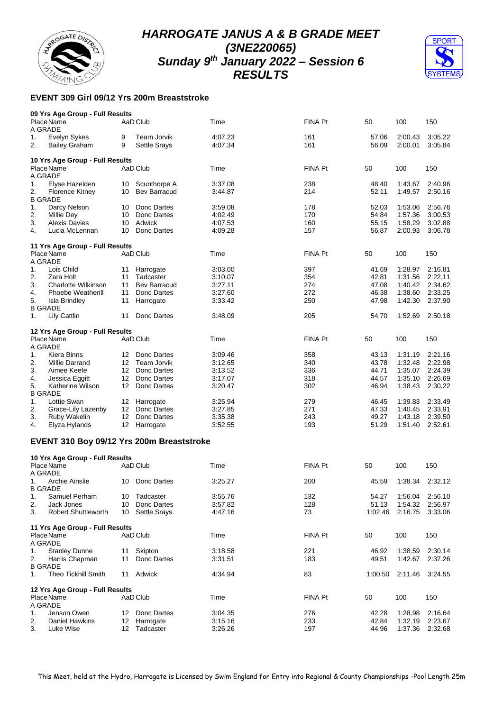

**09 Yrs Age Group - Full Results**

# *HARROGATE JANUS A & B GRADE MEET (3NE220065) Sunday 9 th January 2022 – Session 6 RESULTS*



## **EVENT 309 Girl 09/12 Yrs 200m Breaststroke**

|    | Place Name<br>A GRADE                     |                  | AaD Club            | Time    | FINA Pt | 50      | 100     | 150             |
|----|-------------------------------------------|------------------|---------------------|---------|---------|---------|---------|-----------------|
| 1. | Evelyn Sykes                              | 9                | Team Jorvik         | 4:07.23 | 161     | 57.06   | 2:00.43 | 3:05.22         |
| 2. | <b>Bailey Graham</b>                      | 9                | <b>Settle Srays</b> | 4:07.34 | 161     | 56.09   | 2:00.01 | 3:05.84         |
|    | 10 Yrs Age Group - Full Results           |                  |                     |         |         |         |         |                 |
|    | Place Name<br>A GRADE                     |                  | AaD Club            | Time    | FINA Pt | 50      | 100     | 150             |
| 1. | Elyse Hazelden                            | 10               | Scunthorpe A        | 3:37.08 | 238     | 48.40   | 1:43.67 | 2:40.96         |
| 2. | <b>Florence Kitney</b>                    | 10               | <b>Bev Barracud</b> | 3:44.87 | 214     | 52.11   | 1:49.57 | 2:50.16         |
|    | <b>B GRADE</b>                            |                  |                     |         |         |         |         |                 |
| 1. | Darcy Nelson                              | 10               | Donc Dartes         | 3:59.08 | 178     | 52.03   | 1:53.06 | 2:56.76         |
| 2. | Millie Dey                                | 10               | Donc Dartes         | 4:02.49 | 170     | 54.84   | 1:57.36 | 3:00.53         |
| 3. | <b>Alexis Davies</b>                      | 10               | Adwick              | 4:07.53 | 160     | 55.15   | 1:58.29 | 3:02.88         |
| 4. | Lucia McLennan                            | 10               | Donc Dartes         | 4:09.28 | 157     | 56.87   | 2:00.93 | 3:06.78         |
|    | 11 Yrs Age Group - Full Results           |                  |                     |         |         |         |         |                 |
|    | Place Name                                |                  | AaD Club            | Time    | FINA Pt | 50      | 100     | 150             |
|    | A GRADE                                   |                  |                     |         |         |         |         |                 |
| 1. | Lois Child                                | 11               | Harrogate           | 3:03.00 | 397     | 41.69   | 1:28.97 | 2:16.81         |
| 2. | Zara Holt                                 | 11               | Tadcaster           | 3:10.07 | 354     | 42.81   | 1:31.56 | 2:22.11         |
| 3. | Charlotte Wilkinson                       | 11               | <b>Bev Barracud</b> | 3:27.11 | 274     | 47.08   | 1:40.42 | 2:34.62         |
| 4. | <b>Phoebe Weatherill</b>                  | 11               | Donc Dartes         | 3:27.60 | 272     | 46.38   | 1:38.60 | 2:33.25         |
| 5. | <b>Isla Brindley</b>                      | 11               | Harrogate           | 3:33.42 | 250     | 47.98   | 1:42.30 | 2:37.90         |
| 1. | <b>B GRADE</b><br><b>Lily Cattlin</b>     | 11               | Donc Dartes         | 3:48.09 | 205     | 54.70   | 1:52.69 | 2:50.18         |
|    |                                           |                  |                     |         |         |         |         |                 |
|    | 12 Yrs Age Group - Full Results           |                  |                     |         |         |         |         |                 |
|    | Place Name                                |                  | AaD Club            | Time    | FINA Pt | 50      | 100     | 150             |
|    | A GRADE                                   |                  |                     |         |         |         |         |                 |
| 1. | Kiera Binns                               | 12               | Donc Dartes         | 3:09.46 | 358     | 43.13   | 1:31.19 | 2:21.16         |
| 2. | Millie Darrand                            |                  | 12 Team Jorvik      | 3:12.65 | 340     | 43.78   | 1:32.48 | 2:22.98         |
| 3. | Aimee Keefe                               |                  | 12 Donc Dartes      | 3:13.52 | 336     | 44.71   | 1:35.07 | 2:24.39         |
| 4. | Jessica Eggitt                            | 12 <sup>12</sup> | Donc Dartes         | 3:17.07 | 318     | 44.57   | 1:35.10 | 2:26.69         |
| 5. | Katherine Wilson                          | 12 <sup>12</sup> | Donc Dartes         | 3:20.47 | 302     | 46.94   | 1:38.43 | 2:30.22         |
|    | <b>B GRADE</b>                            |                  |                     |         |         |         |         |                 |
| 1. | Lottie Swan                               | 12               | Harrogate           | 3:25.94 | 279     | 46.45   | 1:39.83 | 2:33.49         |
| 2. | Grace-Lily Lazenby                        | 12 <sup>12</sup> | Donc Dartes         | 3:27.85 | 271     | 47.33   | 1:40.45 | 2:33.91         |
| 3. | Ruby Wakelin                              | 12 <sup>°</sup>  | Donc Dartes         | 3:35.38 | 243     | 49.27   | 1:43.18 | 2:39.50         |
| 4. | Elyza Hylands                             |                  | 12 Harrogate        | 3:52.55 | 193     | 51.29   | 1:51.40 | 2:52.61         |
|    | EVENT 310 Boy 09/12 Yrs 200m Breaststroke |                  |                     |         |         |         |         |                 |
|    |                                           |                  |                     |         |         |         |         |                 |
|    | 10 Yrs Age Group - Full Results           |                  |                     |         |         |         |         |                 |
|    | Place Name                                |                  | AaD Club            | Time    | FINA Pt | 50      | 100     | 150             |
|    | A GRADE                                   |                  |                     |         |         |         |         |                 |
| 1. | Archie Ainslie                            |                  | 10 Donc Dartes      | 3:25.27 | 200     | 45.59   | 1:38.34 | 2:32.12         |
|    | <b>B GRADE</b>                            |                  |                     |         |         |         |         |                 |
| 1. | Samuel Perham                             |                  | 10 Tadcaster        | 3:55.76 | 132     | 54.27   |         | 1:56.04 2:56.10 |
| 2. | Jack Jones                                |                  | 10 Donc Dartes      | 3:57.82 | 128     | 51.13   |         | 1:54.32 2:56.97 |
| 3. | Robert Shuttleworth                       |                  | 10 Settle Srays     | 4:47.16 | 73      | 1:02.46 | 2:16.75 | 3:33.06         |
|    | 11 Yrs Age Group - Full Results           |                  |                     |         |         |         |         |                 |
|    | Place Name                                |                  | AaD Club            | Time    | FINA Pt | 50      | 100     | 150             |
|    | A GRADE                                   |                  |                     |         |         |         |         |                 |
| 1. | <b>Stanley Dunne</b>                      | 11               | Skipton             | 3:18.58 | 221     | 46.92   | 1:38.59 | 2:30.14         |
| 2. | Harris Chapman                            | 11               | Donc Dartes         | 3:31.51 | 183     | 49.51   | 1:42.67 | 2:37.26         |
|    | <b>B GRADE</b>                            |                  |                     |         |         |         |         |                 |
| 1. | Theo Tickhill Smith                       |                  | 11 Adwick           | 4:34.94 | 83      | 1:00.50 | 2:11.46 | 3:24.55         |
|    | 12 Yrs Age Group - Full Results           |                  |                     |         |         |         |         |                 |
|    | Place Name                                |                  | AaD Club            | Time    | FINA Pt | 50      | 100     | 150             |
|    | A GRADE                                   |                  |                     |         |         |         |         |                 |
| 1. | Jenson Owen                               |                  | 12 Donc Dartes      | 3:04.35 | 276     | 42.28   | 1:28.98 | 2:16.64         |
| 2. | Daniel Hawkins                            |                  | 12 Harrogate        | 3:15.16 | 233     | 42.84   | 1:32.19 | 2:23.67         |
| 3. | Luke Wise                                 |                  | 12 Tadcaster        | 3:26.26 | 197     | 44.96   | 1:37.36 | 2:32.68         |
|    |                                           |                  |                     |         |         |         |         |                 |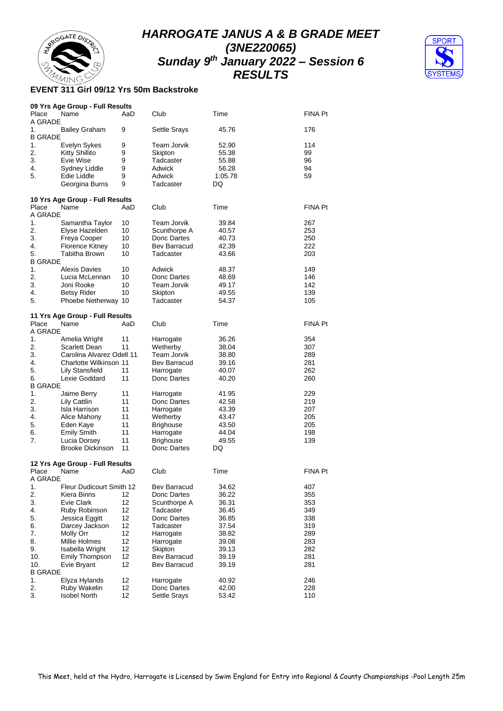



#### **EVENT 311 Girl 09/12 Yrs 50m Backstroke**

|                      | 09 Yrs Age Group - Full Results |     |                  |         |         |
|----------------------|---------------------------------|-----|------------------|---------|---------|
| Place<br>A GRADE     | Name                            | AaD | Club             | Time    | FINA Pt |
| 1.<br><b>B GRADE</b> | <b>Bailey Graham</b>            | 9   | Settle Srays     | 45.76   | 176     |
| 1.                   | Evelyn Sykes                    | 9   | Team Jorvik      | 52.90   | 114     |
| 2.                   | <b>Kitty Shillito</b>           | 9   | Skipton          | 55.38   | 99      |
| 3.                   | Evie Wise                       | 9   | Tadcaster        | 55.88   | 96      |
| 4.                   | Sydney Liddle                   | 9   | Adwick           | 56.28   | 94      |
| 5.                   | Edie Liddle                     | 9   | Adwick           | 1:05.78 | 59      |
|                      | Georgina Burns                  | 9   | Tadcaster        | DQ      |         |
|                      | 10 Yrs Age Group - Full Results |     |                  |         |         |
| Place                | Name                            | AaD | Club             | Time    | FINA Pt |
| A GRADE              |                                 |     |                  |         |         |
| 1.                   | Samantha Taylor                 | 10  | Team Jorvik      | 39.84   | 267     |
| 2.                   | Elyse Hazelden                  | 10  | Scunthorpe A     | 40.57   | 253     |
| 3.                   | Freya Cooper                    | 10  | Donc Dartes      | 40.73   | 250     |
| 4.                   | <b>Florence Kitney</b>          | 10  | Bev Barracud     | 42.39   | 222     |
| 5.                   | Tabitha Brown                   | 10  | Tadcaster        | 43.66   | 203     |
| <b>B GRADE</b>       |                                 |     |                  |         |         |
| 1.                   | <b>Alexis Davies</b>            | 10  | Adwick           | 48.37   | 149     |
| 2.                   | Lucia McLennan                  | 10  | Donc Dartes      | 48.69   | 146     |
| 3.                   | Joni Rooke                      | 10  | Team Jorvik      | 49.17   | 142     |
| 4.                   | <b>Betsy Rider</b>              | 10  | Skipton          | 49.55   | 139     |
| 5.                   | Phoebe Netherway 10             |     | Tadcaster        | 54.37   | 105     |
|                      | 11 Yrs Age Group - Full Results |     |                  |         |         |
| Place                | Name                            | AaD | Club             | Time    | FINA Pt |
| A GRADE              |                                 |     |                  |         |         |
| 1.                   | Amelia Wright                   | 11  | Harrogate        | 36.26   | 354     |
| 2.                   | Scarlett Dean                   | 11  | Wetherby         | 38.04   | 307     |
| 3.                   | Carolina Alvarez Odell 11       |     | Team Jorvik      | 38.80   | 289     |
| 4.                   | Charlotte Wilkinson 11          |     | Bev Barracud     | 39.16   | 281     |
| 5.                   | Lily Stansfield                 | 11  | Harrogate        | 40.07   | 262     |
| 6.                   | Lexie Goddard                   | 11  | Donc Dartes      | 40.20   | 260     |
| <b>B GRADE</b>       |                                 |     |                  |         |         |
| 1.                   | Jaime Berry                     | 11  | Harrogate        | 41.95   | 229     |
| 2.                   | Lily Cattlin                    | 11  | Donc Dartes      | 42.58   | 219     |
| 3.                   | Isla Harrison                   | 11  | Harrogate        | 43.39   | 207     |
| 4.                   | Alice Mahony                    | 11  | Wetherby         | 43.47   | 205     |
| 5.                   | Eden Kaye                       | 11  | <b>Brighouse</b> | 43.50   | 205     |
| 6.                   | <b>Emily Smith</b>              | 11  | Harrogate        | 44.04   | 198     |
| 7.                   | Lucia Dorsey                    | 11  | <b>Brighouse</b> | 49.55   | 139     |
|                      | <b>Brooke Dickinson</b>         | 11  | Donc Dartes      | DQ      |         |
|                      | 12 Yrs Age Group - Full Results |     |                  |         |         |
| Place                | Name                            | AaD | Club             | Time    | FINA Pt |
| A GRADE              |                                 |     |                  |         |         |
| 1.                   | Fleur Dudicourt Smith 12        |     | Bev Barracud     | 34.62   | 407     |
| 2.                   | Kiera Binns                     | 12  | Donc Dartes      | 36.22   | 355     |
| 3.                   | Evie Clark                      | 12  | Scunthorpe A     | 36.31   | 353     |
| 4.                   | Ruby Robinson                   | 12  | Tadcaster        | 36.45   | 349     |
| 5.                   | Jessica Eggitt                  | 12  | Donc Dartes      | 36.85   | 338     |
| 6.                   | Darcey Jackson                  | 12  | Tadcaster        | 37.54   | 319     |
| 7.                   | Molly Orr                       | 12  | Harrogate        | 38.82   | 289     |
| 8.                   | Millie Holmes                   | 12  | Harrogate        | 39.08   | 283     |
| 9.                   | Isabella Wright                 | 12  | Skipton          | 39.13   | 282     |
| 10.                  | <b>Emily Thompson</b>           | 12  | Bev Barracud     | 39.19   | 281     |
| 10.                  | Evie Bryant                     | 12  | Bev Barracud     | 39.19   | 281     |
| <b>B GRADE</b>       |                                 |     |                  |         |         |
| 1.                   | Elyza Hylands                   | 12  | Harrogate        | 40.92   | 246     |
| 2.                   | Ruby Wakelin                    | 12  | Donc Dartes      | 42.00   | 228     |
| 3.                   | <b>Isobel North</b>             | 12  | Settle Srays     | 53.42   | 110     |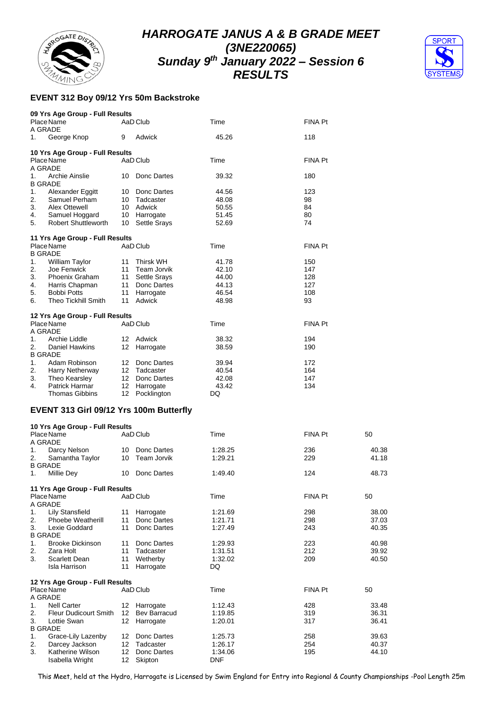



## **EVENT 312 Boy 09/12 Yrs 50m Backstroke**

|                | 09 Yrs Age Group - Full Results                      |                  |                     |       |                |
|----------------|------------------------------------------------------|------------------|---------------------|-------|----------------|
|                | Place Name                                           |                  | AaD Club            | Time  | <b>FINA Pt</b> |
| A GRADE        |                                                      |                  |                     |       |                |
| 1.             | George Knop                                          | 9                | Adwick              | 45.26 | 118            |
|                | 10 Yrs Age Group - Full Results                      |                  |                     |       |                |
|                | Place Name                                           |                  | AaD Club            | Time  | FINA Pt        |
| A GRADE        |                                                      |                  |                     |       |                |
| 1.             | Archie Ainslie                                       | 10               | Donc Dartes         | 39.32 | 180            |
| <b>B GRADE</b> |                                                      |                  |                     |       |                |
| 1.             | Alexander Eggitt                                     | 10               | Donc Dartes         | 44.56 | 123            |
| 2.             | Samuel Perham                                        |                  | 10 Tadcaster        | 48.08 | 98             |
| 3.             | Alex Ottewell                                        |                  | 10 Adwick           | 50.55 | 84             |
| 4.             | Samuel Hoggard                                       | 10               | Harrogate           | 51.45 | 80             |
| 5.             | Robert Shuttleworth                                  | 10               | <b>Settle Srays</b> | 52.69 | 74             |
|                | 11 Yrs Age Group - Full Results                      |                  |                     |       |                |
|                | Place Name                                           |                  | AaD Club            | Time  | <b>FINA Pt</b> |
| <b>B GRADE</b> |                                                      |                  |                     |       |                |
| 1.             | William Taylor                                       | 11               | <b>Thirsk WH</b>    | 41.78 | 150            |
| 2.             | Joe Fenwick                                          | 11               | Team Jorvik         | 42.10 | 147            |
| 3.             | <b>Phoenix Graham</b>                                | 11               | <b>Settle Srays</b> | 44.00 | 128            |
| 4.             | Harris Chapman                                       | 11               | Donc Dartes         | 44.13 | 127            |
| 5.             | <b>Bobbi Potts</b>                                   | 11               | Harrogate           | 46.54 | 108            |
| 6.             | <b>Theo Tickhill Smith</b>                           | 11               | Adwick              | 48.98 | 93             |
|                | 12 Yrs Age Group - Full Results                      |                  |                     |       |                |
|                | Place Name                                           |                  | AaD Club            | Time  | <b>FINA Pt</b> |
| A GRADE        |                                                      |                  |                     |       |                |
| 1.             | Archie Liddle                                        | 12               | Adwick              | 38.32 | 194            |
| 2.             | <b>Daniel Hawkins</b>                                | 12               | Harrogate           | 38.59 | 190            |
| <b>B GRADE</b> |                                                      |                  |                     |       |                |
| 1 <sub>1</sub> | Adam Robinson                                        | 12 <sup>12</sup> | Donc Dartes         | 39.94 | 172            |
| 2.             | Harry Netherway                                      |                  | 12 Tadcaster        | 40.54 | 164            |
| 3.             | Theo Kearsley                                        |                  | 12 Donc Dartes      | 42.08 | 147            |
| 4.             | Patrick Harmar                                       | 12               | Harrogate           | 43.42 | 134            |
|                | <b>Thomas Gibbins</b>                                | 12 <sup>12</sup> | Pocklington         | DQ.   |                |
|                | $E$ VENIT 242 $Q$ will $QQ/42$ Vso 4.00m. D. (16.25) |                  |                     |       |                |

#### **EVENT 313 Girl 09/12 Yrs 100m Butterfly**

| 10 Yrs Age Group - Full Results    |                   |                     |            |                |       |
|------------------------------------|-------------------|---------------------|------------|----------------|-------|
| Place Name                         |                   | AaD Club            | Time       | <b>FINA Pt</b> | 50    |
| A GRADE                            |                   |                     |            |                |       |
| Darcy Nelson<br>1.                 | 10                | Donc Dartes         | 1:28.25    | 236            | 40.38 |
| 2.<br>Samantha Taylor              | 10                | Team Jorvik         | 1:29.21    | 229            | 41.18 |
| <b>B GRADE</b>                     |                   |                     |            |                |       |
| <b>Millie Dev</b><br>1.            |                   | 10 Donc Dartes      | 1:49.40    | 124            | 48.73 |
| 11 Yrs Age Group - Full Results    |                   |                     |            |                |       |
| Place Name                         |                   | AaD Club            | Time       | <b>FINA Pt</b> | 50    |
| A GRADE                            |                   |                     |            |                |       |
| <b>Lily Stansfield</b><br>1.       | 11                | Harrogate           | 1:21.69    | 298            | 38.00 |
| 2.<br><b>Phoebe Weatherill</b>     | 11                | Donc Dartes         | 1:21.71    | 298            | 37.03 |
| 3.<br>Lexie Goddard                | 11                | Donc Dartes         | 1:27.49    | 243            | 40.35 |
| <b>B GRADE</b>                     |                   |                     |            |                |       |
| <b>Brooke Dickinson</b><br>1.      | 11                | Donc Dartes         | 1:29.93    | 223            | 40.98 |
| 2.<br>Zara Holt                    | 11                | Tadcaster           | 1:31.51    | 212            | 39.92 |
| 3.<br>Scarlett Dean                | 11                | Wetherby            | 1:32.02    | 209            | 40.50 |
| Isla Harrison                      | 11                | Harrogate           | DQ         |                |       |
| 12 Yrs Age Group - Full Results    |                   |                     |            |                |       |
| Place Name                         |                   | AaD Club            | Time       | <b>FINA Pt</b> | 50    |
| A GRADE                            |                   |                     |            |                |       |
| <b>Nell Carter</b><br>$1_{-}$      | $12 \overline{ }$ | Harrogate           | 1:12.43    | 428            | 33.48 |
| <b>Fleur Dudicourt Smith</b><br>2. | 12                | <b>Bev Barracud</b> | 1:19.85    | 319            | 36.31 |
| 3.<br>Lottie Swan                  | 12                | Harrogate           | 1:20.01    | 317            | 36.41 |
| <b>B GRADE</b>                     |                   |                     |            |                |       |
| Grace-Lily Lazenby<br>1.           | 12                | Donc Dartes         | 1:25.73    | 258            | 39.63 |
| 2.<br>Darcey Jackson               | 12                | Tadcaster           | 1:26.17    | 254            | 40.37 |
| 3.<br>Katherine Wilson             | 12                | Donc Dartes         | 1:34.06    | 195            | 44.10 |
| Isabella Wright                    | 12                | Skipton             | <b>DNF</b> |                |       |

This Meet, held at the Hydro, Harrogate is Licensed by Swim England for Entry into Regional & County Championships -Pool Length 25m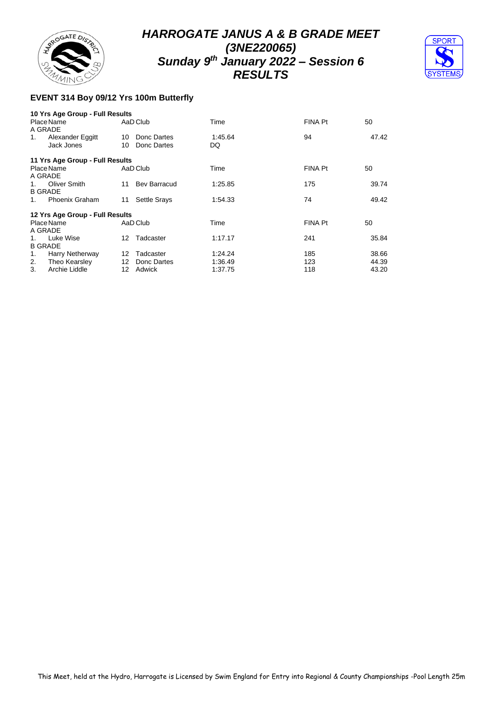



## **EVENT 314 Boy 09/12 Yrs 100m Butterfly**

|         | 10 Yrs Age Group - Full Results |    |                     |         |                |       |
|---------|---------------------------------|----|---------------------|---------|----------------|-------|
|         | Place Name                      |    | AaD Club            | Time    | FINA Pt        | 50    |
|         | A GRADE                         |    |                     |         |                |       |
| 1.      | Alexander Eggitt                | 10 | Donc Dartes         | 1:45.64 | 94             | 47.42 |
|         | Jack Jones                      | 10 | Donc Dartes         | DQ      |                |       |
|         | 11 Yrs Age Group - Full Results |    |                     |         |                |       |
|         | Place Name                      |    | AaD Club            | Time    | FINA Pt        | 50    |
|         | A GRADE                         |    |                     |         |                |       |
| 1.      | Oliver Smith                    | 11 | <b>Bev Barracud</b> | 1:25.85 | 175            | 39.74 |
|         | <b>B GRADE</b>                  |    |                     |         |                |       |
| $1_{-}$ | <b>Phoenix Graham</b>           | 11 | <b>Settle Srays</b> | 1:54.33 | 74             | 49.42 |
|         | 12 Yrs Age Group - Full Results |    |                     |         |                |       |
|         | Place Name                      |    | AaD Club            | Time    | <b>FINA Pt</b> | 50    |
|         | A GRADE                         |    |                     |         |                |       |
| $1_{-}$ | Luke Wise                       | 12 | Tadcaster           | 1:17.17 | 241            | 35.84 |
|         | <b>B GRADE</b>                  |    |                     |         |                |       |
| 1.      | Harry Netherway                 | 12 | Tadcaster           | 1:24.24 | 185            | 38.66 |
| 2.      | Theo Kearsley                   | 12 | Donc Dartes         | 1:36.49 | 123            | 44.39 |
| 3.      | Archie Liddle                   | 12 | Adwick              | 1:37.75 | 118            | 43.20 |
|         |                                 |    |                     |         |                |       |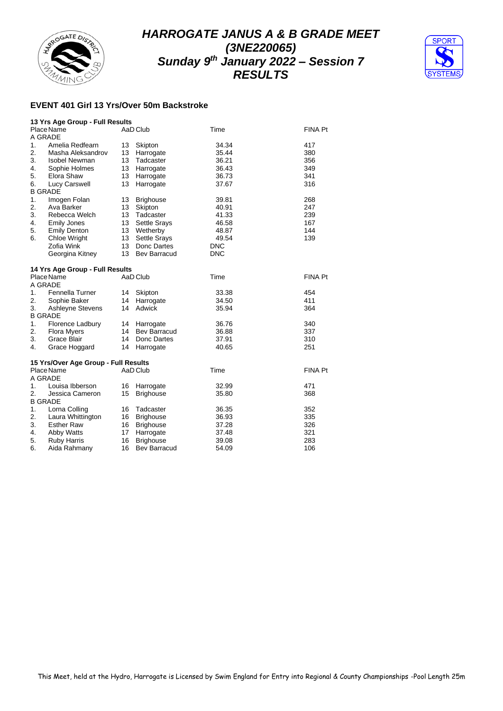



#### **EVENT 401 Girl 13 Yrs/Over 50m Backstroke**

|                  | 13 Yrs Age Group - Full Results      |    |                     |            |                |
|------------------|--------------------------------------|----|---------------------|------------|----------------|
|                  | Place Name                           |    | AaD Club            | Time       | <b>FINA Pt</b> |
| A GRADE          |                                      |    |                     |            |                |
| 1.               | Amelia Redfearn                      | 13 | Skipton             | 34.34      | 417            |
| $\overline{2}$ . | Masha Aleksandrov                    | 13 | Harrogate           | 35.44      | 380            |
| 3.               | Isobel Newman                        | 13 | Tadcaster           | 36.21      | 356            |
| 4.               | Sophie Holmes                        | 13 | Harrogate           | 36.43      | 349            |
| 5.               | Elora Shaw                           | 13 | Harrogate           | 36.73      | 341            |
| 6.               | Lucy Carswell                        | 13 | Harrogate           | 37.67      | 316            |
| <b>B GRADE</b>   |                                      |    |                     |            |                |
| 1.               | Imogen Folan                         | 13 | <b>Brighouse</b>    | 39.81      | 268            |
| 2.               | Ava Barker                           | 13 | Skipton             | 40.91      | 247            |
| 3.               | Rebecca Welch                        | 13 | Tadcaster           | 41.33      | 239            |
| 4.               | <b>Emily Jones</b>                   | 13 | <b>Settle Srays</b> | 46.58      | 167            |
| 5.               | <b>Emily Denton</b>                  | 13 | Wetherby            | 48.87      | 144            |
| 6.               | <b>Chloe Wright</b>                  | 13 | Settle Srays        | 49.54      | 139            |
|                  | Zofia Wink                           | 13 | Donc Dartes         | DNC        |                |
|                  | Georgina Kitney                      | 13 | Bev Barracud        | <b>DNC</b> |                |
|                  |                                      |    |                     |            |                |
|                  | 14 Yrs Age Group - Full Results      |    |                     |            |                |
|                  | Place Name                           |    | AaD Club            | Time       | <b>FINA Pt</b> |
| A GRADE          |                                      |    |                     |            |                |
| 1.               | Fennella Turner                      | 14 | Skipton             | 33.38      | 454            |
| 2.               | Sophie Baker                         | 14 | Harrogate           | 34.50      | 411            |
| 3.               | Ashleyne Stevens                     | 14 | Adwick              | 35.94      | 364            |
| <b>B GRADE</b>   |                                      |    |                     |            |                |
| 1.               | Florence Ladbury                     | 14 | Harrogate           | 36.76      | 340            |
| 2.               | <b>Flora Myers</b>                   | 14 | <b>Bev Barracud</b> | 36.88      | 337            |
| 3.               | Grace Blair                          | 14 | Donc Dartes         | 37.91      | 310            |
| 4.               | Grace Hoggard                        | 14 | Harrogate           | 40.65      | 251            |
|                  |                                      |    |                     |            |                |
|                  | 15 Yrs/Over Age Group - Full Results |    |                     |            |                |
|                  | Place Name                           |    | AaD Club            | Time       | <b>FINA Pt</b> |
| A GRADE          |                                      |    |                     |            |                |
| 1.               | Louisa Ibberson                      | 16 | Harrogate           | 32.99      | 471            |
| 2.               | Jessica Cameron                      | 15 | <b>Brighouse</b>    | 35.80      | 368            |
| <b>B GRADE</b>   |                                      |    |                     |            |                |
| 1.               | Lorna Colling                        | 16 | Tadcaster           | 36.35      | 352            |
| 2.               | Laura Whittington                    | 16 | <b>Brighouse</b>    | 36.93      | 335            |
| 3.               | <b>Esther Raw</b>                    | 16 | <b>Brighouse</b>    | 37.28      | 326            |
| 4.               | Abby Watts                           | 17 | Harrogate           | 37.48      | 321            |
| 5.               | <b>Ruby Harris</b>                   | 16 | <b>Brighouse</b>    | 39.08      | 283            |
| 6.               | Aida Rahmany                         | 16 | <b>Bev Barracud</b> | 54.09      | 106            |
|                  |                                      |    |                     |            |                |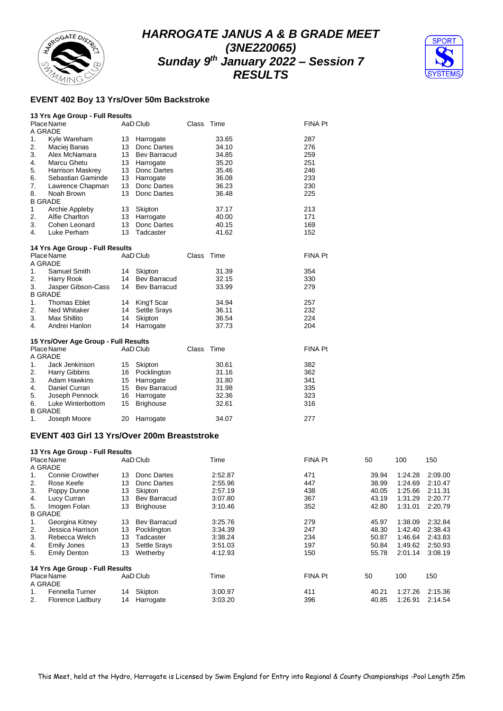



#### **EVENT 402 Boy 13 Yrs/Over 50m Backstroke**

|    | 13 Yrs Age Group - Full Results                    |    |                     |            |       |         |  |
|----|----------------------------------------------------|----|---------------------|------------|-------|---------|--|
|    | Place Name<br>A GRADE                              |    | AaD Club            | Class Time |       | FINA Pt |  |
| 1. | Kyle Wareham                                       | 13 | Harrogate           |            | 33.65 | 287     |  |
| 2. | Maciej Banas                                       |    | 13 Donc Dartes      |            | 34.10 | 276     |  |
| 3. | Alex McNamara                                      |    | 13 Bev Barracud     |            | 34.85 | 259     |  |
| 4. | Marcu Ghetu                                        |    | 13 Harrogate        |            | 35.20 | 251     |  |
| 5. | <b>Harrison Maskrey</b>                            | 13 | Donc Dartes         |            | 35.46 | 246     |  |
| 6. | Sebastian Gaminde                                  |    | 13 Harrogate        |            | 36.08 | 233     |  |
| 7. | Lawrence Chapman                                   | 13 | Donc Dartes         |            | 36.23 | 230     |  |
| 8. | Noah Brown                                         | 13 | Donc Dartes         |            | 36.48 | 225     |  |
|    | <b>B GRADE</b>                                     |    |                     |            |       |         |  |
| 1  | Archie Appleby                                     |    | 13 Skipton          |            | 37.17 | 213     |  |
| 2. | Alfie Charlton                                     | 13 | Harrogate           |            | 40.00 | 171     |  |
| 3. | Cohen Leonard                                      | 13 | Donc Dartes         |            | 40.15 | 169     |  |
| 4. | Luke Perham                                        | 13 | Tadcaster           |            | 41.62 | 152     |  |
|    | 14 Yrs Age Group - Full Results                    |    |                     |            |       |         |  |
|    | Place Name                                         |    | AaD Club            | Class      | Time  | FINA Pt |  |
|    | A GRADE                                            |    |                     |            |       |         |  |
| 1. | Samuel Smith                                       |    | 14 Skipton          |            | 31.39 | 354     |  |
| 2. | Harry Rook                                         |    | 14 Bev Barracud     |            | 32.15 | 330     |  |
| 3. | Jasper Gibson-Cass                                 | 14 | <b>Bev Barracud</b> |            | 33.99 | 279     |  |
|    | <b>B GRADE</b>                                     |    |                     |            |       |         |  |
| 1. | <b>Thomas Eblet</b>                                |    | 14 King'f Scar      |            | 34.94 | 257     |  |
| 2. | Ned Whitaker                                       | 14 | Settle Srays        |            | 36.11 | 232     |  |
| 3. | <b>Max Shillito</b>                                | 14 | Skipton             |            | 36.54 | 224     |  |
| 4. | Andrei Hanlon                                      | 14 | Harrogate           |            | 37.73 | 204     |  |
|    |                                                    |    |                     |            |       |         |  |
|    | 15 Yrs/Over Age Group - Full Results<br>Place Name |    | AaD Club            | Class      | Time  | FINA Pt |  |
|    | A GRADE                                            |    |                     |            |       |         |  |
| 1. | Jack Jenkinson                                     | 15 | Skipton             |            | 30.61 | 382     |  |
| 2. | Harry Gibbins                                      |    | 16 Pocklington      |            | 31.16 | 362     |  |
| 3. | <b>Adam Hawkins</b>                                |    | 15 Harrogate        |            | 31.80 | 341     |  |
| 4. | Daniel Curran                                      | 15 | <b>Bev Barracud</b> |            | 31.98 | 335     |  |
| 5. | Joseph Pennock                                     | 16 | Harrogate           |            | 32.36 | 323     |  |
| 6. | Luke Winterbottom                                  | 15 | <b>Brighouse</b>    |            | 32.61 | 316     |  |
|    | <b>B GRADE</b>                                     |    |                     |            |       |         |  |
| 1. | Joseph Moore                                       | 20 | Harrogate           |            | 34.07 | 277     |  |
|    |                                                    |    |                     |            |       |         |  |

#### **EVENT 403 Girl 13 Yrs/Over 200m Breaststroke**

|    | 13 Yrs Age Group - Full Results |    |                     |         |                |       |         |         |
|----|---------------------------------|----|---------------------|---------|----------------|-------|---------|---------|
|    | Place Name                      |    | AaD Club            | Time    | FINA Pt        | 50    | 100     | 150     |
|    | A GRADE                         |    |                     |         |                |       |         |         |
| 1. | <b>Connie Crowther</b>          | 13 | Donc Dartes         | 2:52.87 | 471            | 39.94 | 1:24.28 | 2:09.00 |
| 2. | Rose Keefe                      | 13 | Donc Dartes         | 2:55.96 | 447            | 38.99 | 1:24.69 | 2:10.47 |
| 3. | Poppy Dunne                     | 13 | Skipton             | 2:57.19 | 438            | 40.05 | 1:25.66 | 2:11.31 |
| 4. | Lucy Curran                     | 13 | <b>Bev Barracud</b> | 3:07.80 | 367            | 43.19 | 1:31.29 | 2:20.77 |
| 5. | Imogen Folan                    | 13 | <b>Brighouse</b>    | 3:10.46 | 352            | 42.80 | 1:31.01 | 2:20.79 |
|    | <b>B GRADE</b>                  |    |                     |         |                |       |         |         |
| 1. | Georgina Kitney                 | 13 | Bev Barracud        | 3:25.76 | 279            | 45.97 | 1:38.09 | 2:32.84 |
| 2. | Jessica Harrison                | 13 | Pocklington         | 3:34.39 | 247            | 48.30 | 1:42.40 | 2:38.43 |
| 3. | Rebecca Welch                   | 13 | Tadcaster           | 3:38.24 | 234            | 50.87 | 1:46.64 | 2:43.83 |
| 4. | Emily Jones                     | 13 | <b>Settle Srays</b> | 3:51.03 | 197            | 50.84 | 1:49.62 | 2:50.93 |
| 5. | <b>Emily Denton</b>             | 13 | Wetherby            | 4:12.93 | 150            | 55.78 | 2:01.14 | 3:08.19 |
|    | 14 Yrs Age Group - Full Results |    |                     |         |                |       |         |         |
|    | Place Name                      |    | AaD Club            | Time    | <b>FINA Pt</b> | 50    | 100     | 150     |
|    | A GRADE                         |    |                     |         |                |       |         |         |
| 1. | Fennella Turner                 | 14 | Skipton             | 3:00.97 | 411            | 40.21 | 1:27.26 | 2:15.36 |
| 2. | Florence Ladbury                | 14 | Harrogate           | 3:03.20 | 396            | 40.85 | 1:26.91 | 2:14.54 |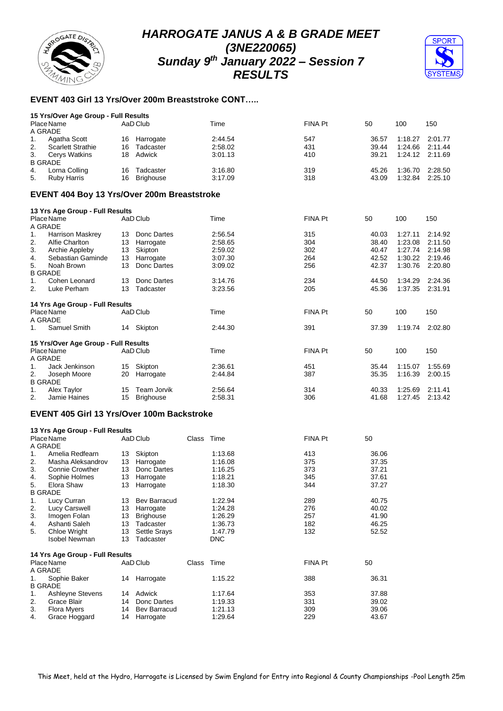



## **EVENT 403 Girl 13 Yrs/Over 200m Breaststroke CONT…..**

|                       | 15 Yrs/Over Age Group - Full Results |     |           |         |         |       |                 |         |  |  |  |  |  |
|-----------------------|--------------------------------------|-----|-----------|---------|---------|-------|-----------------|---------|--|--|--|--|--|
| Place Name<br>A GRADE |                                      |     | AaD Club  | Time    | FINA Pt | 50    | 100             | 150     |  |  |  |  |  |
|                       |                                      |     |           |         |         |       |                 |         |  |  |  |  |  |
| 1.                    | Agatha Scott                         | 16  | Harrogate | 2:44.54 | 547     | 36.57 | 1:18.27         | 2:01.77 |  |  |  |  |  |
| 2.                    | <b>Scarlett Strathie</b>             | 16  | Tadcaster | 2:58.02 | 431     | 39.44 | 1:24.66 2:11.44 |         |  |  |  |  |  |
| 3.                    | Cerys Watkins                        | 18. | Adwick    | 3:01.13 | 410     | 39.21 | 1:24.12 2:11.69 |         |  |  |  |  |  |
|                       | <b>B GRADE</b>                       |     |           |         |         |       |                 |         |  |  |  |  |  |
| 4.                    | Lorna Colling                        | 16  | Tadcaster | 3:16.80 | 319     | 45.26 | 1:36.70         | 2:28.50 |  |  |  |  |  |
| 5.                    | Ruby Harris                          | 16  | Brighouse | 3:17.09 | 318     | 43.09 | 1:32.84         | 2:25.10 |  |  |  |  |  |

#### **EVENT 404 Boy 13 Yrs/Over 200m Breaststroke**

|                | 13 Yrs Age Group - Full Results      |    |                  |         |         |       |         |         |
|----------------|--------------------------------------|----|------------------|---------|---------|-------|---------|---------|
|                | Place Name                           |    | AaD Club         | Time    | FINA Pt | 50    | 100     | 150     |
|                | A GRADE                              |    |                  |         |         |       |         |         |
| 1.             | <b>Harrison Maskrey</b>              | 13 | Donc Dartes      | 2:56.54 | 315     | 40.03 | 1:27.11 | 2:14.92 |
| 2.             | Alfie Charlton                       | 13 | Harrogate        | 2:58.65 | 304     | 38.40 | 1:23.08 | 2:11.50 |
| 3.             | Archie Appleby                       | 13 | Skipton          | 2:59.02 | 302     | 40.47 | 1:27.74 | 2:14.98 |
| 4.             | Sebastian Gaminde                    | 13 | Harrogate        | 3:07.30 | 264     | 42.52 | 1:30.22 | 2:19.46 |
| 5.             | Noah Brown                           | 13 | Donc Dartes      | 3:09.02 | 256     | 42.37 | 1:30.76 | 2:20.80 |
|                | <b>B GRADE</b>                       |    |                  |         |         |       |         |         |
| 1.             | Cohen Leonard                        | 13 | Donc Dartes      | 3:14.76 | 234     | 44.50 | 1:34.29 | 2:24.36 |
| 2.             | Luke Perham                          | 13 | Tadcaster        | 3:23.56 | 205     | 45.36 | 1:37.35 | 2:31.91 |
|                | 14 Yrs Age Group - Full Results      |    |                  |         |         |       |         |         |
|                | Place Name                           |    | AaD Club         | Time    | FINA Pt | 50    | 100     | 150     |
|                | A GRADE                              |    |                  |         |         |       |         |         |
| 1.             | Samuel Smith                         | 14 | Skipton          | 2:44.30 | 391     | 37.39 | 1:19.74 | 2:02.80 |
|                | 15 Yrs/Over Age Group - Full Results |    |                  |         |         |       |         |         |
|                | Place Name                           |    | AaD Club         | Time    | FINA Pt | 50    | 100     | 150     |
|                | A GRADE                              |    |                  |         |         |       |         |         |
| $\mathbf{1}$ . | Jack Jenkinson                       | 15 | Skipton          | 2:36.61 | 451     | 35.44 | 1:15.07 | 1:55.69 |
| 2.             | Joseph Moore                         | 20 | Harrogate        | 2:44.84 | 387     | 35.35 | 1:16.39 | 2:00.15 |
|                | <b>B GRADE</b>                       |    |                  |         |         |       |         |         |
| 1.             | Alex Taylor                          | 15 | Team Jorvik      | 2:56.64 | 314     | 40.33 | 1:25.69 | 2:11.41 |
| 2.             | Jamie Haines                         | 15 | <b>Brighouse</b> | 2:58.31 | 306     | 41.68 | 1:27.45 | 2:13.42 |

#### **EVENT 405 Girl 13 Yrs/Over 100m Backstroke**

|                | 13 Yrs Age Group - Full Results |    |                     |            |            |                |       |  |
|----------------|---------------------------------|----|---------------------|------------|------------|----------------|-------|--|
|                | Place Name                      |    | AaD Club            | Class Time |            | FINA Pt        | 50    |  |
| A GRADE        |                                 |    |                     |            |            |                |       |  |
| $1_{-}$        | Amelia Redfearn                 | 13 | Skipton             |            | 1:13.68    | 413            | 36.06 |  |
| 2.             | Masha Aleksandrov               | 13 | Harrogate           |            | 1:16.08    | 375            | 37.35 |  |
| 3.             | <b>Connie Crowther</b>          | 13 | Donc Dartes         |            | 1:16.25    | 373            | 37.21 |  |
| 4.             | Sophie Holmes                   | 13 | Harrogate           |            | 1:18.21    | 345            | 37.61 |  |
| 5.             | Elora Shaw                      | 13 | Harrogate           |            | 1:18.30    | 344            | 37.27 |  |
| <b>B GRADE</b> |                                 |    |                     |            |            |                |       |  |
| 1.             | Lucy Curran                     | 13 | Bev Barracud        |            | 1:22.94    | 289            | 40.75 |  |
| 2.             | Lucy Carswell                   | 13 | Harrogate           |            | 1:24.28    | 276            | 40.02 |  |
| 3.             | Imogen Folan                    | 13 | <b>Brighouse</b>    |            | 1:26.29    | 257            | 41.90 |  |
| 4.             | Ashanti Saleh                   | 13 | Tadcaster           |            | 1:36.73    | 182            | 46.25 |  |
| 5.             | Chloe Wright                    | 13 | Settle Srays        |            | 1:47.79    | 132            | 52.52 |  |
|                | <b>Isobel Newman</b>            | 13 | Tadcaster           |            | <b>DNC</b> |                |       |  |
|                | 14 Yrs Age Group - Full Results |    |                     |            |            |                |       |  |
|                | Place Name                      |    | AaD Club            | Class      | Time       | <b>FINA Pt</b> | 50    |  |
| A GRADE        |                                 |    |                     |            |            |                |       |  |
| 1.             | Sophie Baker                    | 14 | Harrogate           |            | 1:15.22    | 388            | 36.31 |  |
| <b>B GRADE</b> |                                 |    |                     |            |            |                |       |  |
| 1.             | Ashleyne Stevens                | 14 | Adwick              |            | 1:17.64    | 353            | 37.88 |  |
| 2.             | Grace Blair                     | 14 | Donc Dartes         |            | 1:19.33    | 331            | 39.02 |  |
| 3.             | Flora Myers                     | 14 | <b>Bev Barracud</b> |            | 1:21.13    | 309            | 39.06 |  |
| 4.             | Grace Hoggard                   | 14 | Harrogate           |            | 1:29.64    | 229            | 43.67 |  |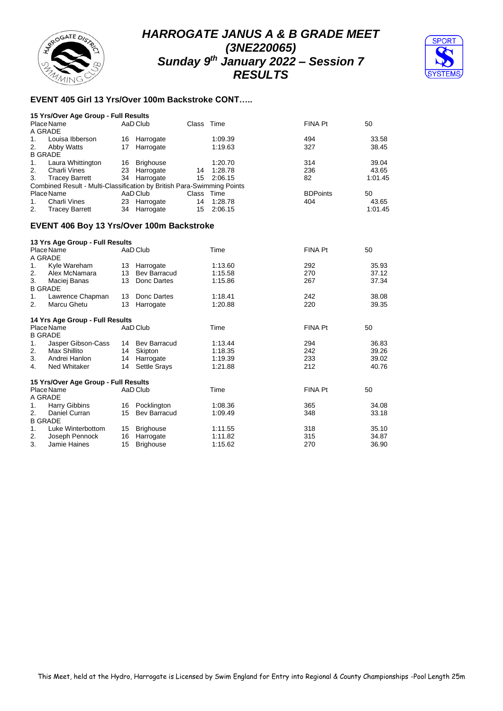# RROGATE DISTR

# *HARROGATE JANUS A & B GRADE MEET (3NE220065) Sunday 9 th January 2022 – Session 7 RESULTS*



## **EVENT 405 Girl 13 Yrs/Over 100m Backstroke CONT…..**

|                | 15 Yrs/Over Age Group - Full Results                                   |    |              |       |            |                 |         |
|----------------|------------------------------------------------------------------------|----|--------------|-------|------------|-----------------|---------|
|                | Place Name                                                             |    | AaD Club     |       | Class Time | FINA Pt         | 50      |
|                | A GRADE                                                                |    |              |       |            |                 |         |
| 1.             | Louisa Ibberson                                                        | 16 | Harrogate    |       | 1:09.39    | 494             | 33.58   |
| 2.             | Abby Watts                                                             | 17 | Harrogate    |       | 1:19.63    | 327             | 38.45   |
|                | <b>B GRADE</b>                                                         |    |              |       |            |                 |         |
| 1.             | Laura Whittington                                                      | 16 | Brighouse    |       | 1:20.70    | 314             | 39.04   |
| 2.             | Charli Vines                                                           | 23 | Harrogate    | 14    | 1:28.78    | 236             | 43.65   |
| 3.             | <b>Tracey Barrett</b>                                                  |    | 34 Harrogate | 15    | 2:06.15    | 82              | 1:01.45 |
|                | Combined Result - Multi-Classification by British Para-Swimming Points |    |              |       |            |                 |         |
|                | Place Name                                                             |    | AaD Club     | Class | Time       | <b>BDPoints</b> | 50      |
| $\mathbf{1}$ . | Charli Vines                                                           | 23 | Harrogate    | 14    | 1:28.78    | 404             | 43.65   |
| 2.             | <b>Tracey Barrett</b>                                                  | 34 | Harrogate    | 15    | 2:06.15    |                 | 1:01.45 |
|                |                                                                        |    |              |       |            |                 |         |

#### **EVENT 406 Boy 13 Yrs/Over 100m Backstroke**

|    | 13 Yrs Age Group - Full Results      |    |                     |         |         |       |
|----|--------------------------------------|----|---------------------|---------|---------|-------|
|    | Place Name                           |    | AaD Club            | Time    | FINA Pt | 50    |
|    | A GRADE                              |    |                     |         |         |       |
| 1. | Kyle Wareham                         |    | 13 Harrogate        | 1:13.60 | 292     | 35.93 |
| 2. | Alex McNamara                        | 13 | Bev Barracud        | 1:15.58 | 270     | 37.12 |
| 3. | Maciej Banas                         | 13 | Donc Dartes         | 1:15.86 | 267     | 37.34 |
|    | <b>B GRADE</b>                       |    |                     |         |         |       |
| 1. | Lawrence Chapman                     | 13 | Donc Dartes         | 1:18.41 | 242     | 38.08 |
| 2. | Marcu Ghetu                          | 13 | Harrogate           | 1:20.88 | 220     | 39.35 |
|    | 14 Yrs Age Group - Full Results      |    |                     |         |         |       |
|    | Place Name<br><b>B GRADE</b>         |    | AaD Club            | Time    | FINA Pt | 50    |
| 1. | Jasper Gibson-Cass                   |    | 14 Bev Barracud     | 1:13.44 | 294     | 36.83 |
| 2. | Max Shillito                         | 14 | Skipton             | 1:18.35 | 242     | 39.26 |
| 3. | Andrei Hanlon                        | 14 | Harrogate           | 1:19.39 | 233     | 39.02 |
| 4. | Ned Whitaker                         | 14 | <b>Settle Srays</b> | 1:21.88 | 212     | 40.76 |
|    | 15 Yrs/Over Age Group - Full Results |    |                     |         |         |       |
|    | Place Name                           |    | AaD Club            | Time    | FINA Pt | 50    |
|    | A GRADE                              |    |                     |         |         |       |
| 1. | Harry Gibbins                        | 16 | Pocklington         | 1:08.36 | 365     | 34.08 |
| 2. | Daniel Curran                        | 15 | Bev Barracud        | 1:09.49 | 348     | 33.18 |
|    | <b>B GRADE</b>                       |    |                     |         |         |       |
| 1. | Luke Winterbottom                    | 15 | <b>Brighouse</b>    | 1:11.55 | 318     | 35.10 |
| 2. | Joseph Pennock                       | 16 | Harrogate           | 1:11.82 | 315     | 34.87 |
| 3. | Jamie Haines                         | 15 | <b>Brighouse</b>    | 1:15.62 | 270     | 36.90 |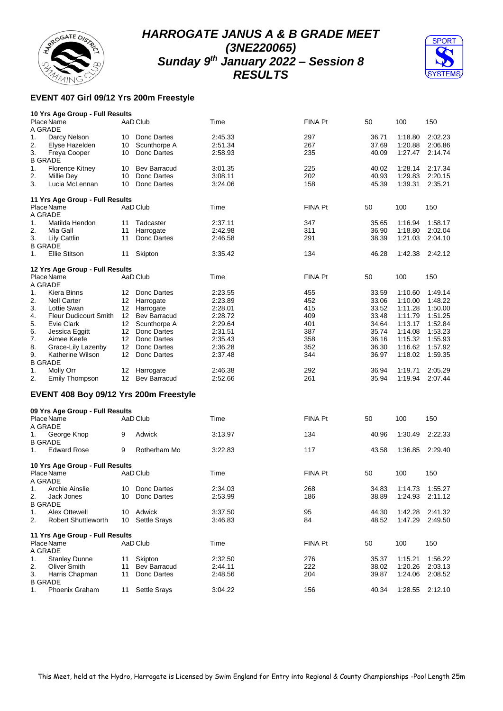



## **EVENT 407 Girl 09/12 Yrs 200m Freestyle**

|                | 10 Yrs Age Group - Full Results        |                  |                     |         |                |       |         |         |
|----------------|----------------------------------------|------------------|---------------------|---------|----------------|-------|---------|---------|
|                | Place Name                             |                  | AaD Club            | Time    | FINA Pt        | 50    | 100     | 150     |
|                | A GRADE                                |                  |                     |         |                |       |         |         |
| 1.             | Darcy Nelson                           | 10               | Donc Dartes         | 2:45.33 | 297            | 36.71 | 1:18.80 | 2:02.23 |
| 2.             | Elyse Hazelden                         |                  | Scunthorpe A        | 2:51.34 | 267            | 37.69 | 1:20.88 | 2:06.86 |
|                |                                        | 10               |                     |         |                |       |         |         |
| 3.             | Freya Cooper                           | 10               | Donc Dartes         | 2:58.93 | 235            | 40.09 | 1:27.47 | 2:14.74 |
|                | <b>B GRADE</b>                         |                  |                     |         |                |       |         |         |
| 1.             | <b>Florence Kitney</b>                 | 10               | <b>Bev Barracud</b> | 3:01.35 | 225            | 40.02 | 1:28.14 | 2:17.34 |
| 2.             | Millie Dey                             | 10               | Donc Dartes         | 3:08.11 | 202            | 40.93 | 1:29.83 | 2:20.15 |
| 3.             | Lucia McLennan                         | 10               | Donc Dartes         | 3:24.06 | 158            | 45.39 | 1:39.31 | 2:35.21 |
|                |                                        |                  |                     |         |                |       |         |         |
|                |                                        |                  |                     |         |                |       |         |         |
|                | 11 Yrs Age Group - Full Results        |                  |                     |         |                |       |         |         |
|                | Place Name                             |                  | AaD Club            | Time    | FINA Pt        | 50    | 100     | 150     |
|                | A GRADE                                |                  |                     |         |                |       |         |         |
| 1.             | Matilda Hendon                         | 11               | Tadcaster           | 2:37.11 | 347            | 35.65 | 1:16.94 | 1:58.17 |
| 2.             | Mia Gall                               | 11               | Harrogate           | 2:42.98 | 311            | 36.90 | 1:18.80 | 2:02.04 |
|                |                                        |                  |                     |         |                |       |         |         |
| 3.             | Lily Cattlin                           | 11               | Donc Dartes         | 2:46.58 | 291            | 38.39 | 1:21.03 | 2:04.10 |
|                | <b>B GRADE</b>                         |                  |                     |         |                |       |         |         |
| 1.             | Ellie Stitson                          | 11               | Skipton             | 3:35.42 | 134            | 46.28 | 1:42.38 | 2:42.12 |
|                |                                        |                  |                     |         |                |       |         |         |
|                | 12 Yrs Age Group - Full Results        |                  |                     |         |                |       |         |         |
|                | Place Name                             |                  | AaD Club            | Time    | FINA Pt        | 50    | 100     | 150     |
|                | A GRADE                                |                  |                     |         |                |       |         |         |
|                |                                        |                  |                     |         |                |       | 1:10.60 |         |
| 1.             | Kiera Binns                            | 12               | Donc Dartes         | 2:23.55 | 455            | 33.59 |         | 1:49.14 |
| 2.             | <b>Nell Carter</b>                     | 12               | Harrogate           | 2:23.89 | 452            | 33.06 | 1:10.00 | 1:48.22 |
| 3.             | Lottie Swan                            |                  | 12 Harrogate        | 2:28.01 | 415            | 33.52 | 1:11.28 | 1:50.00 |
| 4.             | <b>Fleur Dudicourt Smith</b>           | 12               | <b>Bev Barracud</b> | 2:28.72 | 409            | 33.48 | 1:11.79 | 1:51.25 |
| 5.             | Evie Clark                             | 12               | Scunthorpe A        | 2:29.64 | 401            | 34.64 | 1:13.17 | 1:52.84 |
|                |                                        |                  |                     |         |                |       |         |         |
| 6.             | Jessica Eggitt                         | 12 <sup>7</sup>  | Donc Dartes         | 2:31.51 | 387            | 35.74 | 1:14.08 | 1:53.23 |
| 7.             | Aimee Keefe                            |                  | 12 Donc Dartes      | 2:35.43 | 358            | 36.16 | 1:15.32 | 1:55.93 |
| 8.             | Grace-Lily Lazenby                     | 12 <sup>12</sup> | Donc Dartes         | 2:36.28 | 352            | 36.30 | 1:16.62 | 1:57.92 |
| 9.             | Katherine Wilson                       | 12               | Donc Dartes         | 2:37.48 | 344            | 36.97 | 1:18.02 | 1:59.35 |
|                |                                        |                  |                     |         |                |       |         |         |
|                | <b>B GRADE</b>                         |                  |                     |         |                |       |         |         |
| 1.             | Molly Orr                              | 12               | Harrogate           | 2:46.38 | 292            | 36.94 | 1:19.71 | 2:05.29 |
| 2.             | <b>Emily Thompson</b>                  |                  | 12 Bev Barracud     | 2:52.66 | 261            | 35.94 | 1:19.94 | 2:07.44 |
|                | EVENT 408 Boy 09/12 Yrs 200m Freestyle |                  |                     |         |                |       |         |         |
|                |                                        |                  |                     |         |                |       |         |         |
|                | 09 Yrs Age Group - Full Results        |                  |                     |         |                |       |         |         |
|                | Place Name                             |                  | AaD Club            | Time    | <b>FINA Pt</b> | 50    | 100     | 150     |
|                |                                        |                  |                     |         |                |       |         |         |
|                | A GRADE                                |                  |                     |         |                |       |         |         |
| 1.             | George Knop                            | 9                | Adwick              | 3:13.97 | 134            | 40.96 | 1:30.49 | 2:22.33 |
|                | <b>B GRADE</b>                         |                  |                     |         |                |       |         |         |
| 1.             | <b>Edward Rose</b>                     | 9                | Rotherham Mo        | 3:22.83 | 117            | 43.58 | 1:36.85 | 2:29.40 |
|                |                                        |                  |                     |         |                |       |         |         |
|                | 10 Yrs Age Group - Full Results        |                  |                     |         |                |       |         |         |
|                | Place Name                             |                  | AaD Club            | Time    | <b>FINA Pt</b> | 50    | 100     | 150     |
|                |                                        |                  |                     |         |                |       |         |         |
|                | A GRADE                                |                  |                     |         |                |       |         |         |
| 1.             | Archie Ainslie                         |                  | 10 Donc Dartes      | 2:34.03 | 268            | 34.83 | 1:14.73 | 1:55.27 |
| 2.             | Jack Jones                             | 10               | Donc Dartes         | 2:53.99 | 186            | 38.89 | 1:24.93 | 2:11.12 |
| <b>B GRADE</b> |                                        |                  |                     |         |                |       |         |         |
| 1.             | <b>Alex Ottewell</b>                   |                  | Adwick              | 3:37.50 | 95             | 44.30 |         | 2:41.32 |
|                |                                        | 10               |                     |         |                |       | 1:42.28 |         |
| 2.             | <b>Robert Shuttleworth</b>             |                  | 10 Settle Srays     | 3:46.83 | 84             | 48.52 | 1:47.29 | 2:49.50 |
|                |                                        |                  |                     |         |                |       |         |         |
|                | 11 Yrs Age Group - Full Results        |                  |                     |         |                |       |         |         |
|                | Place Name                             |                  | AaD Club            | Time    | FINA Pt        | 50    | 100     | 150     |
|                | A GRADE                                |                  |                     |         |                |       |         |         |
| 1.             |                                        |                  |                     |         |                |       |         |         |
|                | <b>Stanley Dunne</b>                   | 11               | Skipton             | 2:32.50 | 276            | 35.37 | 1:15.21 | 1:56.22 |
| 2.             | <b>Oliver Smith</b>                    | 11               | <b>Bev Barracud</b> | 2:44.11 | 222            | 38.02 | 1:20.26 | 2:03.13 |
| 3.             | Harris Chapman                         | 11               | Donc Dartes         | 2:48.56 | 204            | 39.87 | 1:24.06 | 2:08.52 |
|                | <b>B GRADE</b>                         |                  |                     |         |                |       |         |         |
| 1.             | Phoenix Graham                         |                  | 11 Settle Srays     | 3:04.22 | 156            | 40.34 | 1:28.55 | 2:12.10 |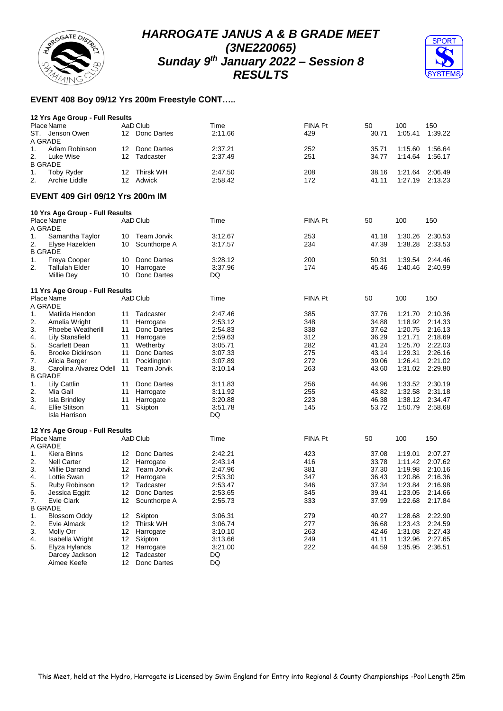



## **EVENT 408 Boy 09/12 Yrs 200m Freestyle CONT…..**

|    | 12 Yrs Age Group - Full Results         |    |                |         |                |       |         |         |
|----|-----------------------------------------|----|----------------|---------|----------------|-------|---------|---------|
|    | Place Name                              |    | AaD Club       | Time    | FINA Pt        | 50    | 100     | 150     |
|    | ST. Jenson Owen                         |    | 12 Donc Dartes | 2:11.66 | 429            | 30.71 | 1:05.41 | 1:39.22 |
|    | A GRADE                                 |    |                |         |                |       |         |         |
| 1. | Adam Robinson                           | 12 | Donc Dartes    | 2:37.21 | 252            | 35.71 | 1:15.60 | 1:56.64 |
| 2. | Luke Wise                               | 12 | Tadcaster      | 2:37.49 | 251            | 34.77 | 1:14.64 | 1:56.17 |
|    | <b>B GRADE</b>                          |    |                |         |                |       |         |         |
| 1. | <b>Toby Ryder</b>                       | 12 | Thirsk WH      | 2:47.50 | 208            | 38.16 | 1:21.64 | 2:06.49 |
| 2. | Archie Liddle                           |    | 12 Adwick      | 2:58.42 | 172            | 41.11 | 1:27.19 | 2:13.23 |
|    |                                         |    |                |         |                |       |         |         |
|    | <b>EVENT 409 Girl 09/12 Yrs 200m IM</b> |    |                |         |                |       |         |         |
|    | 10 Yrs Age Group - Full Results         |    |                |         |                |       |         |         |
|    | Place Name                              |    | AaD Club       | Time    | FINA Pt        | 50    | 100     | 150     |
|    | A GRADE                                 |    |                |         |                |       |         |         |
| 1. | Samantha Taylor                         | 10 | Team Jorvik    | 3:12.67 | 253            | 41.18 | 1:30.26 | 2:30.53 |
| 2. | Elyse Hazelden                          | 10 | Scunthorpe A   | 3:17.57 | 234            | 47.39 | 1:38.28 | 2:33.53 |
|    | <b>B GRADE</b>                          |    |                |         |                |       |         |         |
| 1. | Freya Cooper                            | 10 | Donc Dartes    | 3:28.12 | 200            | 50.31 | 1:39.54 | 2:44.46 |
| 2. | <b>Tallulah Elder</b>                   | 10 | Harrogate      | 3:37.96 | 174            | 45.46 | 1:40.46 | 2:40.99 |
|    | Millie Dey                              | 10 | Donc Dartes    | DQ      |                |       |         |         |
|    |                                         |    |                |         |                |       |         |         |
|    | 11 Yrs Age Group - Full Results         |    |                |         |                |       |         |         |
|    | Place Name                              |    | AaD Club       | Time    | <b>FINA Pt</b> | 50    | 100     | 150     |
|    | A GRADE                                 |    |                |         |                |       |         |         |
| 1. | Matilda Hendon                          | 11 | Tadcaster      | 2:47.46 | 385            | 37.76 | 1:21.70 | 2:10.36 |
| 2. | Amelia Wright                           | 11 | Harrogate      | 2:53.12 | 348            | 34.88 | 1:18.92 | 2:14.33 |
|    |                                         |    |                |         |                |       |         |         |
| 3. | <b>Phoebe Weatherill</b>                | 11 | Donc Dartes    | 2:54.83 | 338            | 37.62 | 1:20.75 | 2:16.13 |
| 4. | <b>Lily Stansfield</b>                  | 11 | Harrogate      | 2:59.63 | 312            | 36.29 | 1:21.71 | 2:18.69 |
| 5. | Scarlett Dean                           | 11 | Wetherby       | 3:05.71 | 282            | 41.24 | 1:25.70 | 2:22.03 |
| 6. | <b>Brooke Dickinson</b>                 | 11 | Donc Dartes    | 3:07.33 | 275            | 43.14 | 1:29.31 | 2:26.16 |
| 7. | Alicia Berger                           | 11 | Pocklington    | 3:07.89 | 272            | 39.06 | 1:26.41 | 2:21.02 |
| 8. | Carolina Alvarez Odell                  | 11 | Team Jorvik    | 3:10.14 | 263            | 43.60 | 1:31.02 | 2:29.80 |
|    | <b>B GRADE</b>                          |    |                |         |                |       |         |         |
| 1. | Lily Cattlin                            | 11 | Donc Dartes    | 3:11.83 | 256            | 44.96 | 1:33.52 | 2:30.19 |
| 2. | Mia Gall                                | 11 | Harrogate      | 3:11.92 | 255            | 43.82 | 1:32.58 | 2:31.18 |
| 3. | <b>Isla Brindley</b>                    | 11 | Harrogate      | 3:20.88 | 223            | 46.38 | 1:38.12 | 2:34.47 |
| 4. | Ellie Stitson                           | 11 | Skipton        | 3:51.78 | 145            | 53.72 | 1:50.79 | 2:58.68 |
|    | Isla Harrison                           |    |                | DQ      |                |       |         |         |
|    |                                         |    |                |         |                |       |         |         |
|    | 12 Yrs Age Group - Full Results         |    |                |         |                |       |         |         |
|    | Place Name                              |    | AaD Club       | Time    | FINA Pt        | 50    | 100     | 150     |
|    | A GRADE                                 |    |                |         |                |       |         |         |
| 1. | Kiera Binns                             | 12 | Donc Dartes    | 2:42.21 | 423            | 37.08 | 1:19.01 | 2:07.27 |
| 2. | <b>Nell Carter</b>                      |    | 12 Harrogate   | 2:43.14 | 416            | 33.78 | 1:11.42 | 2:07.62 |
| 3. | Millie Darrand                          | 12 | Team Jorvik    | 2:47.96 | 381            | 37.30 | 1:19.98 | 2:10.16 |
| 4. | Lottie Swan                             | 12 | Harrogate      | 2:53.30 | 347            | 36.43 | 1:20.86 | 2:16.36 |
| 5. | Ruby Robinson                           | 12 | Tadcaster      | 2:53.47 | 346            | 37.34 | 1:23.84 | 2:16.98 |
|    |                                         |    |                |         |                |       |         |         |
| 6. | Jessica Eggitt                          |    | 12 Donc Dartes | 2:53.65 | 345            | 39.41 | 1:23.05 | 2:14.66 |
| 7. | Evie Clark                              | 12 | Scunthorpe A   | 2:55.73 | 333            | 37.99 | 1:22.68 | 2:17.84 |
|    | <b>B GRADE</b>                          |    |                |         |                |       |         |         |
| 1. | <b>Blossom Oddy</b>                     | 12 | Skipton        | 3:06.31 | 279            | 40.27 | 1:28.68 | 2:22.90 |
| 2. | Evie Almack                             | 12 | Thirsk WH      | 3:06.74 | 277            | 36.68 | 1:23.43 | 2:24.59 |
| 3. | Molly Orr                               | 12 | Harrogate      | 3:10.10 | 263            | 42.46 | 1:31.08 | 2:27.43 |
| 4. | Isabella Wright                         | 12 | Skipton        | 3:13.66 | 249            | 41.11 | 1:32.96 | 2:27.65 |
| 5. | Elyza Hylands                           | 12 | Harrogate      | 3:21.00 | 222            | 44.59 | 1:35.95 | 2:36.51 |
|    | Darcey Jackson                          | 12 | Tadcaster      | DQ      |                |       |         |         |
|    | Aimee Keefe                             | 12 | Donc Dartes    | DQ      |                |       |         |         |
|    |                                         |    |                |         |                |       |         |         |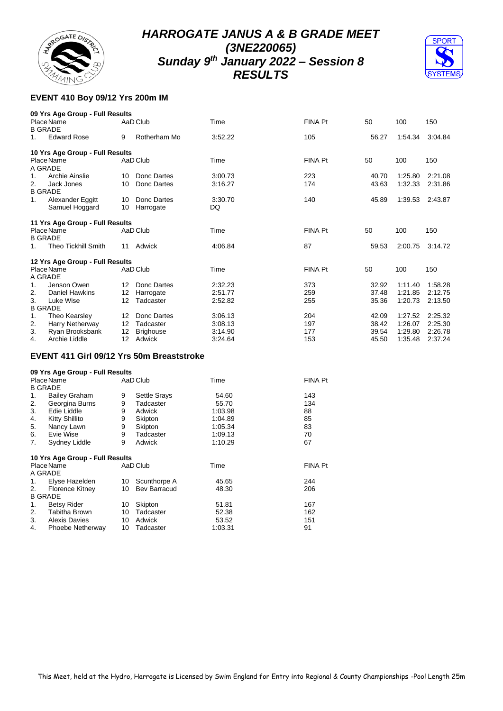



## **EVENT 410 Boy 09/12 Yrs 200m IM**

|                      | 09 Yrs Age Group - Full Results |                   |                  |         |                |       |         |         |
|----------------------|---------------------------------|-------------------|------------------|---------|----------------|-------|---------|---------|
| <b>B GRADE</b>       | Place Name                      |                   | AaD Club         | Time    | <b>FINA Pt</b> | 50    | 100     | 150     |
| 1.                   | <b>Edward Rose</b>              | 9                 | Rotherham Mo     | 3:52.22 | 105            | 56.27 | 1:54.34 | 3:04.84 |
|                      | 10 Yrs Age Group - Full Results |                   |                  |         |                |       |         |         |
| A GRADE              | Place Name                      |                   | AaD Club         | Time    | <b>FINA Pt</b> | 50    | 100     | 150     |
| 1.                   | Archie Ainslie                  | 10                | Donc Dartes      | 3:00.73 | 223            | 40.70 | 1:25.80 | 2:21.08 |
| 2.<br><b>B GRADE</b> | Jack Jones                      | 10                | Donc Dartes      | 3:16.27 | 174            | 43.63 | 1:32.33 | 2:31.86 |
| 1.                   | Alexander Eggitt                | 10                | Donc Dartes      | 3:30.70 | 140            | 45.89 | 1:39.53 | 2:43.87 |
|                      | Samuel Hoggard                  | 10                | Harrogate        | DQ      |                |       |         |         |
|                      | 11 Yrs Age Group - Full Results |                   |                  |         |                |       |         |         |
| <b>B GRADE</b>       | Place Name                      |                   | AaD Club         | Time    | <b>FINA Pt</b> | 50    | 100     | 150     |
| $1_{-}$              | <b>Theo Tickhill Smith</b>      | 11                | Adwick           | 4:06.84 | 87             | 59.53 | 2:00.75 | 3:14.72 |
|                      | 12 Yrs Age Group - Full Results |                   |                  |         |                |       |         |         |
| A GRADE              | Place Name                      |                   | AaD Club         | Time    | FINA Pt        | 50    | 100     | 150     |
| 1.                   | Jenson Owen                     | $12 \overline{ }$ | Donc Dartes      | 2:32.23 | 373            | 32.92 | 1:11.40 | 1:58.28 |
| 2.                   | <b>Daniel Hawkins</b>           | 12                | Harrogate        | 2:51.77 | 259            | 37.48 | 1:21.85 | 2:12.75 |
| 3.<br><b>B GRADE</b> | Luke Wise                       | 12                | Tadcaster        | 2:52.82 | 255            | 35.36 | 1:20.73 | 2:13.50 |
| 1.                   | Theo Kearsley                   | 12                | Donc Dartes      | 3:06.13 | 204            | 42.09 | 1:27.52 | 2:25.32 |
| 2.                   | Harry Netherway                 | 12                | Tadcaster        | 3:08.13 | 197            | 38.42 | 1:26.07 | 2:25.30 |
| 3.                   | Ryan Brooksbank                 | 12                | <b>Brighouse</b> | 3:14.90 | 177            | 39.54 | 1:29.80 | 2:26.78 |
| 4.                   | Archie Liddle                   | 12                | Adwick           | 3:24.64 | 153            | 45.50 | 1:35.48 | 2:37.24 |

## **EVENT 411 Girl 09/12 Yrs 50m Breaststroke**

|  |                   |  | 09 Yrs Age Group - Full Results |
|--|-------------------|--|---------------------------------|
|  | $D = - - N = - -$ |  | $A - D$ $C$                     |

| Place Name |                                 |    | AaD Club            | Time    | <b>FINA Pt</b> |
|------------|---------------------------------|----|---------------------|---------|----------------|
|            | <b>B GRADE</b>                  |    |                     |         |                |
| 1.         | <b>Bailey Graham</b>            | 9  | <b>Settle Srays</b> | 54.60   | 143            |
| 2.         | Georgina Burns                  | 9  | Tadcaster           | 55.70   | 134            |
| 3.         | Edie Liddle                     | 9  | Adwick              | 1:03.98 | 88             |
| 4.         | Kitty Shillito                  | 9  | Skipton             | 1:04.89 | 85             |
| 5.         | Nancy Lawn                      | 9  | Skipton             | 1:05.34 | 83             |
| 6.         | Evie Wise                       | 9  | Tadcaster           | 1:09.13 | 70             |
| 7.         | Sydney Liddle                   | 9  | Adwick              | 1:10.29 | 67             |
|            | 10 Yrs Age Group - Full Results |    |                     |         |                |
|            | Place Name                      |    | AaD Club            | Time    | <b>FINA Pt</b> |
|            | A GRADE                         |    |                     |         |                |
| 1.         | Elyse Hazelden                  | 10 | Scunthorpe A        | 45.65   | 244            |
| 2.         | <b>Florence Kitney</b>          | 10 | <b>Bev Barracud</b> | 48.30   | 206            |
|            | <b>B GRADE</b>                  |    |                     |         |                |
| 1.         | <b>Betsy Rider</b>              | 10 | Skipton             | 51.81   | 167            |
| 2.         | <b>Tabitha Brown</b>            | 10 | Tadcaster           | 52.38   | 162            |
| 3.         | <b>Alexis Davies</b>            | 10 | Adwick              | 53.52   | 151            |
| 4.         | Phoebe Netherway                | 10 | Tadcaster           | 1:03.31 | 91             |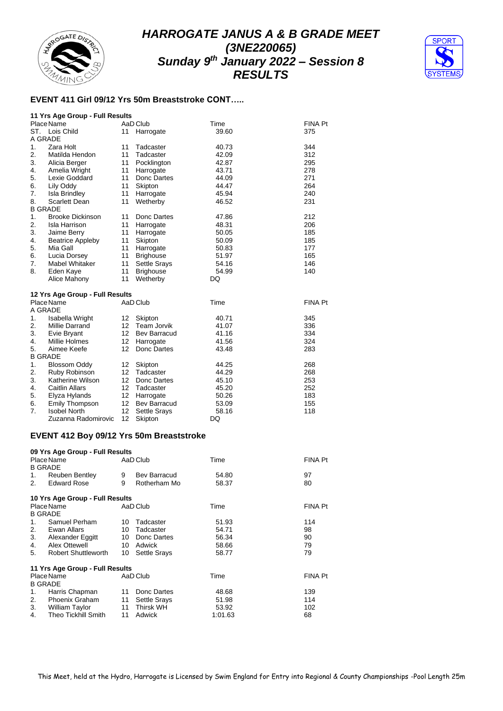



## **EVENT 411 Girl 09/12 Yrs 50m Breaststroke CONT…..**

|                  | 11 Yrs Age Group - Full Results |    |                     |       |         |
|------------------|---------------------------------|----|---------------------|-------|---------|
|                  | Place Name                      |    | AaD Club            | Time  | FINA Pt |
| ST.              | Lois Child                      | 11 | Harrogate           | 39.60 | 375     |
|                  | A GRADE                         |    |                     |       |         |
| 1.               | Zara Holt                       | 11 | Tadcaster           | 40.73 | 344     |
| 2.               | Matilda Hendon                  | 11 | Tadcaster           | 42.09 | 312     |
| 3.               | Alicia Berger                   | 11 | Pocklington         | 42.87 | 295     |
| 4.               | Amelia Wright                   | 11 | Harrogate           | 43.71 | 278     |
| 5.               | Lexie Goddard                   | 11 | Donc Dartes         | 44.09 | 271     |
| 6.               | Lily Oddy                       | 11 | Skipton             | 44.47 | 264     |
| 7.               | Isla Brindley                   | 11 | Harrogate           | 45.94 | 240     |
| 8.               | Scarlett Dean                   | 11 | Wetherby            | 46.52 | 231     |
|                  | <b>B GRADE</b>                  |    |                     |       |         |
| 1.               | <b>Brooke Dickinson</b>         | 11 | Donc Dartes         | 47.86 | 212     |
| 2.               | Isla Harrison                   | 11 | Harrogate           | 48.31 | 206     |
| 3.               | Jaime Berry                     | 11 | Harrogate           | 50.05 | 185     |
| 4.               | <b>Beatrice Appleby</b>         | 11 | Skipton             | 50.09 | 185     |
| 5.               | Mia Gall                        | 11 | Harrogate           | 50.83 | 177     |
| 6.               | Lucia Dorsey                    | 11 | <b>Brighouse</b>    | 51.97 | 165     |
| 7.               | Mabel Whitaker                  | 11 | <b>Settle Srays</b> | 54.16 | 146     |
| 8.               | Eden Kaye                       | 11 | <b>Brighouse</b>    | 54.99 | 140     |
|                  | Alice Mahony                    | 11 | Wetherby            | DQ    |         |
|                  | 12 Yrs Age Group - Full Results |    |                     |       |         |
|                  | Place Name                      |    | AaD Club            | Time  | FINA Pt |
|                  | A GRADE                         |    |                     |       |         |
| 1.               | Isabella Wright                 | 12 | Skipton             | 40.71 | 345     |
| 2.               | <b>Millie Darrand</b>           | 12 | <b>Team Jorvik</b>  | 41.07 | 336     |
| 3.               | Evie Bryant                     | 12 | <b>Bev Barracud</b> | 41.16 | 334     |
| 4.               | Millie Holmes                   | 12 | Harrogate           | 41.56 | 324     |
| 5.               | Aimee Keefe                     | 12 | Donc Dartes         | 43.48 | 283     |
|                  | <b>B GRADE</b>                  |    |                     |       |         |
| 1.               | <b>Blossom Oddy</b>             | 12 | Skipton             | 44.25 | 268     |
| $\overline{2}$ . | Ruby Robinson                   | 12 | Tadcaster           | 44.29 | 268     |
| 3.               | Katherine Wilson                | 12 | Donc Dartes         | 45.10 | 253     |
| 4.               | <b>Caitlin Allars</b>           | 12 | Tadcaster           | 45.20 | 252     |
| 5.               | Elyza Hylands                   | 12 | Harrogate           | 50.26 | 183     |
| 6.               | Emily Thompson                  | 12 | <b>Bev Barracud</b> | 53.09 | 155     |
| 7.               | <b>Isobel North</b>             | 12 | <b>Settle Srays</b> | 58.16 | 118     |
|                  | Zuzanna Radomirovic             | 12 | Skipton             | DQ    |         |

## **EVENT 412 Boy 09/12 Yrs 50m Breaststroke**

|         | 09 Yrs Age Group - Full Results |    |                     |         |         |
|---------|---------------------------------|----|---------------------|---------|---------|
|         | Place Name                      |    | AaD Club            | Time    | FINA Pt |
|         | <b>B GRADE</b>                  |    |                     |         |         |
| 1.      | <b>Reuben Bentley</b>           | 9  | Bev Barracud        | 54.80   | 97      |
| 2.      | <b>Edward Rose</b>              | 9  | Rotherham Mo        | 58.37   | 80      |
|         | 10 Yrs Age Group - Full Results |    |                     |         |         |
|         | Place Name                      |    | AaD Club            | Time    | FINA Pt |
|         | <b>B GRADE</b>                  |    |                     |         |         |
| $1_{-}$ | Samuel Perham                   | 10 | Tadcaster           | 51.93   | 114     |
| 2.      | Ewan Allars                     | 10 | Tadcaster           | 54.71   | 98      |
| 3.      | Alexander Eggitt                | 10 | Donc Dartes         | 56.34   | 90      |
| 4.      | Alex Ottewell                   | 10 | Adwick              | 58.66   | 79      |
| 5.      | <b>Robert Shuttleworth</b>      | 10 | <b>Settle Srays</b> | 58.77   | 79      |
|         | 11 Yrs Age Group - Full Results |    |                     |         |         |
|         | Place Name                      |    | AaD Club            | Time    | FINA Pt |
|         | <b>B GRADE</b>                  |    |                     |         |         |
| 1.      | Harris Chapman                  | 11 | Donc Dartes         | 48.68   | 139     |
| 2.      | <b>Phoenix Graham</b>           | 11 | Settle Srays        | 51.98   | 114     |
| 3.      | William Taylor                  | 11 | Thirsk WH           | 53.92   | 102     |
| 4.      | <b>Theo Tickhill Smith</b>      | 11 | Adwick              | 1:01.63 | 68      |
|         |                                 |    |                     |         |         |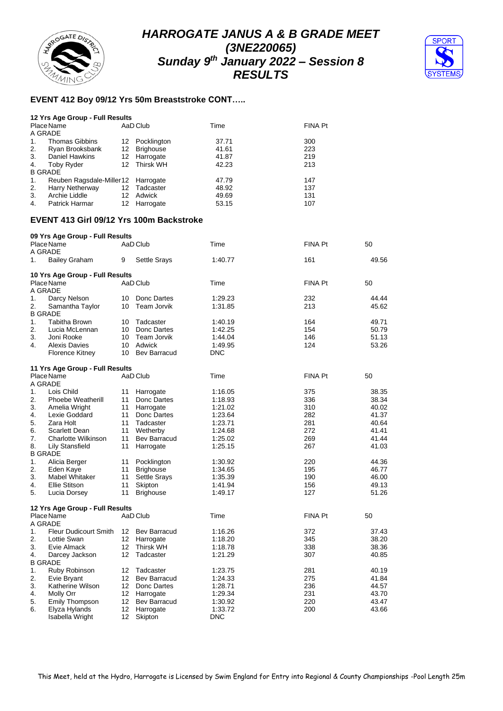



#### **EVENT 412 Boy 09/12 Yrs 50m Breaststroke CONT…..**

|                | 12 Yrs Age Group - Full Results    |    |              |       |                |
|----------------|------------------------------------|----|--------------|-------|----------------|
|                | Place Name                         |    | AaD Club     | Time  | <b>FINA Pt</b> |
| A GRADE        |                                    |    |              |       |                |
| $\mathbf{1}$ . | <b>Thomas Gibbins</b>              | 12 | Pocklington  | 37.71 | 300            |
| 2.             | Ryan Brooksbank                    |    | 12 Brighouse | 41.61 | 223            |
| 3.             | <b>Daniel Hawkins</b>              |    | 12 Harrogate | 41.87 | 219            |
| 4.             | <b>Toby Ryder</b>                  |    | 12 Thirsk WH | 42.23 | 213            |
| <b>B GRADE</b> |                                    |    |              |       |                |
| 1.             | Reuben Ragsdale-Miller12 Harrogate |    |              | 47.79 | 147            |
| 2.             | Harry Netherway                    |    | 12 Tadcaster | 48.92 | 137            |
| 3.             | Archie Liddle                      | 12 | Adwick       | 49.69 | 131            |
| 4.             | Patrick Harmar                     |    | 12 Harrogate | 53.15 | 107            |

## **EVENT 413 Girl 09/12 Yrs 100m Backstroke**

|    | 09 Yrs Age Group - Full Results |                 |                     |         |                |       |
|----|---------------------------------|-----------------|---------------------|---------|----------------|-------|
|    | Place Name                      |                 | AaD Club            | Time    | <b>FINA Pt</b> | 50    |
|    | A GRADE                         |                 |                     |         |                |       |
| 1. | <b>Bailey Graham</b>            | 9               | <b>Settle Srays</b> | 1:40.77 | 161            | 49.56 |
|    | 10 Yrs Age Group - Full Results |                 |                     |         |                |       |
|    | Place Name                      |                 | AaD Club            | Time    | <b>FINA Pt</b> | 50    |
|    | A GRADE                         |                 |                     |         |                |       |
| 1. | Darcy Nelson                    | 10              | Donc Dartes         | 1.29.23 | 232            | 44.44 |
| 2. | Samantha Taylor                 | 10              | Team Jorvik         | 1:31.85 | 213            | 45.62 |
|    | <b>B GRADE</b>                  |                 |                     |         |                |       |
| 1. | <b>Tabitha Brown</b>            | 10              | Tadcaster           | 1:40.19 | 164            | 49.71 |
| 2. | Lucia McLennan                  | 10              | Donc Dartes         | 1:42.25 | 154            | 50.79 |
| 3. | Joni Rooke                      | 10              | Team Jorvik         | 1:44.04 | 146            | 51.13 |
| 4. | <b>Alexis Davies</b>            | 10              | Adwick              | 1:49.95 | 124            | 53.26 |
|    | <b>Florence Kitney</b>          | 10              | <b>Bev Barracud</b> | DNC     |                |       |
|    | 11 Yrs Age Group - Full Results |                 |                     |         |                |       |
|    | Place Name                      |                 | AaD Club            | Time    | <b>FINA Pt</b> | 50    |
|    | A GRADE                         |                 |                     |         |                |       |
| 1. | Lois Child                      | 11              | Harrogate           | 1:16.05 | 375            | 38.35 |
| 2. | <b>Phoebe Weatherill</b>        | 11              | Donc Dartes         | 1:18.93 | 336            | 38.34 |
| 3. | Amelia Wright                   | 11              | Harrogate           | 1:21.02 | 310            | 40.02 |
| 4. | Lexie Goddard                   | 11              | Donc Dartes         | 1:23.64 | 282            | 41.37 |
| 5. | Zara Holt                       | 11              | Tadcaster           | 1:23.71 | 281            | 40.64 |
| 6. | Scarlett Dean                   | 11              | Wetherby            | 1:24.68 | 272            | 41.41 |
| 7. | Charlotte Wilkinson             | 11              | Bev Barracud        | 1:25.02 | 269            | 41.44 |
| 8. | Lily Stansfield                 | 11              | Harrogate           | 1:25.15 | 267            | 41.03 |
|    | <b>B GRADE</b>                  |                 |                     |         |                |       |
| 1. | Alicia Berger                   | 11              | Pocklington         | 1:30.92 | 220            | 44.36 |
| 2. | Eden Kaye                       | 11              | <b>Brighouse</b>    | 1:34.65 | 195            | 46.77 |
| 3. | Mabel Whitaker                  | 11              | <b>Settle Srays</b> | 1:35.39 | 190            | 46.00 |
| 4. | Ellie Stitson                   | 11              | Skipton             | 1:41.94 | 156            | 49.13 |
| 5. | Lucia Dorsey                    | 11              | <b>Brighouse</b>    | 1:49.17 | 127            | 51.26 |
|    | 12 Yrs Age Group - Full Results |                 |                     |         |                |       |
|    | Place Name                      |                 | AaD Club            | Time    | <b>FINA Pt</b> | 50    |
|    | A GRADE                         |                 |                     |         |                |       |
| 1. | <b>Fleur Dudicourt Smith</b>    | 12              | Bev Barracud        | 1:16.26 | 372            | 37.43 |
| 2. | Lottie Swan                     | 12              | Harrogate           | 1:18.20 | 345            | 38.20 |
| 3. | Evie Almack                     | 12              | <b>Thirsk WH</b>    | 1:18.78 | 338            | 38.36 |
| 4. | Darcey Jackson                  | 12              | Tadcaster           | 1:21.29 | 307            | 40.85 |
|    | <b>B GRADE</b>                  |                 |                     |         |                |       |
| 1. | Ruby Robinson                   | 12              | Tadcaster           | 1:23.75 | 281            | 40.19 |
| 2. | Evie Bryant                     | 12 <sup>°</sup> | Bev Barracud        | 1:24.33 | 275            | 41.84 |
| 3. | Katherine Wilson                | 12              | Donc Dartes         | 1:28.71 | 236            | 44.57 |
| 4. | Molly Orr                       | 12 <sup>2</sup> | Harrogate           | 1:29.34 | 231            | 43.70 |
| 5. | Emily Thompson                  | 12              | <b>Bev Barracud</b> | 1:30.92 | 220            | 43.47 |
| 6. | Elyza Hylands                   | 12              | Harrogate           | 1:33.72 | 200            | 43.66 |
|    | Isabella Wright                 | 12              | Skipton             | DNC     |                |       |